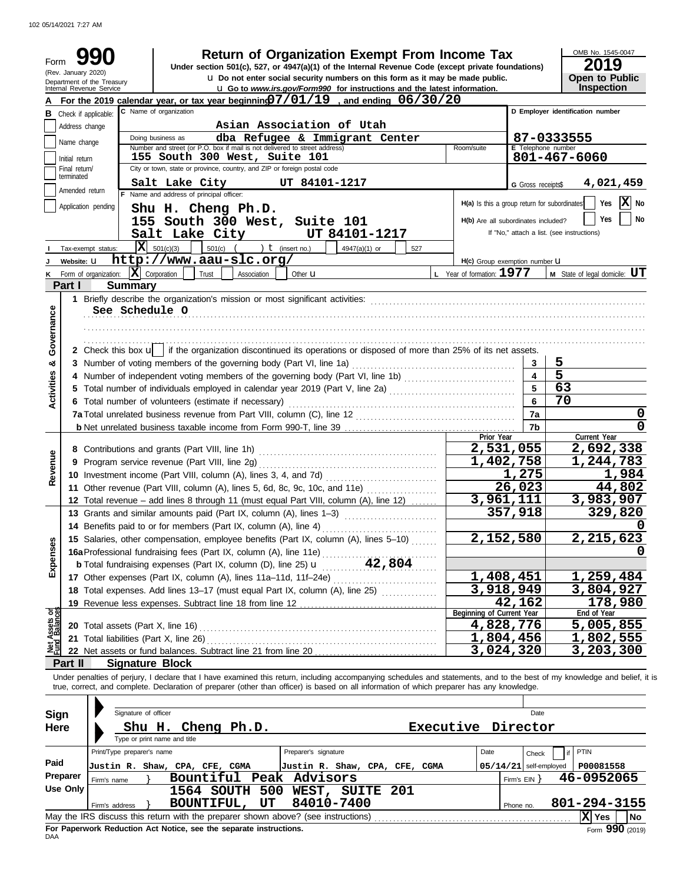| Form               | (Rev. January 2020)         | Department of the Treasury<br>Internal Revenue Service |                                                                                   |                                                                            |                                              | <b>Return of Organization Exempt From Income Tax</b><br>Under section 501(c), 527, or 4947(a)(1) of the Internal Revenue Code (except private foundations)<br>u Do not enter social security numbers on this form as it may be made public. |                                              |                          | OMB No. 1545-0047<br>2019<br><b>Open to Public</b>                                                                                                                         |
|--------------------|-----------------------------|--------------------------------------------------------|-----------------------------------------------------------------------------------|----------------------------------------------------------------------------|----------------------------------------------|---------------------------------------------------------------------------------------------------------------------------------------------------------------------------------------------------------------------------------------------|----------------------------------------------|--------------------------|----------------------------------------------------------------------------------------------------------------------------------------------------------------------------|
|                    |                             |                                                        |                                                                                   |                                                                            |                                              | <b>u</b> Go to www.irs.gov/Form990 for instructions and the latest information.<br>For the 2019 calendar year, or tax year beginning $7/01/19$ , and ending $06/30/20$                                                                      |                                              |                          | Inspection                                                                                                                                                                 |
|                    |                             |                                                        | C Name of organization                                                            |                                                                            |                                              |                                                                                                                                                                                                                                             |                                              |                          | D Employer identification number                                                                                                                                           |
|                    |                             | <b>B</b> Check if applicable:                          |                                                                                   |                                                                            | Asian Association of Utah                    |                                                                                                                                                                                                                                             |                                              |                          |                                                                                                                                                                            |
|                    | Address change              |                                                        | Doing business as                                                                 |                                                                            |                                              | dba Refugee & Immigrant Center                                                                                                                                                                                                              |                                              |                          | 87-0333555                                                                                                                                                                 |
|                    | Name change                 |                                                        | Number and street (or P.O. box if mail is not delivered to street address)        |                                                                            |                                              |                                                                                                                                                                                                                                             | Room/suite                                   | E Telephone number       |                                                                                                                                                                            |
|                    | Initial return              |                                                        | 155 South 300 West, Suite 101                                                     |                                                                            |                                              |                                                                                                                                                                                                                                             |                                              |                          | 801-467-6060                                                                                                                                                               |
|                    | Final return/<br>terminated |                                                        | City or town, state or province, country, and ZIP or foreign postal code          |                                                                            |                                              |                                                                                                                                                                                                                                             |                                              |                          |                                                                                                                                                                            |
|                    |                             |                                                        | Salt Lake City                                                                    |                                                                            | <b>UT 84101-1217</b>                         |                                                                                                                                                                                                                                             |                                              | G Gross receipts\$       | 4,021,459                                                                                                                                                                  |
|                    | Amended return              |                                                        | F Name and address of principal officer:                                          |                                                                            |                                              |                                                                                                                                                                                                                                             |                                              |                          | $ \mathbf{X} $ No                                                                                                                                                          |
|                    |                             | Application pending                                    | Shu H. Cheng Ph.D.                                                                |                                                                            |                                              |                                                                                                                                                                                                                                             | H(a) Is this a group return for subordinates |                          | Yes                                                                                                                                                                        |
|                    |                             |                                                        | 155 South 300 West, Suite 101                                                     |                                                                            |                                              |                                                                                                                                                                                                                                             | H(b) Are all subordinates included?          |                          | No<br>Yes                                                                                                                                                                  |
|                    |                             |                                                        | Salt Lake City                                                                    |                                                                            |                                              | UT 84101-1217                                                                                                                                                                                                                               |                                              |                          | If "No," attach a list. (see instructions)                                                                                                                                 |
|                    |                             | Tax-exempt status:                                     | $\overline{\mathbf{X}}$ 501(c)(3)                                                 | $501(c)$ $\left(\begin{array}{c} \end{array}\right)$ <b>t</b> (insert no.) |                                              | 4947(a)(1) or<br>527                                                                                                                                                                                                                        |                                              |                          |                                                                                                                                                                            |
|                    | Website: U                  |                                                        | http://www.aau-slc.org/                                                           |                                                                            |                                              |                                                                                                                                                                                                                                             | H(c) Group exemption number <b>U</b>         |                          |                                                                                                                                                                            |
|                    |                             | $ \mathbf{X} $ Corporation<br>K Form of organization:  | Trust                                                                             | Association                                                                | Other $\mathbf u$                            |                                                                                                                                                                                                                                             | L Year of formation: 1977                    |                          | M State of legal domicile: UT                                                                                                                                              |
|                    | Part I                      | <b>Summary</b>                                         |                                                                                   |                                                                            |                                              |                                                                                                                                                                                                                                             |                                              |                          |                                                                                                                                                                            |
|                    |                             |                                                        |                                                                                   |                                                                            |                                              |                                                                                                                                                                                                                                             |                                              |                          |                                                                                                                                                                            |
|                    |                             | See Schedule O                                         |                                                                                   |                                                                            |                                              |                                                                                                                                                                                                                                             |                                              |                          |                                                                                                                                                                            |
| Governance         |                             |                                                        |                                                                                   |                                                                            |                                              |                                                                                                                                                                                                                                             |                                              |                          |                                                                                                                                                                            |
|                    |                             |                                                        |                                                                                   |                                                                            |                                              |                                                                                                                                                                                                                                             |                                              |                          |                                                                                                                                                                            |
|                    |                             |                                                        |                                                                                   |                                                                            |                                              | 2 Check this box u   if the organization discontinued its operations or disposed of more than 25% of its net assets.                                                                                                                        |                                              |                          |                                                                                                                                                                            |
| ಳ                  |                             |                                                        | 3 Number of voting members of the governing body (Part VI, line 1a)               |                                                                            |                                              |                                                                                                                                                                                                                                             |                                              | 3                        | 5                                                                                                                                                                          |
|                    |                             |                                                        |                                                                                   |                                                                            |                                              |                                                                                                                                                                                                                                             |                                              |                          | 5                                                                                                                                                                          |
|                    |                             |                                                        |                                                                                   | 5                                                                          | 63                                           |                                                                                                                                                                                                                                             |                                              |                          |                                                                                                                                                                            |
| <b>Activities</b>  |                             | 6 Total number of volunteers (estimate if necessary)   |                                                                                   | 6                                                                          | 70                                           |                                                                                                                                                                                                                                             |                                              |                          |                                                                                                                                                                            |
|                    |                             |                                                        |                                                                                   |                                                                            |                                              |                                                                                                                                                                                                                                             |                                              | 7a                       | $\mathbf 0$                                                                                                                                                                |
|                    |                             | 7b                                                     |                                                                                   |                                                                            |                                              |                                                                                                                                                                                                                                             |                                              |                          | $\Omega$                                                                                                                                                                   |
|                    |                             |                                                        |                                                                                   |                                                                            |                                              |                                                                                                                                                                                                                                             | Prior Year                                   |                          | Current Year                                                                                                                                                               |
|                    |                             |                                                        |                                                                                   |                                                                            |                                              |                                                                                                                                                                                                                                             |                                              | 2,531,055                | 2,692,338                                                                                                                                                                  |
| Revenue            |                             |                                                        |                                                                                   |                                                                            |                                              |                                                                                                                                                                                                                                             |                                              | $\overline{1,}$ 402, 758 | 1,244,783                                                                                                                                                                  |
|                    |                             |                                                        |                                                                                   |                                                                            |                                              |                                                                                                                                                                                                                                             |                                              | 1,275                    | 1,984                                                                                                                                                                      |
|                    |                             |                                                        |                                                                                   |                                                                            |                                              |                                                                                                                                                                                                                                             |                                              | 26,023                   | 44,802                                                                                                                                                                     |
|                    |                             |                                                        |                                                                                   |                                                                            |                                              | 12 Total revenue - add lines 8 through 11 (must equal Part VIII, column (A), line 12)                                                                                                                                                       |                                              | 3,961,111                | 3,983,907                                                                                                                                                                  |
|                    |                             |                                                        | 13 Grants and similar amounts paid (Part IX, column (A), lines 1-3)               |                                                                            |                                              |                                                                                                                                                                                                                                             |                                              | 357,918                  | 329,820                                                                                                                                                                    |
|                    |                             |                                                        |                                                                                   |                                                                            |                                              | 14 Benefits paid to or for members (Part IX, column (A), line 4)                                                                                                                                                                            |                                              |                          | 0                                                                                                                                                                          |
|                    |                             |                                                        |                                                                                   |                                                                            |                                              | 15 Salaries, other compensation, employee benefits (Part IX, column (A), lines 5-10)                                                                                                                                                        | 2,152,580                                    |                          | 2,215,623                                                                                                                                                                  |
|                    |                             |                                                        | 16a Professional fundraising fees (Part IX, column (A), line 11e)                 |                                                                            |                                              |                                                                                                                                                                                                                                             |                                              |                          |                                                                                                                                                                            |
| Expenses           |                             |                                                        | <b>b</b> Total fundraising expenses (Part IX, column (D), line 25) <b>u</b>       |                                                                            |                                              | 42,804                                                                                                                                                                                                                                      |                                              |                          |                                                                                                                                                                            |
|                    |                             |                                                        |                                                                                   |                                                                            |                                              |                                                                                                                                                                                                                                             | 1,408,451                                    |                          | 1,259,484                                                                                                                                                                  |
|                    |                             |                                                        |                                                                                   |                                                                            |                                              |                                                                                                                                                                                                                                             |                                              | 3,918,949                | 3,804,927                                                                                                                                                                  |
| हैं                |                             |                                                        |                                                                                   |                                                                            |                                              |                                                                                                                                                                                                                                             | Beginning of Current Year                    | 42,162                   | 178,980<br>End of Year                                                                                                                                                     |
|                    |                             |                                                        |                                                                                   |                                                                            |                                              |                                                                                                                                                                                                                                             | 4,828,776                                    |                          | 5,005,855                                                                                                                                                                  |
| Assets<br>1 Balanc |                             | 21 Total liabilities (Part X, line 26)                 |                                                                                   |                                                                            |                                              |                                                                                                                                                                                                                                             | 1,804,456                                    |                          | 1,802,555                                                                                                                                                                  |
|                    |                             |                                                        |                                                                                   |                                                                            |                                              |                                                                                                                                                                                                                                             | 3,024,320                                    |                          | 3,203,300                                                                                                                                                                  |
|                    | Part II                     | <b>Signature Block</b>                                 |                                                                                   |                                                                            |                                              |                                                                                                                                                                                                                                             |                                              |                          |                                                                                                                                                                            |
|                    |                             |                                                        |                                                                                   |                                                                            |                                              |                                                                                                                                                                                                                                             |                                              |                          |                                                                                                                                                                            |
|                    |                             |                                                        |                                                                                   |                                                                            |                                              | true, correct, and complete. Declaration of preparer (other than officer) is based on all information of which preparer has any knowledge.                                                                                                  |                                              |                          | Under penalties of perjury, I declare that I have examined this return, including accompanying schedules and statements, and to the best of my knowledge and belief, it is |
|                    |                             |                                                        |                                                                                   |                                                                            |                                              |                                                                                                                                                                                                                                             |                                              |                          |                                                                                                                                                                            |
| <b>Sign</b>        |                             | Signature of officer                                   |                                                                                   |                                                                            |                                              |                                                                                                                                                                                                                                             |                                              | Date                     |                                                                                                                                                                            |
| <b>Here</b>        |                             |                                                        | Shu H. Cheng Ph.D.                                                                |                                                                            |                                              |                                                                                                                                                                                                                                             | Executive Director                           |                          |                                                                                                                                                                            |
|                    |                             |                                                        | Type or print name and title                                                      |                                                                            |                                              |                                                                                                                                                                                                                                             |                                              |                          |                                                                                                                                                                            |
|                    |                             | Print/Type preparer's name                             |                                                                                   |                                                                            | Preparer's signature                         |                                                                                                                                                                                                                                             | Date                                         |                          | PTIN                                                                                                                                                                       |
| Paid               |                             |                                                        |                                                                                   |                                                                            |                                              |                                                                                                                                                                                                                                             |                                              | Check                    |                                                                                                                                                                            |
|                    | Preparer                    |                                                        | Justin R. Shaw, CPA, CFE, CGMA                                                    |                                                                            |                                              | Justin R. Shaw, CPA, CFE, CGMA                                                                                                                                                                                                              |                                              | $05/14/21$ self-employed | P00081558                                                                                                                                                                  |
|                    | Use Only                    | Firm's name                                            | Bountiful                                                                         |                                                                            | Peak Advisors                                |                                                                                                                                                                                                                                             |                                              | Firm's EIN               | 46-0952065                                                                                                                                                                 |
|                    |                             |                                                        | BOUNTIFUL,                                                                        | UT                                                                         | 1564 SOUTH 500 WEST, SUITE 201<br>84010-7400 |                                                                                                                                                                                                                                             |                                              |                          | 801-294-3155                                                                                                                                                               |
|                    |                             | Firm's address                                         | May the IRS discuss this return with the preparer shown above? (see instructions) |                                                                            |                                              |                                                                                                                                                                                                                                             |                                              | Phone no.                | X Yes<br>No                                                                                                                                                                |
|                    |                             |                                                        |                                                                                   |                                                                            |                                              |                                                                                                                                                                                                                                             |                                              |                          |                                                                                                                                                                            |

|          |                                                                                                       |  | Type or print name and title |           |  |    |                      |  |                           |  |      |      |                   |                          |              |  |
|----------|-------------------------------------------------------------------------------------------------------|--|------------------------------|-----------|--|----|----------------------|--|---------------------------|--|------|------|-------------------|--------------------------|--------------|--|
|          | Print/Type preparer's name                                                                            |  |                              |           |  |    | Preparer's signature |  |                           |  |      | Date |                   | Check                    | PTIN         |  |
| Paid     | Justin R. Shaw,                                                                                       |  | CPA,                         | CFE, CGMA |  |    |                      |  | Justin R. Shaw, CPA, CFE, |  | CGMA |      |                   | $05/14/21$ self-employed | P00081558    |  |
| Preparer | Firm's name                                                                                           |  | Bountiful                    |           |  |    | Peak Advisors        |  |                           |  |      |      | Firm's $EIN$ $\}$ |                          | 46-0952065   |  |
| Use Only |                                                                                                       |  | <b>1564 SOUTH 500</b>        |           |  |    |                      |  | WEST, SUITE 201           |  |      |      |                   |                          |              |  |
|          | Firm's address                                                                                        |  | BOUNTIFUL,                   |           |  | UT |                      |  | 84010-7400                |  |      |      | Phone no.         |                          | 801-294-3155 |  |
|          | May the IRS discuss this return with the preparer shown above? (see instructions)<br><b>No</b><br>Yes |  |                              |           |  |    |                      |  |                           |  |      |      |                   |                          |              |  |
|          | Form 990 (2019)<br>For Paperwork Reduction Act Notice, see the separate instructions.                 |  |                              |           |  |    |                      |  |                           |  |      |      |                   |                          |              |  |

**For Paperwork Reduction Act Notice, see the separate instructions.**<br>DAA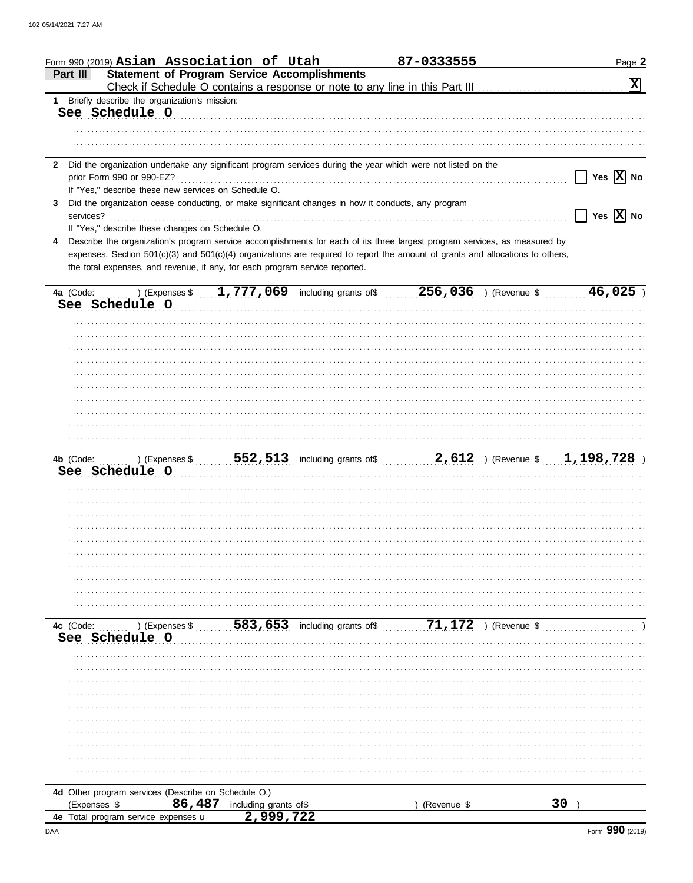|              | Form 990 (2019) Asian Association of Utah                                   |                       |                                                                                                                                | 87-0333555            |    | Page 2                             |
|--------------|-----------------------------------------------------------------------------|-----------------------|--------------------------------------------------------------------------------------------------------------------------------|-----------------------|----|------------------------------------|
| Part III     | <b>Statement of Program Service Accomplishments</b>                         |                       |                                                                                                                                |                       |    |                                    |
|              |                                                                             |                       |                                                                                                                                |                       |    | $\mathbf{x}$                       |
| 1.           | Briefly describe the organization's mission:                                |                       |                                                                                                                                |                       |    |                                    |
|              | See Schedule O                                                              |                       |                                                                                                                                |                       |    |                                    |
|              |                                                                             |                       |                                                                                                                                |                       |    |                                    |
|              |                                                                             |                       |                                                                                                                                |                       |    |                                    |
|              |                                                                             |                       |                                                                                                                                |                       |    |                                    |
| $\mathbf{2}$ |                                                                             |                       | Did the organization undertake any significant program services during the year which were not listed on the                   |                       |    |                                    |
|              | prior Form 990 or 990-EZ?                                                   |                       |                                                                                                                                |                       |    | Yes $\boxed{\mathbf{X}}$ No        |
|              | If "Yes," describe these new services on Schedule O.                        |                       |                                                                                                                                |                       |    |                                    |
| 3            |                                                                             |                       | Did the organization cease conducting, or make significant changes in how it conducts, any program                             |                       |    |                                    |
| services?    |                                                                             |                       |                                                                                                                                |                       |    | $\Box$ Yes $\boxed{\textbf{X}}$ No |
|              | If "Yes," describe these changes on Schedule O.                             |                       |                                                                                                                                |                       |    |                                    |
|              |                                                                             |                       | Describe the organization's program service accomplishments for each of its three largest program services, as measured by     |                       |    |                                    |
|              |                                                                             |                       | expenses. Section 501(c)(3) and 501(c)(4) organizations are required to report the amount of grants and allocations to others, |                       |    |                                    |
|              | the total expenses, and revenue, if any, for each program service reported. |                       |                                                                                                                                |                       |    |                                    |
|              |                                                                             |                       |                                                                                                                                |                       |    |                                    |
| 4a (Code:    |                                                                             |                       | $\ldots$ ) (Expenses \$ 1,777,069 including grants of $\ldots$ 256,036 ) (Revenue \$                                           |                       |    | 46,025                             |
|              | See Schedule O                                                              |                       |                                                                                                                                |                       |    |                                    |
|              |                                                                             |                       |                                                                                                                                |                       |    |                                    |
|              |                                                                             |                       |                                                                                                                                |                       |    |                                    |
|              |                                                                             |                       |                                                                                                                                |                       |    |                                    |
|              |                                                                             |                       |                                                                                                                                |                       |    |                                    |
|              |                                                                             |                       |                                                                                                                                |                       |    |                                    |
|              |                                                                             |                       |                                                                                                                                |                       |    |                                    |
|              |                                                                             |                       |                                                                                                                                |                       |    |                                    |
|              |                                                                             |                       |                                                                                                                                |                       |    |                                    |
|              |                                                                             |                       |                                                                                                                                |                       |    |                                    |
|              |                                                                             |                       |                                                                                                                                |                       |    |                                    |
|              |                                                                             |                       |                                                                                                                                |                       |    |                                    |
|              |                                                                             |                       |                                                                                                                                |                       |    |                                    |
| 4b (Code:    |                                                                             |                       | (Expenses \$ 3.13, including grants of \$ 2,612 ) (Revenue \$ 1,198,728 )                                                      |                       |    |                                    |
|              | See Schedule O                                                              |                       |                                                                                                                                |                       |    |                                    |
|              |                                                                             |                       |                                                                                                                                |                       |    |                                    |
|              |                                                                             |                       |                                                                                                                                |                       |    |                                    |
|              |                                                                             |                       |                                                                                                                                |                       |    |                                    |
|              |                                                                             |                       |                                                                                                                                |                       |    |                                    |
|              |                                                                             |                       |                                                                                                                                |                       |    |                                    |
|              |                                                                             |                       |                                                                                                                                |                       |    |                                    |
|              |                                                                             |                       |                                                                                                                                |                       |    |                                    |
|              |                                                                             |                       |                                                                                                                                |                       |    |                                    |
|              |                                                                             |                       |                                                                                                                                |                       |    |                                    |
|              |                                                                             |                       |                                                                                                                                |                       |    |                                    |
|              |                                                                             |                       |                                                                                                                                |                       |    |                                    |
| 4c (Code:    | )(Expenses \$ <sub>.</sub>                                                  |                       | 583, 653 including grants of \$                                                                                                | 71, 172 ) (Revenue \$ |    |                                    |
|              | See Schedule O                                                              |                       |                                                                                                                                |                       |    |                                    |
|              |                                                                             |                       |                                                                                                                                |                       |    |                                    |
|              |                                                                             |                       |                                                                                                                                |                       |    |                                    |
|              |                                                                             |                       |                                                                                                                                |                       |    |                                    |
|              |                                                                             |                       |                                                                                                                                |                       |    |                                    |
|              |                                                                             |                       |                                                                                                                                |                       |    |                                    |
|              |                                                                             |                       |                                                                                                                                |                       |    |                                    |
|              |                                                                             |                       |                                                                                                                                |                       |    |                                    |
|              |                                                                             |                       |                                                                                                                                |                       |    |                                    |
|              |                                                                             |                       |                                                                                                                                |                       |    |                                    |
|              |                                                                             |                       |                                                                                                                                |                       |    |                                    |
|              |                                                                             |                       |                                                                                                                                |                       |    |                                    |
|              | 4d Other program services (Describe on Schedule O.)                         |                       |                                                                                                                                |                       |    |                                    |
| (Expenses \$ | 86,487                                                                      | including grants of\$ |                                                                                                                                | (Revenue \$           | 30 |                                    |
|              | 4e Total program service expenses u                                         | 2,999,722             |                                                                                                                                |                       |    |                                    |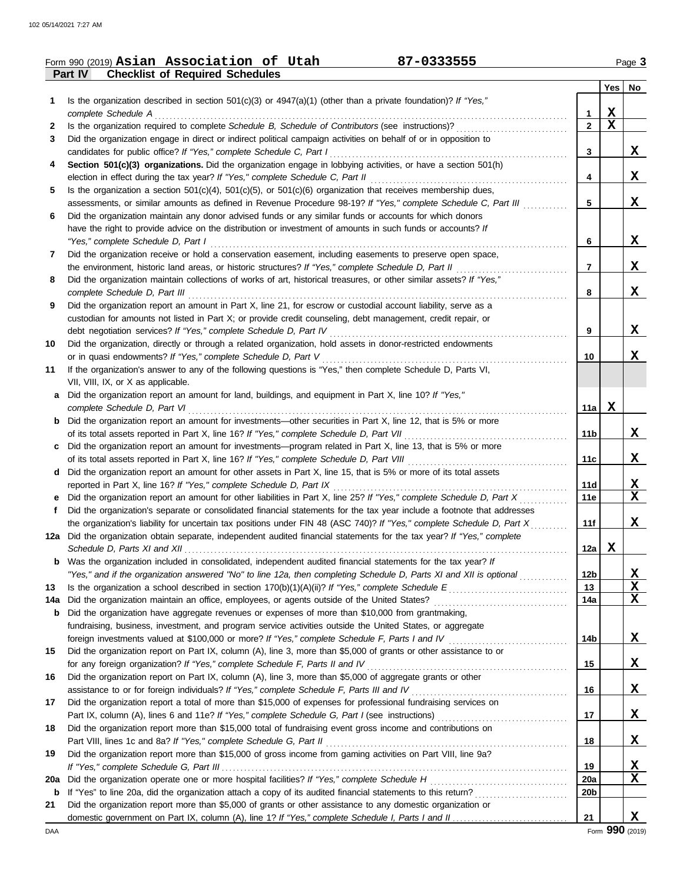|     | 87-0333555<br>Form 990 (2019) Asian Association of Utah                                                                                                                                                                         |                 |             | Page 3                  |
|-----|---------------------------------------------------------------------------------------------------------------------------------------------------------------------------------------------------------------------------------|-----------------|-------------|-------------------------|
|     | <b>Checklist of Required Schedules</b><br>Part IV                                                                                                                                                                               |                 |             |                         |
|     |                                                                                                                                                                                                                                 |                 |             | Yes   No                |
| 1   | Is the organization described in section 501(c)(3) or 4947(a)(1) (other than a private foundation)? If "Yes,"                                                                                                                   |                 |             |                         |
|     | complete Schedule A                                                                                                                                                                                                             | 1               | X           |                         |
| 2   | Is the organization required to complete Schedule B, Schedule of Contributors (see instructions)?                                                                                                                               | $\overline{2}$  | $\mathbf x$ |                         |
| 3   | Did the organization engage in direct or indirect political campaign activities on behalf of or in opposition to                                                                                                                |                 |             |                         |
|     | candidates for public office? If "Yes," complete Schedule C, Part I                                                                                                                                                             | 3               |             | X                       |
| 4   | Section 501(c)(3) organizations. Did the organization engage in lobbying activities, or have a section 501(h)                                                                                                                   |                 |             |                         |
|     | election in effect during the tax year? If "Yes," complete Schedule C, Part II                                                                                                                                                  | 4               |             | X                       |
| 5   | Is the organization a section $501(c)(4)$ , $501(c)(5)$ , or $501(c)(6)$ organization that receives membership dues,                                                                                                            |                 |             |                         |
|     | assessments, or similar amounts as defined in Revenue Procedure 98-19? If "Yes," complete Schedule C, Part III                                                                                                                  | 5               |             | X                       |
| 6   | Did the organization maintain any donor advised funds or any similar funds or accounts for which donors                                                                                                                         |                 |             |                         |
|     | have the right to provide advice on the distribution or investment of amounts in such funds or accounts? If                                                                                                                     |                 |             |                         |
|     | "Yes," complete Schedule D, Part I                                                                                                                                                                                              | 6               |             | X                       |
| 7   | Did the organization receive or hold a conservation easement, including easements to preserve open space,                                                                                                                       |                 |             |                         |
|     | the environment, historic land areas, or historic structures? If "Yes," complete Schedule D, Part II<br>Did the organization maintain collections of works of art, historical treasures, or other similar assets? If "Yes,"     | 7               |             | X                       |
| 8   |                                                                                                                                                                                                                                 | 8               |             | X                       |
|     | complete Schedule D, Part III                                                                                                                                                                                                   |                 |             |                         |
| 9   | Did the organization report an amount in Part X, line 21, for escrow or custodial account liability, serve as a<br>custodian for amounts not listed in Part X; or provide credit counseling, debt management, credit repair, or |                 |             |                         |
|     | debt negotiation services? If "Yes," complete Schedule D, Part IV                                                                                                                                                               | 9               |             | X                       |
| 10  | Did the organization, directly or through a related organization, hold assets in donor-restricted endowments                                                                                                                    |                 |             |                         |
|     | or in quasi endowments? If "Yes," complete Schedule D, Part V                                                                                                                                                                   | 10              |             | X                       |
| 11  | If the organization's answer to any of the following questions is "Yes," then complete Schedule D, Parts VI,                                                                                                                    |                 |             |                         |
|     | VII, VIII, IX, or X as applicable.                                                                                                                                                                                              |                 |             |                         |
| a   | Did the organization report an amount for land, buildings, and equipment in Part X, line 10? If "Yes,"                                                                                                                          |                 |             |                         |
|     | complete Schedule D, Part VI                                                                                                                                                                                                    | 11a             | X           |                         |
|     | Did the organization report an amount for investments—other securities in Part X, line 12, that is 5% or more                                                                                                                   |                 |             |                         |
|     | of its total assets reported in Part X, line 16? If "Yes," complete Schedule D, Part VII                                                                                                                                        | 11 <sub>b</sub> |             | X                       |
| c   | Did the organization report an amount for investments—program related in Part X, line 13, that is 5% or more                                                                                                                    |                 |             |                         |
|     | of its total assets reported in Part X, line 16? If "Yes," complete Schedule D, Part VIII                                                                                                                                       | 11c             |             | $\mathbf x$             |
| d   | Did the organization report an amount for other assets in Part X, line 15, that is 5% or more of its total assets                                                                                                               |                 |             |                         |
|     | reported in Part X, line 16? If "Yes," complete Schedule D, Part IX                                                                                                                                                             | 11d             |             | <u>x</u>                |
|     | Did the organization report an amount for other liabilities in Part X, line 25? If "Yes," complete Schedule D, Part X                                                                                                           | <b>11e</b>      |             | $\mathbf x$             |
| f   | Did the organization's separate or consolidated financial statements for the tax year include a footnote that addresses                                                                                                         |                 |             |                         |
|     | the organization's liability for uncertain tax positions under FIN 48 (ASC 740)? If "Yes," complete Schedule D, Part X                                                                                                          | 11f             |             | X                       |
|     | 12a Did the organization obtain separate, independent audited financial statements for the tax year? If "Yes," complete                                                                                                         |                 |             |                         |
|     |                                                                                                                                                                                                                                 | 12a             | X           |                         |
| b   | Was the organization included in consolidated, independent audited financial statements for the tax year? If                                                                                                                    |                 |             |                         |
|     | "Yes," and if the organization answered "No" to line 12a, then completing Schedule D, Parts XI and XII is optional                                                                                                              | 12 <sub>b</sub> |             | <u>х</u>                |
| 13  |                                                                                                                                                                                                                                 | 13              |             | X                       |
| 14a | Did the organization maintain an office, employees, or agents outside of the United States?                                                                                                                                     | 14a             |             | X                       |
| b   | Did the organization have aggregate revenues or expenses of more than \$10,000 from grantmaking,                                                                                                                                |                 |             |                         |
|     | fundraising, business, investment, and program service activities outside the United States, or aggregate                                                                                                                       |                 |             |                         |
|     | foreign investments valued at \$100,000 or more? If "Yes," complete Schedule F, Parts I and IV                                                                                                                                  | 14b             |             | X                       |
| 15  | Did the organization report on Part IX, column (A), line 3, more than \$5,000 of grants or other assistance to or                                                                                                               |                 |             |                         |
|     | for any foreign organization? If "Yes," complete Schedule F, Parts II and IV                                                                                                                                                    | 15              |             | X                       |
| 16  | Did the organization report on Part IX, column (A), line 3, more than \$5,000 of aggregate grants or other                                                                                                                      |                 |             |                         |
|     |                                                                                                                                                                                                                                 | 16              |             | X                       |
| 17  | Did the organization report a total of more than \$15,000 of expenses for professional fundraising services on                                                                                                                  |                 |             |                         |
|     |                                                                                                                                                                                                                                 | 17              |             | X                       |
| 18  | Did the organization report more than \$15,000 total of fundraising event gross income and contributions on                                                                                                                     |                 |             |                         |
|     | Part VIII, lines 1c and 8a? If "Yes," complete Schedule G, Part II                                                                                                                                                              | 18              |             | <u>x</u>                |
| 19  | Did the organization report more than \$15,000 of gross income from gaming activities on Part VIII, line 9a?                                                                                                                    |                 |             |                         |
|     |                                                                                                                                                                                                                                 | 19              |             | <u>x</u><br>$\mathbf x$ |
| 20a | Did the organization operate one or more hospital facilities? If "Yes," complete Schedule H                                                                                                                                     | 20a             |             |                         |
| b   |                                                                                                                                                                                                                                 | 20 <sub>b</sub> |             |                         |
| 21  | Did the organization report more than \$5,000 of grants or other assistance to any domestic organization or                                                                                                                     | 21              |             | X                       |
|     |                                                                                                                                                                                                                                 |                 |             |                         |

DAA Form **990** (2019)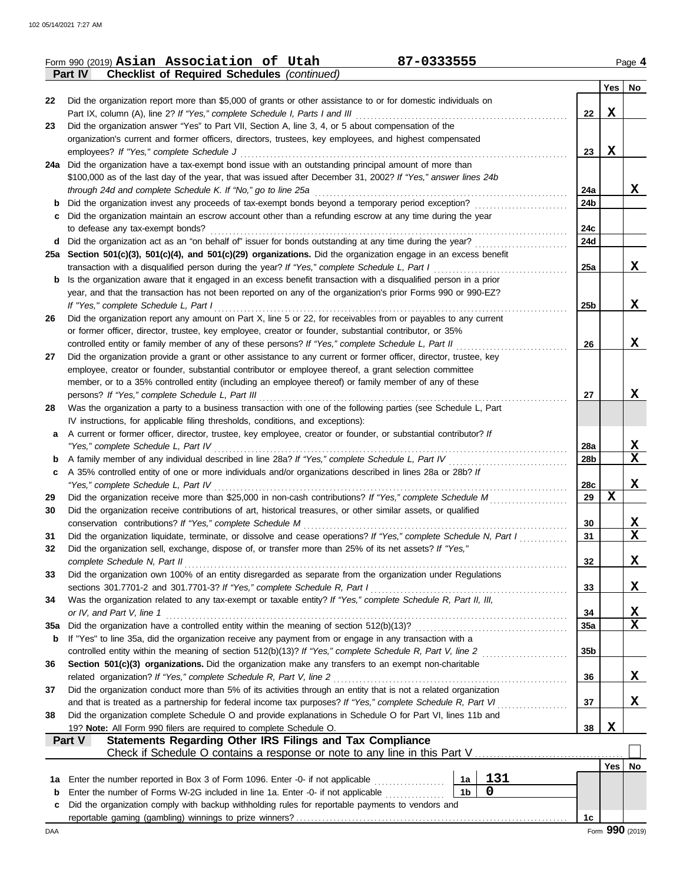|          | 87-0333555<br>Form 990 (2019) Asian Association of Utah                                                                                                                                      |                 |             | Page 4      |
|----------|----------------------------------------------------------------------------------------------------------------------------------------------------------------------------------------------|-----------------|-------------|-------------|
|          | Part IV<br><b>Checklist of Required Schedules (continued)</b>                                                                                                                                |                 |             |             |
|          |                                                                                                                                                                                              |                 | Yes         | No          |
| 22       | Did the organization report more than \$5,000 of grants or other assistance to or for domestic individuals on<br>Part IX, column (A), line 2? If "Yes," complete Schedule I, Parts I and III | 22              | X           |             |
| 23       | Did the organization answer "Yes" to Part VII, Section A, line 3, 4, or 5 about compensation of the                                                                                          |                 |             |             |
|          | organization's current and former officers, directors, trustees, key employees, and highest compensated                                                                                      |                 |             |             |
|          | employees? If "Yes," complete Schedule J                                                                                                                                                     | 23              | X           |             |
|          | 24a Did the organization have a tax-exempt bond issue with an outstanding principal amount of more than                                                                                      |                 |             |             |
|          | \$100,000 as of the last day of the year, that was issued after December 31, 2002? If "Yes," answer lines 24b                                                                                |                 |             |             |
|          | through 24d and complete Schedule K. If "No," go to line 25a                                                                                                                                 | 24a             |             | X           |
| b        | Did the organization invest any proceeds of tax-exempt bonds beyond a temporary period exception?                                                                                            | 24b             |             |             |
|          | c Did the organization maintain an escrow account other than a refunding escrow at any time during the year                                                                                  |                 |             |             |
|          | to defease any tax-exempt bonds?                                                                                                                                                             | 24c             |             |             |
|          | d Did the organization act as an "on behalf of" issuer for bonds outstanding at any time during the year?                                                                                    | 24d             |             |             |
|          | 25a Section 501(c)(3), 501(c)(4), and 501(c)(29) organizations. Did the organization engage in an excess benefit                                                                             |                 |             |             |
|          | transaction with a disqualified person during the year? If "Yes," complete Schedule L, Part I                                                                                                | 25a             |             | X           |
| b        | Is the organization aware that it engaged in an excess benefit transaction with a disqualified person in a prior                                                                             |                 |             |             |
|          | year, and that the transaction has not been reported on any of the organization's prior Forms 990 or 990-EZ?                                                                                 |                 |             | X           |
|          | If "Yes," complete Schedule L, Part I<br>Did the organization report any amount on Part X, line 5 or 22, for receivables from or payables to any current                                     | 25 <sub>b</sub> |             |             |
| 26       | or former officer, director, trustee, key employee, creator or founder, substantial contributor, or 35%                                                                                      |                 |             |             |
|          | controlled entity or family member of any of these persons? If "Yes," complete Schedule L, Part II                                                                                           | 26              |             | X           |
| 27       | Did the organization provide a grant or other assistance to any current or former officer, director, trustee, key                                                                            |                 |             |             |
|          | employee, creator or founder, substantial contributor or employee thereof, a grant selection committee                                                                                       |                 |             |             |
|          | member, or to a 35% controlled entity (including an employee thereof) or family member of any of these                                                                                       |                 |             |             |
|          | persons? If "Yes," complete Schedule L, Part III                                                                                                                                             | 27              |             | X           |
| 28       | Was the organization a party to a business transaction with one of the following parties (see Schedule L, Part                                                                               |                 |             |             |
|          | IV instructions, for applicable filing thresholds, conditions, and exceptions):                                                                                                              |                 |             |             |
| a        | A current or former officer, director, trustee, key employee, creator or founder, or substantial contributor? If                                                                             |                 |             |             |
|          | "Yes," complete Schedule L, Part IV                                                                                                                                                          | 28a             |             | X           |
| b        | A family member of any individual described in line 28a? If "Yes," complete Schedule L, Part IV [[[[[[[[[[[[[                                                                                | 28b             |             | X           |
| c        | A 35% controlled entity of one or more individuals and/or organizations described in lines 28a or 28b? If                                                                                    |                 |             |             |
|          | "Yes," complete Schedule L, Part IV                                                                                                                                                          | 28c             |             | $\mathbf x$ |
| 29       | Did the organization receive more than \$25,000 in non-cash contributions? If "Yes," complete Schedule M                                                                                     | 29              | X           |             |
| 30       | Did the organization receive contributions of art, historical treasures, or other similar assets, or qualified                                                                               |                 |             |             |
|          | conservation contributions? If "Yes," complete Schedule M                                                                                                                                    | 30              |             | X           |
| 31       | Did the organization liquidate, terminate, or dissolve and cease operations? If "Yes," complete Schedule N, Part I                                                                           | 31              |             | X           |
| 32       | Did the organization sell, exchange, dispose of, or transfer more than 25% of its net assets? If "Yes,"                                                                                      |                 |             |             |
|          | complete Schedule N, Part II                                                                                                                                                                 | 32              |             | X           |
| 33       | Did the organization own 100% of an entity disregarded as separate from the organization under Regulations                                                                                   |                 |             |             |
|          | sections 301.7701-2 and 301.7701-3? If "Yes," complete Schedule R, Part I                                                                                                                    | 33              |             | X           |
| 34       | Was the organization related to any tax-exempt or taxable entity? If "Yes," complete Schedule R, Part II, III,                                                                               |                 |             |             |
|          | or IV, and Part V, line 1<br>Did the organization have a controlled entity within the meaning of section 512(b)(13)?                                                                         | 34<br>35a       |             | X<br>X      |
| 35а<br>b | If "Yes" to line 35a, did the organization receive any payment from or engage in any transaction with a                                                                                      |                 |             |             |
|          | controlled entity within the meaning of section 512(b)(13)? If "Yes," complete Schedule R, Part V, line 2                                                                                    | 35 <sub>b</sub> |             |             |
| 36       | Section 501(c)(3) organizations. Did the organization make any transfers to an exempt non-charitable                                                                                         |                 |             |             |
|          | related organization? If "Yes," complete Schedule R, Part V, line 2                                                                                                                          | 36              |             | X           |
| 37       | Did the organization conduct more than 5% of its activities through an entity that is not a related organization                                                                             |                 |             |             |
|          | and that is treated as a partnership for federal income tax purposes? If "Yes," complete Schedule R, Part VI                                                                                 | 37              |             | X           |
| 38       | Did the organization complete Schedule O and provide explanations in Schedule O for Part VI, lines 11b and                                                                                   |                 |             |             |
|          | 19? Note: All Form 990 filers are required to complete Schedule O.                                                                                                                           | 38              | $\mathbf x$ |             |
|          | <b>Statements Regarding Other IRS Filings and Tax Compliance</b><br>Part V                                                                                                                   |                 |             |             |
|          |                                                                                                                                                                                              |                 |             |             |
|          |                                                                                                                                                                                              |                 | Yes         | No          |
| 1a       | 131<br>Enter the number reported in Box 3 of Form 1096. Enter -0- if not applicable<br>1a                                                                                                    |                 |             |             |
| b        | $\mathbf 0$<br>1 <sub>b</sub><br>Enter the number of Forms W-2G included in line 1a. Enter -0- if not applicable <i>minimum</i>                                                              |                 |             |             |
| c        | Did the organization comply with backup withholding rules for reportable payments to vendors and                                                                                             |                 |             |             |
|          |                                                                                                                                                                                              | 1c              |             |             |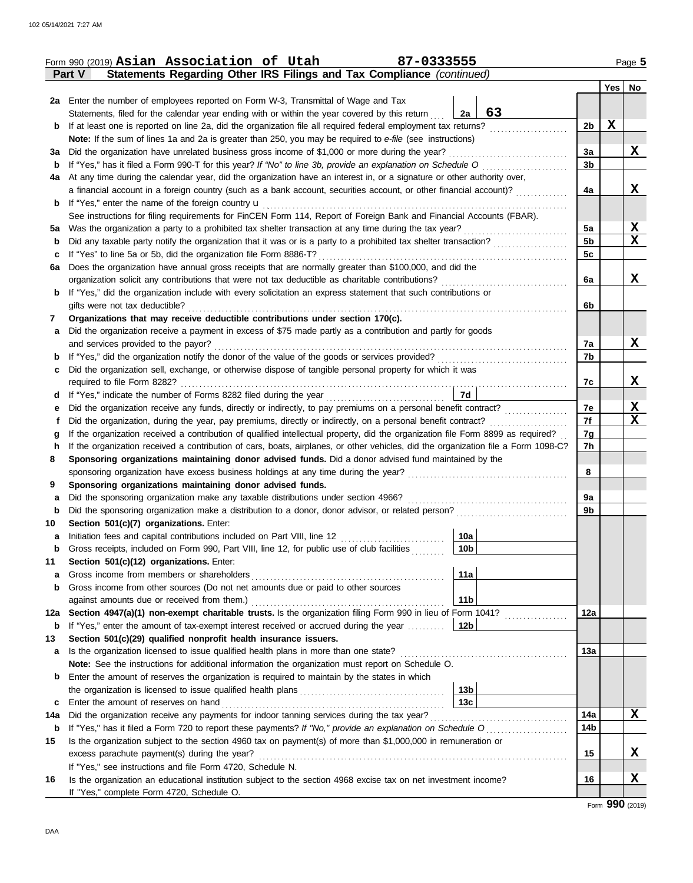|     | 87-0333555<br>Form 990 (2019) Asian Association of Utah                                                                            |                 |                 |     | Page 5      |
|-----|------------------------------------------------------------------------------------------------------------------------------------|-----------------|-----------------|-----|-------------|
|     | Statements Regarding Other IRS Filings and Tax Compliance (continued)<br>Part V                                                    |                 |                 |     |             |
|     |                                                                                                                                    |                 |                 | Yes | No          |
|     | 2a Enter the number of employees reported on Form W-3, Transmittal of Wage and Tax                                                 |                 |                 |     |             |
|     | Statements, filed for the calendar year ending with or within the year covered by this return                                      | 63<br>2a        |                 |     |             |
| b   | If at least one is reported on line 2a, did the organization file all required federal employment tax returns?                     |                 | 2 <sub>b</sub>  | X   |             |
|     | Note: If the sum of lines 1a and 2a is greater than 250, you may be required to e-file (see instructions)                          |                 |                 |     |             |
| За  | Did the organization have unrelated business gross income of \$1,000 or more during the year?                                      |                 | За              |     | X           |
| b   | If "Yes," has it filed a Form 990-T for this year? If "No" to line 3b, provide an explanation on Schedule O                        |                 | 3 <sub>b</sub>  |     |             |
| 4a  | At any time during the calendar year, did the organization have an interest in, or a signature or other authority over,            |                 |                 |     |             |
|     | a financial account in a foreign country (such as a bank account, securities account, or other financial account)?                 |                 | 4a              |     | X           |
| b   | If "Yes," enter the name of the foreign country <b>u</b>                                                                           |                 |                 |     |             |
|     | See instructions for filing requirements for FinCEN Form 114, Report of Foreign Bank and Financial Accounts (FBAR).                |                 |                 |     |             |
|     |                                                                                                                                    |                 |                 |     | $\mathbf x$ |
| 5а  | Was the organization a party to a prohibited tax shelter transaction at any time during the tax year?                              |                 | 5a<br><b>5b</b> |     | x           |
| b   | Did any taxable party notify the organization that it was or is a party to a prohibited tax shelter transaction?                   |                 |                 |     |             |
| c   | If "Yes" to line 5a or 5b, did the organization file Form 8886-T?                                                                  |                 | 5c              |     |             |
| 6a  | Does the organization have annual gross receipts that are normally greater than \$100,000, and did the                             |                 |                 |     |             |
|     | organization solicit any contributions that were not tax deductible as charitable contributions?                                   |                 | 6a              |     | X           |
| b   | If "Yes," did the organization include with every solicitation an express statement that such contributions or                     |                 |                 |     |             |
|     | gifts were not tax deductible?                                                                                                     |                 | 6b              |     |             |
| 7   | Organizations that may receive deductible contributions under section 170(c).                                                      |                 |                 |     |             |
| a   | Did the organization receive a payment in excess of \$75 made partly as a contribution and partly for goods                        |                 |                 |     |             |
|     | and services provided to the payor?                                                                                                |                 | 7a              |     | X           |
| b   |                                                                                                                                    |                 | 7b              |     |             |
| c   | Did the organization sell, exchange, or otherwise dispose of tangible personal property for which it was                           |                 |                 |     |             |
|     | required to file Form 8282?                                                                                                        |                 | 7c              |     | X           |
| d   | If "Yes," indicate the number of Forms 8282 filed during the year                                                                  | 7d              |                 |     |             |
| е   | Did the organization receive any funds, directly or indirectly, to pay premiums on a personal benefit contract?                    |                 | 7е              |     | X           |
| t   | Did the organization, during the year, pay premiums, directly or indirectly, on a personal benefit contract?                       |                 | 7f              |     | $\mathbf x$ |
| g   | If the organization received a contribution of qualified intellectual property, did the organization file Form 8899 as required?   |                 | 7g              |     |             |
| h   | If the organization received a contribution of cars, boats, airplanes, or other vehicles, did the organization file a Form 1098-C? |                 | 7h              |     |             |
| 8   | Sponsoring organizations maintaining donor advised funds. Did a donor advised fund maintained by the                               |                 |                 |     |             |
|     |                                                                                                                                    |                 | 8               |     |             |
| 9   |                                                                                                                                    |                 |                 |     |             |
|     | Sponsoring organizations maintaining donor advised funds.                                                                          |                 |                 |     |             |
| a   | Did the sponsoring organization make any taxable distributions under section 4966?                                                 |                 | 9a              |     |             |
| b   | Did the sponsoring organization make a distribution to a donor, donor advisor, or related person?                                  |                 | 9b              |     |             |
| 10  | Section 501(c)(7) organizations. Enter:                                                                                            |                 |                 |     |             |
|     | Initiation fees and capital contributions included on Part VIII, line 12                                                           | 10a             |                 |     |             |
| b   | Gross receipts, included on Form 990, Part VIII, line 12, for public use of club facilities                                        | 10b             |                 |     |             |
| 11  | Section 501(c)(12) organizations. Enter:                                                                                           |                 |                 |     |             |
| a   | Gross income from members or shareholders                                                                                          | 11a             |                 |     |             |
| b   | Gross income from other sources (Do not net amounts due or paid to other sources                                                   |                 |                 |     |             |
|     | against amounts due or received from them.)                                                                                        | 11 <sub>b</sub> |                 |     |             |
| 12a | Section 4947(a)(1) non-exempt charitable trusts. Is the organization filing Form 990 in lieu of Form 1041?                         |                 | 12a             |     |             |
| b   | If "Yes," enter the amount of tax-exempt interest received or accrued during the year                                              | 12 <sub>b</sub> |                 |     |             |
| 13  | Section 501(c)(29) qualified nonprofit health insurance issuers.                                                                   |                 |                 |     |             |
| a   | Is the organization licensed to issue qualified health plans in more than one state?                                               |                 | 13а             |     |             |
|     | Note: See the instructions for additional information the organization must report on Schedule O.                                  |                 |                 |     |             |
| b   | Enter the amount of reserves the organization is required to maintain by the states in which                                       |                 |                 |     |             |
|     |                                                                                                                                    | 13 <sub>b</sub> |                 |     |             |
| c   | Enter the amount of reserves on hand                                                                                               | 13 <sub>c</sub> |                 |     |             |
| 14a | Did the organization receive any payments for indoor tanning services during the tax year?                                         |                 | 14a             |     | X           |
| b   | If "Yes," has it filed a Form 720 to report these payments? If "No," provide an explanation on Schedule O                          |                 | 14b             |     |             |
| 15  | Is the organization subject to the section 4960 tax on payment(s) of more than \$1,000,000 in remuneration or                      |                 |                 |     |             |
|     | excess parachute payment(s) during the year?                                                                                       |                 | 15              |     | <u>x</u>    |
|     |                                                                                                                                    |                 |                 |     |             |
|     | If "Yes," see instructions and file Form 4720, Schedule N.                                                                         |                 |                 |     | X           |
| 16  | Is the organization an educational institution subject to the section 4968 excise tax on net investment income?                    |                 | 16              |     |             |
|     | If "Yes," complete Form 4720, Schedule O.                                                                                          |                 |                 |     |             |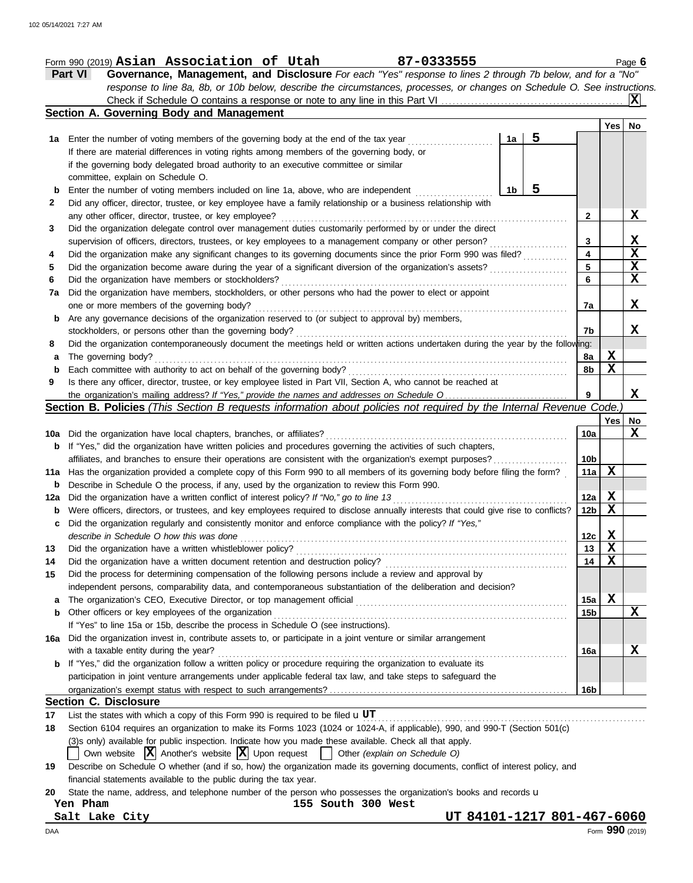|        | Part VI<br>Governance, Management, and Disclosure For each "Yes" response to lines 2 through 7b below, and for a "No"                                                                                                          |                 |                  |                                                     |
|--------|--------------------------------------------------------------------------------------------------------------------------------------------------------------------------------------------------------------------------------|-----------------|------------------|-----------------------------------------------------|
|        | response to line 8a, 8b, or 10b below, describe the circumstances, processes, or changes on Schedule O. See instructions.                                                                                                      |                 |                  | ΙXΙ                                                 |
|        | Section A. Governing Body and Management                                                                                                                                                                                       |                 |                  |                                                     |
|        |                                                                                                                                                                                                                                |                 | Yes              | No.                                                 |
| 1a     | 5<br>Enter the number of voting members of the governing body at the end of the tax year<br>1a                                                                                                                                 |                 |                  |                                                     |
|        | If there are material differences in voting rights among members of the governing body, or                                                                                                                                     |                 |                  |                                                     |
|        | if the governing body delegated broad authority to an executive committee or similar                                                                                                                                           |                 |                  |                                                     |
|        | committee, explain on Schedule O.                                                                                                                                                                                              |                 |                  |                                                     |
| b      | 5<br>Enter the number of voting members included on line 1a, above, who are independent<br>1b                                                                                                                                  |                 |                  |                                                     |
| 2      | Did any officer, director, trustee, or key employee have a family relationship or a business relationship with                                                                                                                 |                 |                  |                                                     |
|        | any other officer, director, trustee, or key employee?                                                                                                                                                                         | $\mathbf{2}$    |                  | $\mathbf x$                                         |
| 3      | Did the organization delegate control over management duties customarily performed by or under the direct                                                                                                                      |                 |                  |                                                     |
|        | supervision of officers, directors, trustees, or key employees to a management company or other person?                                                                                                                        | 3<br>4          |                  | $\underline{\mathbf{x}}$<br>$\overline{\mathbf{x}}$ |
| 4<br>5 | Did the organization make any significant changes to its governing documents since the prior Form 990 was filed?<br>Did the organization become aware during the year of a significant diversion of the organization's assets? | 5               |                  | $\overline{\mathbf{x}}$                             |
| 6      | Did the organization have members or stockholders?                                                                                                                                                                             | 6               |                  | $\overline{\mathbf{x}}$                             |
| 7a     | Did the organization have members, stockholders, or other persons who had the power to elect or appoint                                                                                                                        |                 |                  |                                                     |
|        | one or more members of the governing body?                                                                                                                                                                                     | 7a              |                  | X                                                   |
| b      | Are any governance decisions of the organization reserved to (or subject to approval by) members,                                                                                                                              |                 |                  |                                                     |
|        | stockholders, or persons other than the governing body?                                                                                                                                                                        | 7b              |                  | x                                                   |
| 8      | Did the organization contemporaneously document the meetings held or written actions undertaken during the year by the following:                                                                                              |                 |                  |                                                     |
| a      | The governing body?                                                                                                                                                                                                            | 8a              | x                |                                                     |
| b      | Each committee with authority to act on behalf of the governing body?                                                                                                                                                          | 8b              | х                |                                                     |
| 9      | Is there any officer, director, trustee, or key employee listed in Part VII, Section A, who cannot be reached at                                                                                                               |                 |                  |                                                     |
|        |                                                                                                                                                                                                                                | 9               |                  | X                                                   |
|        | <b>Section B. Policies</b> (This Section B requests information about policies not required by the Internal Revenue Code.                                                                                                      |                 |                  |                                                     |
|        |                                                                                                                                                                                                                                |                 | Yes              | No                                                  |
| 10a    | Did the organization have local chapters, branches, or affiliates?                                                                                                                                                             | 10a             |                  | X                                                   |
| b      | If "Yes," did the organization have written policies and procedures governing the activities of such chapters,                                                                                                                 |                 |                  |                                                     |
|        | affiliates, and branches to ensure their operations are consistent with the organization's exempt purposes?                                                                                                                    | 10 <sub>b</sub> |                  |                                                     |
| 11a    | Has the organization provided a complete copy of this Form 990 to all members of its governing body before filing the form?                                                                                                    | 11a             | X                |                                                     |
| b      | Describe in Schedule O the process, if any, used by the organization to review this Form 990.                                                                                                                                  |                 |                  |                                                     |
| 12a    | Did the organization have a written conflict of interest policy? If "No," go to line 13                                                                                                                                        | 12a             | X                |                                                     |
| b      | Were officers, directors, or trustees, and key employees required to disclose annually interests that could give rise to conflicts?                                                                                            | 12 <sub>b</sub> | Х                |                                                     |
| c      | Did the organization regularly and consistently monitor and enforce compliance with the policy? If "Yes,"                                                                                                                      |                 |                  |                                                     |
|        | describe in Schedule O how this was done                                                                                                                                                                                       | 12c             | X<br>$\mathbf x$ |                                                     |
|        | Did the organization have a written whistleblower policy?                                                                                                                                                                      | 13<br>14        | $\mathbf x$      |                                                     |
| 14     | Did the process for determining compensation of the following persons include a review and approval by                                                                                                                         |                 |                  |                                                     |
| 15     | independent persons, comparability data, and contemporaneous substantiation of the deliberation and decision?                                                                                                                  |                 |                  |                                                     |
| a      |                                                                                                                                                                                                                                | 15a             | X                |                                                     |
| b      | Other officers or key employees of the organization                                                                                                                                                                            | 15b             |                  | X                                                   |
|        | If "Yes" to line 15a or 15b, describe the process in Schedule O (see instructions).                                                                                                                                            |                 |                  |                                                     |
| 16a    | Did the organization invest in, contribute assets to, or participate in a joint venture or similar arrangement                                                                                                                 |                 |                  |                                                     |
|        | with a taxable entity during the year?                                                                                                                                                                                         | 16a             |                  | X                                                   |
| b      | If "Yes," did the organization follow a written policy or procedure requiring the organization to evaluate its                                                                                                                 |                 |                  |                                                     |
|        | participation in joint venture arrangements under applicable federal tax law, and take steps to safeguard the                                                                                                                  |                 |                  |                                                     |
|        |                                                                                                                                                                                                                                | 16b             |                  |                                                     |
|        | <b>Section C. Disclosure</b>                                                                                                                                                                                                   |                 |                  |                                                     |
| 17     | List the states with which a copy of this Form 990 is required to be filed $\mathbf{u}$ UT                                                                                                                                     |                 |                  |                                                     |
| 18     | Section 6104 requires an organization to make its Forms 1023 (1024 or 1024-A, if applicable), 990, and 990-T (Section 501(c)                                                                                                   |                 |                  |                                                     |
|        | (3)s only) available for public inspection. Indicate how you made these available. Check all that apply.                                                                                                                       |                 |                  |                                                     |
|        | Own website $ \mathbf{X} $ Another's website $ \mathbf{X} $ Upon request $ \mathbf{X} $ Other (explain on Schedule O)                                                                                                          |                 |                  |                                                     |
| 19     | Describe on Schedule O whether (and if so, how) the organization made its governing documents, conflict of interest policy, and                                                                                                |                 |                  |                                                     |
|        | financial statements available to the public during the tax year.                                                                                                                                                              |                 |                  |                                                     |
| 20     | State the name, address, and telephone number of the person who possesses the organization's books and records u                                                                                                               |                 |                  |                                                     |
|        | 155 South 300 West<br>Yen Pham                                                                                                                                                                                                 |                 |                  |                                                     |
|        | UT 84101-1217 801-467-6060<br>Salt Lake City                                                                                                                                                                                   |                 | Form 990 (2019)  |                                                     |
| DAA    |                                                                                                                                                                                                                                |                 |                  |                                                     |

**Asian Association of Utah 87-0333555**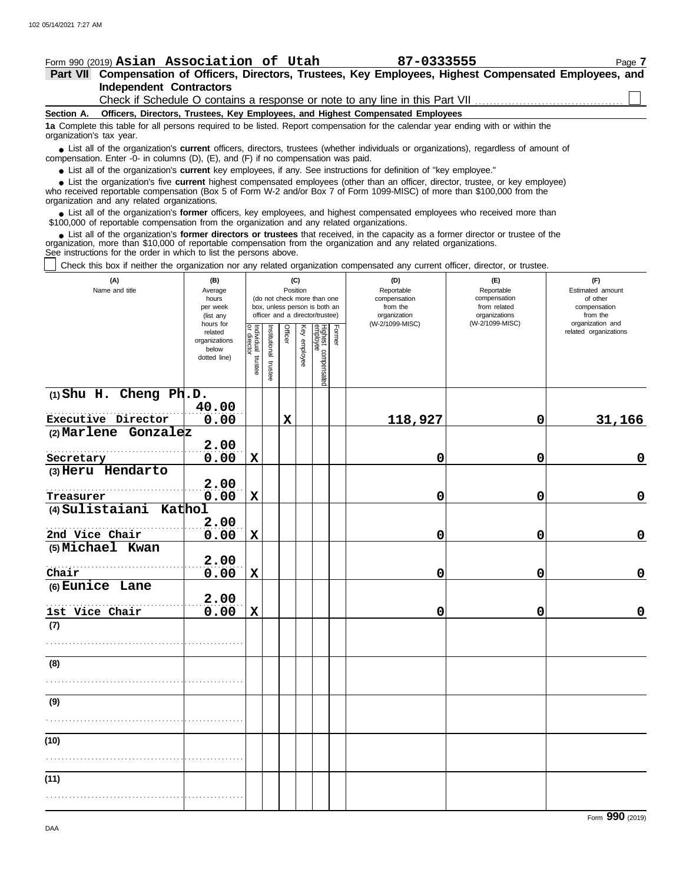**Section A.**

organization's tax year.

**Independent Contractors**

compensation. Enter -0- in columns (D), (E), and (F) if no compensation was paid.

#### ■ List the organization's five **current** highest compensated employees (other than an officer, director, trustee, or key employee)<br>
a received reportable compensation (Box 5 of Form W-2 and/or Box 7 of Form 1099-MISC) of who received reportable compensation (Box 5 of Form W-2 and/or Box 7 of Form 1099-MISC) of more than \$100,000 from the organization and any related organizations. ■ List all of the organization's **former** officers, key employees, and highest compensated employees who received more than<br>00,000 of reportable compensation from the organization and any related organizations \$100,000 of reportable compensation from the organization and any related organizations. ■ List all of the organization's **former directors or trustees** that received, in the capacity as a former director or trustee of the<br>enization, more than \$10,000 of reportable compensation from the organization and any r organization, more than \$10,000 of reportable compensation from the organization and any related organizations. See instructions for the order in which to list the persons above. Check this box if neither the organization nor any related organization compensated any current officer, director, or trustee. **(A) (B) (C) (D) (E) (F)** Reportable Name and title **Name and title Contract Contract Average** Position Average Reportable Estimated amount compensation (do not check more than one hours compensation<br>from the of other box, unless person is both an per week from the state of the from related and the compensation officer and a director/trustee) organization organizations from the (list any organization and (W-2/1099-MISC) (W-2/1099-MISC) hours for or director Key employee Former Individual trustee Institutional trustee related ndividual éy related organizations Istitutional Officer ighest compensatec<br>mployee organizations enployee below dotted line) trustee trustee **(1) Shu H. Cheng Ph.D. 40.00 Executive Director 10.00 0.00 X 118,927 0 31,166 (2) Marlene Gonzalez 2.00** . . . . . . . . . . . . . . . . . . . . . . . . . . . . . . . . . . . . . . . . . . . . . . . . . . . . . **Secretary 0.00 X 0 0 0 (3) Heru Hendarto 2.00** . . . . . . . . . . . . . . . . . . . . . . . . . . . . . . . . . . . . . . . . . . . . . . . . . . . . . **Treasurer 0.00 X 0 0 0 (4) Sulistaiani Kathol 2.00** . . . . . . . . . . . . . . . . . . . . . . . . . . . . . . . . . . . . . . . . . . . . . . . . . . . . . **0.00 X 0 0 0 2nd Vice Chair**

**(5) Michael Kwan** . . . . . . . . . . . . . . . . . . . . . . . . . . . . . . . . . . . . . . . . . . . . . . . . . . . . . **2.00**

**Officers, Directors, Trustees, Key Employees, and Highest Compensated Employees 1a** Complete this table for all persons required to be listed. Report compensation for the calendar year ending with or within the

Check if Schedule O contains a response or note to any line in this Part VII

● List all of the organization's **current** key employees, if any. See instructions for definition of "key employee."

■ List all of the organization's **current** officers, directors, trustees (whether individuals or organizations), regardless of amount of the organization Enter -0- in columns (D), (E), and (E) if no compensation was paid

**(6) Eunice Lane (7) (8) (9) (10) (11)** . . . . . . . . . . . . . . . . . . . . . . . . . . . . . . . . . . . . . . . . . . . . . . . . . . . . . . . . . . . . . . . . . . . . . . . . . . . . . . . . . . . . . . . . . . . . . . . . . . . . . . . . . . . . . . . . . . . . . . . . . . . . . . . . . . . . . . . . . . . . . . . . . . . . . . . . . . . . . . . . . . . . . . . . . . . . . . . . . . . . . . . . . . . . . . . . . . . . . . . . . . . . . . . . . . . . . . . . . . . . . . . . . . . . . . . . . . . . . . . . . . . . . . . . . . . . . . . . . . . . . . . . . . . . . . . . . . . . . . . . . . . . . . . . . . . . . . . . . . . . . . . . . . . . . . . . . . . . . . **Chair 0.00 X 0 0 0 1st Vice Chair 2.00 0.00 X 0 0 0**

## Form 990 (2019) Page **7 Asian Association of Utah 87-0333555**

**Part VII Compensation of Officers, Directors, Trustees, Key Employees, Highest Compensated Employees, and**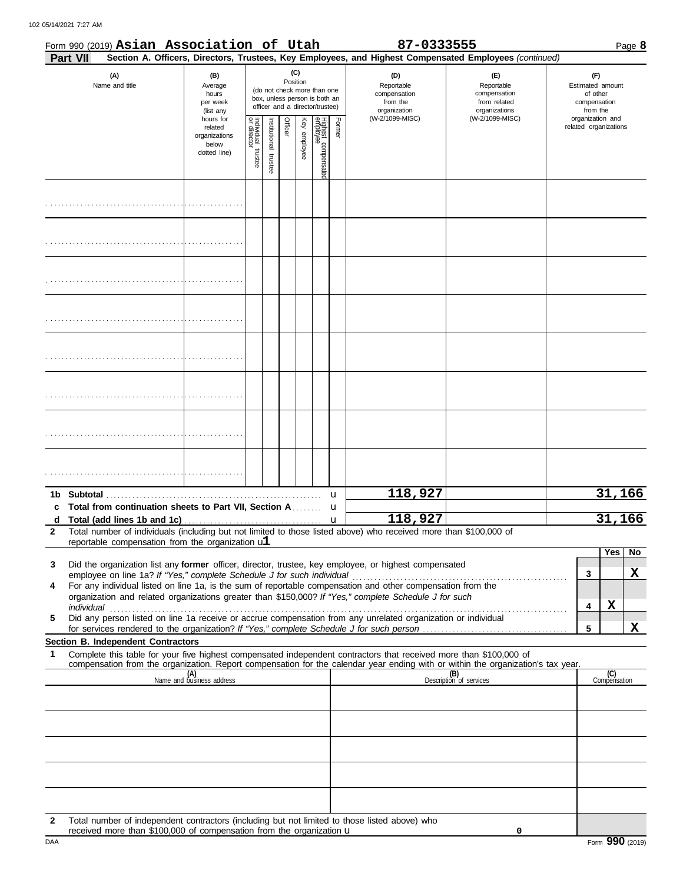|                                                                                                                                                                                                                                                             | Form 990 (2019) Asian Association of Utah                                                                                                                                                                            |                                                                |                                   |                          |          |              |                                                                                                 |                   | 87-0333555                                                    |                                                                                                        |                                                                 |                     | Page 8         |
|-------------------------------------------------------------------------------------------------------------------------------------------------------------------------------------------------------------------------------------------------------------|----------------------------------------------------------------------------------------------------------------------------------------------------------------------------------------------------------------------|----------------------------------------------------------------|-----------------------------------|--------------------------|----------|--------------|-------------------------------------------------------------------------------------------------|-------------------|---------------------------------------------------------------|--------------------------------------------------------------------------------------------------------|-----------------------------------------------------------------|---------------------|----------------|
|                                                                                                                                                                                                                                                             | <b>Part VII</b>                                                                                                                                                                                                      |                                                                |                                   |                          |          |              |                                                                                                 |                   |                                                               | Section A. Officers, Directors, Trustees, Key Employees, and Highest Compensated Employees (continued) |                                                                 |                     |                |
|                                                                                                                                                                                                                                                             | (A)<br>Name and title                                                                                                                                                                                                | (B)<br>Average<br>hours<br>per week<br>(list any               |                                   |                          | Position | (C)          | (do not check more than one<br>box, unless person is both an<br>officer and a director/trustee) |                   | (D)<br>Reportable<br>compensation<br>from the<br>organization | (F)<br>Reportable<br>compensation<br>from related<br>organizations                                     | (F)<br>Estimated amount<br>of other<br>compensation<br>from the |                     |                |
|                                                                                                                                                                                                                                                             |                                                                                                                                                                                                                      | hours for<br>related<br>organizations<br>below<br>dotted line) | Individual trustee<br>or director | Institutional<br>trustee | Officer  | Key employee | Highest compensated<br>employee                                                                 | Former            | (W-2/1099-MISC)                                               | (W-2/1099-MISC)                                                                                        | organization and<br>related organizations                       |                     |                |
|                                                                                                                                                                                                                                                             |                                                                                                                                                                                                                      |                                                                |                                   |                          |          |              |                                                                                                 |                   |                                                               |                                                                                                        |                                                                 |                     |                |
|                                                                                                                                                                                                                                                             |                                                                                                                                                                                                                      |                                                                |                                   |                          |          |              |                                                                                                 |                   |                                                               |                                                                                                        |                                                                 |                     |                |
|                                                                                                                                                                                                                                                             |                                                                                                                                                                                                                      |                                                                |                                   |                          |          |              |                                                                                                 |                   |                                                               |                                                                                                        |                                                                 |                     |                |
|                                                                                                                                                                                                                                                             |                                                                                                                                                                                                                      |                                                                |                                   |                          |          |              |                                                                                                 |                   |                                                               |                                                                                                        |                                                                 |                     |                |
|                                                                                                                                                                                                                                                             |                                                                                                                                                                                                                      |                                                                |                                   |                          |          |              |                                                                                                 |                   |                                                               |                                                                                                        |                                                                 |                     |                |
|                                                                                                                                                                                                                                                             |                                                                                                                                                                                                                      |                                                                |                                   |                          |          |              |                                                                                                 |                   |                                                               |                                                                                                        |                                                                 |                     |                |
|                                                                                                                                                                                                                                                             |                                                                                                                                                                                                                      |                                                                |                                   |                          |          |              |                                                                                                 |                   |                                                               |                                                                                                        |                                                                 |                     |                |
|                                                                                                                                                                                                                                                             |                                                                                                                                                                                                                      |                                                                |                                   |                          |          |              |                                                                                                 |                   |                                                               |                                                                                                        |                                                                 |                     |                |
|                                                                                                                                                                                                                                                             |                                                                                                                                                                                                                      |                                                                |                                   |                          |          |              |                                                                                                 | u                 | 118,927                                                       |                                                                                                        |                                                                 |                     | 31,166         |
| a                                                                                                                                                                                                                                                           | Total from continuation sheets to Part VII, Section A                                                                                                                                                                |                                                                |                                   |                          |          |              |                                                                                                 | u<br>$\mathbf{u}$ | 118,927                                                       |                                                                                                        |                                                                 | 31,166              |                |
| $\mathbf{2}$                                                                                                                                                                                                                                                | Total number of individuals (including but not limited to those listed above) who received more than \$100,000 of                                                                                                    |                                                                |                                   |                          |          |              |                                                                                                 |                   |                                                               |                                                                                                        |                                                                 |                     |                |
|                                                                                                                                                                                                                                                             | reportable compensation from the organization $ul$                                                                                                                                                                   |                                                                |                                   |                          |          |              |                                                                                                 |                   |                                                               |                                                                                                        |                                                                 |                     |                |
| 3                                                                                                                                                                                                                                                           | Did the organization list any former officer, director, trustee, key employee, or highest compensated                                                                                                                |                                                                |                                   |                          |          |              |                                                                                                 |                   |                                                               |                                                                                                        |                                                                 | Yes                 | $\overline{N}$ |
|                                                                                                                                                                                                                                                             | employee on line 1a? If "Yes," complete Schedule J for such individual                                                                                                                                               |                                                                |                                   |                          |          |              |                                                                                                 |                   |                                                               |                                                                                                        | 3                                                               |                     | $\mathbf{x}$   |
| 4                                                                                                                                                                                                                                                           | For any individual listed on line 1a, is the sum of reportable compensation and other compensation from the<br>organization and related organizations greater than \$150,000? If "Yes," complete Schedule J for such |                                                                |                                   |                          |          |              |                                                                                                 |                   |                                                               |                                                                                                        |                                                                 |                     |                |
|                                                                                                                                                                                                                                                             |                                                                                                                                                                                                                      |                                                                |                                   |                          |          |              |                                                                                                 |                   |                                                               |                                                                                                        | 4                                                               | X                   |                |
| 5                                                                                                                                                                                                                                                           | Did any person listed on line 1a receive or accrue compensation from any unrelated organization or individual                                                                                                        |                                                                |                                   |                          |          |              |                                                                                                 |                   |                                                               |                                                                                                        | 5                                                               |                     | X              |
|                                                                                                                                                                                                                                                             | Section B. Independent Contractors                                                                                                                                                                                   |                                                                |                                   |                          |          |              |                                                                                                 |                   |                                                               |                                                                                                        |                                                                 |                     |                |
| Complete this table for your five highest compensated independent contractors that received more than \$100,000 of<br>1<br>compensation from the organization. Report compensation for the calendar year ending with or within the organization's tax year. |                                                                                                                                                                                                                      |                                                                |                                   |                          |          |              |                                                                                                 |                   |                                                               |                                                                                                        |                                                                 |                     |                |
|                                                                                                                                                                                                                                                             |                                                                                                                                                                                                                      | (A)<br>Name and business address                               |                                   |                          |          |              |                                                                                                 |                   |                                                               | (B)<br>Description of services                                                                         |                                                                 | (C)<br>Compensation |                |
|                                                                                                                                                                                                                                                             |                                                                                                                                                                                                                      |                                                                |                                   |                          |          |              |                                                                                                 |                   |                                                               |                                                                                                        |                                                                 |                     |                |
|                                                                                                                                                                                                                                                             |                                                                                                                                                                                                                      |                                                                |                                   |                          |          |              |                                                                                                 |                   |                                                               |                                                                                                        |                                                                 |                     |                |
|                                                                                                                                                                                                                                                             |                                                                                                                                                                                                                      |                                                                |                                   |                          |          |              |                                                                                                 |                   |                                                               |                                                                                                        |                                                                 |                     |                |
|                                                                                                                                                                                                                                                             |                                                                                                                                                                                                                      |                                                                |                                   |                          |          |              |                                                                                                 |                   |                                                               |                                                                                                        |                                                                 |                     |                |
|                                                                                                                                                                                                                                                             |                                                                                                                                                                                                                      |                                                                |                                   |                          |          |              |                                                                                                 |                   |                                                               |                                                                                                        |                                                                 |                     |                |
|                                                                                                                                                                                                                                                             |                                                                                                                                                                                                                      |                                                                |                                   |                          |          |              |                                                                                                 |                   |                                                               |                                                                                                        |                                                                 |                     |                |

**2** Total number of independent contractors (including but not limited to those listed above) who received more than \$100,000 of compensation from the organization u

**0**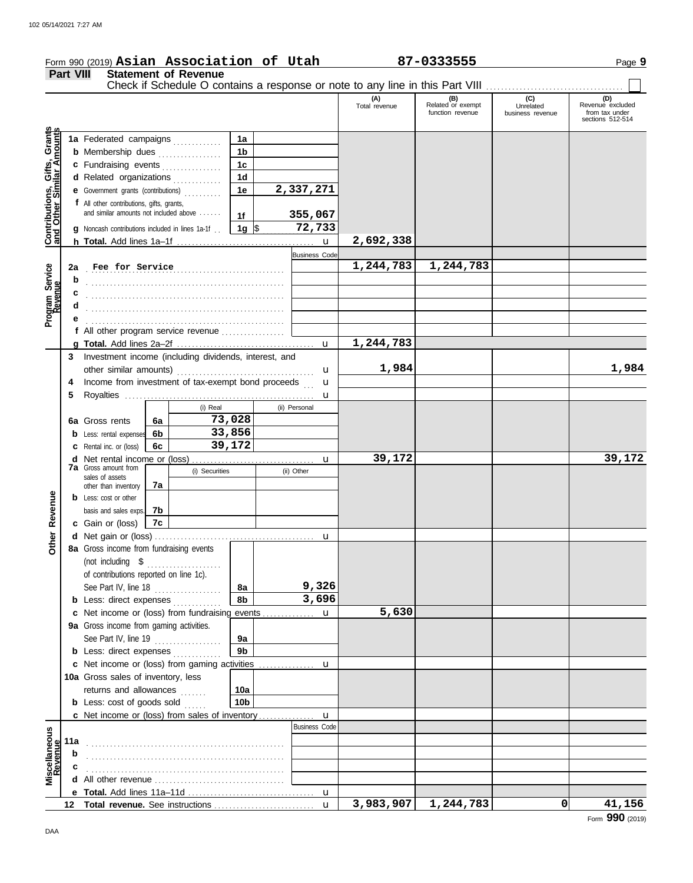|                                                           |                  | Form 990 (2019) Asian Association of Utah                           |                                                    |                             |                 |  |                      |                                                                                      | 87-0333555                                   |                               | Page 9                                                 |
|-----------------------------------------------------------|------------------|---------------------------------------------------------------------|----------------------------------------------------|-----------------------------|-----------------|--|----------------------|--------------------------------------------------------------------------------------|----------------------------------------------|-------------------------------|--------------------------------------------------------|
|                                                           | <b>Part VIII</b> |                                                                     |                                                    | <b>Statement of Revenue</b> |                 |  |                      |                                                                                      |                                              |                               |                                                        |
|                                                           |                  |                                                                     |                                                    |                             |                 |  |                      | Check if Schedule O contains a response or note to any line in this Part VIII<br>(A) |                                              | (C)                           | (D)                                                    |
|                                                           |                  |                                                                     |                                                    |                             |                 |  |                      | Total revenue                                                                        | (B)<br>Related or exempt<br>function revenue | Unrelated<br>business revenue | Revenue excluded<br>from tax under<br>sections 512-514 |
| Contributions, Gifts, Grants<br>and Other Similar Amounts |                  | 1a Federated campaigns                                              |                                                    |                             | 1a              |  |                      |                                                                                      |                                              |                               |                                                        |
|                                                           |                  | <b>b</b> Membership dues <i>[[[[[[[[[[[[[[[[[[[[[[[[[[[[]]]</i> ]]] |                                                    |                             | 1 <sub>b</sub>  |  |                      |                                                                                      |                                              |                               |                                                        |
|                                                           |                  | c Fundraising events                                                |                                                    |                             | 1 <sub>c</sub>  |  |                      |                                                                                      |                                              |                               |                                                        |
|                                                           |                  | d Related organizations                                             |                                                    |                             | 1 <sub>d</sub>  |  |                      |                                                                                      |                                              |                               |                                                        |
|                                                           |                  | <b>e</b> Government grants (contributions)                          |                                                    |                             | 1e              |  | 2,337,271            |                                                                                      |                                              |                               |                                                        |
|                                                           |                  | <b>f</b> All other contributions, gifts, grants,                    |                                                    |                             |                 |  |                      |                                                                                      |                                              |                               |                                                        |
|                                                           |                  | and similar amounts not included above                              |                                                    |                             | 1f              |  | 355,067              |                                                                                      |                                              |                               |                                                        |
|                                                           |                  | <b>g</b> Noncash contributions included in lines 1a-1f.             |                                                    |                             | 1g $\sqrt{5}$   |  | 72,733               |                                                                                      |                                              |                               |                                                        |
|                                                           |                  |                                                                     |                                                    |                             |                 |  |                      | 2,692,338                                                                            |                                              |                               |                                                        |
|                                                           |                  |                                                                     |                                                    |                             |                 |  | <b>Business Code</b> |                                                                                      |                                              |                               |                                                        |
|                                                           | 2a               | Fee for Service <b>Fee Service</b>                                  |                                                    |                             |                 |  |                      | 1,244,783                                                                            | 1,244,783                                    |                               |                                                        |
|                                                           | b                |                                                                     |                                                    |                             |                 |  |                      |                                                                                      |                                              |                               |                                                        |
|                                                           | c                |                                                                     |                                                    |                             |                 |  |                      |                                                                                      |                                              |                               |                                                        |
| Program Service<br>Revenue                                | d                |                                                                     |                                                    |                             |                 |  |                      |                                                                                      |                                              |                               |                                                        |
|                                                           |                  |                                                                     |                                                    |                             |                 |  |                      |                                                                                      |                                              |                               |                                                        |
|                                                           |                  | f All other program service revenue                                 |                                                    |                             |                 |  |                      |                                                                                      |                                              |                               |                                                        |
|                                                           |                  |                                                                     |                                                    |                             |                 |  | $\mathbf u$          | 1,244,783                                                                            |                                              |                               |                                                        |
|                                                           |                  | Investment income (including dividends, interest, and               |                                                    |                             |                 |  |                      |                                                                                      |                                              |                               |                                                        |
|                                                           |                  | other similar amounts)                                              |                                                    |                             |                 |  | u                    | 1,984                                                                                |                                              |                               | 1,984                                                  |
|                                                           |                  |                                                                     | Income from investment of tax-exempt bond proceeds |                             |                 |  | u                    |                                                                                      |                                              |                               |                                                        |
|                                                           | 5                |                                                                     |                                                    | (i) Real                    |                 |  | u<br>(ii) Personal   |                                                                                      |                                              |                               |                                                        |
|                                                           |                  |                                                                     |                                                    |                             | 73,028          |  |                      |                                                                                      |                                              |                               |                                                        |
|                                                           |                  | <b>6a</b> Gross rents                                               | 6a<br>6b                                           |                             | 33,856          |  |                      |                                                                                      |                                              |                               |                                                        |
|                                                           |                  | <b>b</b> Less: rental expenses<br><b>c</b> Rental inc. or (loss)    | 6c                                                 |                             | 39,172          |  |                      |                                                                                      |                                              |                               |                                                        |
|                                                           |                  |                                                                     |                                                    |                             |                 |  | u                    | 39,172                                                                               |                                              |                               | 39,172                                                 |
|                                                           |                  | <b>7a</b> Gross amount from                                         |                                                    | (i) Securities              |                 |  | (ii) Other           |                                                                                      |                                              |                               |                                                        |
|                                                           |                  | sales of assets<br>other than inventory                             | 7a                                                 |                             |                 |  |                      |                                                                                      |                                              |                               |                                                        |
|                                                           |                  | <b>b</b> Less: cost or other                                        |                                                    |                             |                 |  |                      |                                                                                      |                                              |                               |                                                        |
| Revenue                                                   |                  | basis and sales exps.                                               | 7b                                                 |                             |                 |  |                      |                                                                                      |                                              |                               |                                                        |
|                                                           |                  | c Gain or (loss)                                                    | 7c                                                 |                             |                 |  |                      |                                                                                      |                                              |                               |                                                        |
|                                                           |                  | d Net gain or (loss)                                                |                                                    |                             |                 |  |                      |                                                                                      |                                              |                               |                                                        |
| <b>Other</b>                                              |                  | 8a Gross income from fundraising events                             |                                                    |                             |                 |  |                      |                                                                                      |                                              |                               |                                                        |
|                                                           |                  | (not including \$                                                   |                                                    | . <b>.</b> .                |                 |  |                      |                                                                                      |                                              |                               |                                                        |
|                                                           |                  | of contributions reported on line 1c).                              |                                                    |                             |                 |  |                      |                                                                                      |                                              |                               |                                                        |
|                                                           |                  | See Part IV, line 18 $\ldots$                                       |                                                    |                             | 8а              |  | 9,326                |                                                                                      |                                              |                               |                                                        |
|                                                           |                  | <b>b</b> Less: direct expenses                                      |                                                    |                             | 8b              |  | 3,696                |                                                                                      |                                              |                               |                                                        |
|                                                           |                  |                                                                     |                                                    |                             |                 |  |                      | 5,630                                                                                |                                              |                               |                                                        |
|                                                           |                  | 9a Gross income from gaming activities.                             |                                                    |                             |                 |  |                      |                                                                                      |                                              |                               |                                                        |
|                                                           |                  | See Part IV, line 19                                                |                                                    |                             | 9a              |  |                      |                                                                                      |                                              |                               |                                                        |
|                                                           |                  | <b>b</b> Less: direct expenses                                      |                                                    |                             | 9 <sub>b</sub>  |  |                      |                                                                                      |                                              |                               |                                                        |
|                                                           |                  |                                                                     |                                                    |                             |                 |  |                      |                                                                                      |                                              |                               |                                                        |
|                                                           |                  | 10a Gross sales of inventory, less                                  |                                                    |                             |                 |  |                      |                                                                                      |                                              |                               |                                                        |
|                                                           |                  | returns and allowances                                              |                                                    |                             | 10a             |  |                      |                                                                                      |                                              |                               |                                                        |
|                                                           |                  | <b>b</b> Less: cost of goods sold                                   |                                                    |                             | 10 <sub>b</sub> |  |                      |                                                                                      |                                              |                               |                                                        |
|                                                           |                  | c Net income or (loss) from sales of inventory                      |                                                    |                             |                 |  | u                    |                                                                                      |                                              |                               |                                                        |
| Miscellaneous<br>Revenue                                  |                  |                                                                     |                                                    |                             |                 |  | <b>Business Code</b> |                                                                                      |                                              |                               |                                                        |
|                                                           | 11a              |                                                                     |                                                    |                             |                 |  |                      |                                                                                      |                                              |                               |                                                        |
|                                                           | b                |                                                                     |                                                    |                             |                 |  |                      |                                                                                      |                                              |                               |                                                        |
|                                                           |                  |                                                                     |                                                    |                             |                 |  |                      |                                                                                      |                                              |                               |                                                        |
|                                                           |                  |                                                                     |                                                    |                             |                 |  |                      |                                                                                      |                                              |                               |                                                        |
|                                                           |                  |                                                                     |                                                    |                             |                 |  | $\mathbf{u}$         | 3,983,907                                                                            | 1,244,783                                    | $\Omega$                      | 41,156                                                 |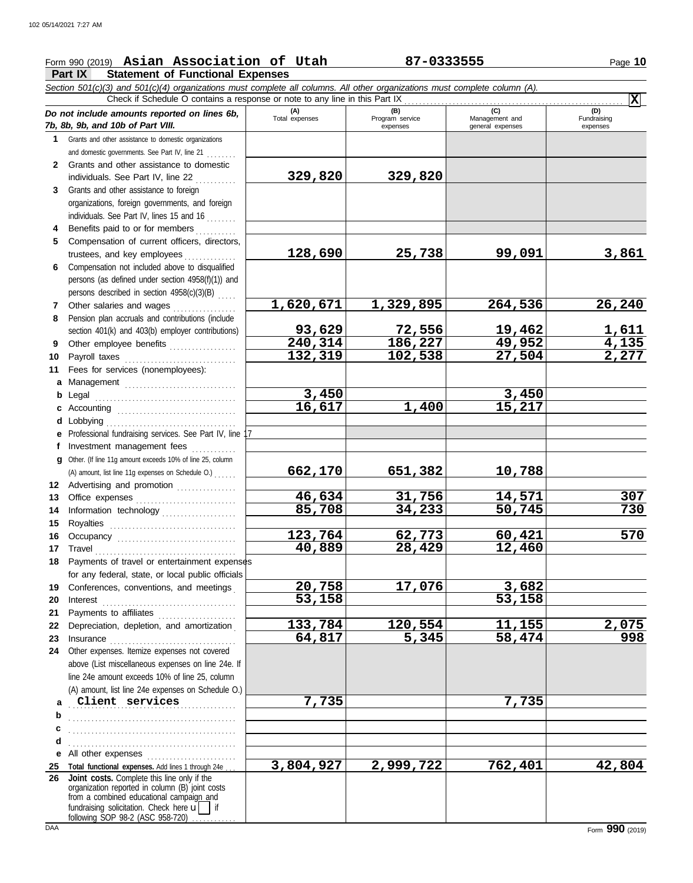## Form 990 (2019) Page **10 Asian Association of Utah 87-0333555**

**Part IX Statement of Functional Expenses**

|              | Section 501(c)(3) and 501(c)(4) organizations must complete all columns. All other organizations must complete column (A).<br>Check if Schedule O contains a response or note to any line in this Part IX                      |                       |                             |                                    | $ \mathbf{x} $          |
|--------------|--------------------------------------------------------------------------------------------------------------------------------------------------------------------------------------------------------------------------------|-----------------------|-----------------------------|------------------------------------|-------------------------|
|              | Do not include amounts reported on lines 6b,                                                                                                                                                                                   |                       | (B)                         | (C)                                | (D)                     |
|              | 7b, 8b, 9b, and 10b of Part VIII.                                                                                                                                                                                              | (A)<br>Total expenses | Program service<br>expenses | Management and<br>general expenses | Fundraising<br>expenses |
| 1            | Grants and other assistance to domestic organizations                                                                                                                                                                          |                       |                             |                                    |                         |
|              | and domestic governments. See Part IV, line 21                                                                                                                                                                                 |                       |                             |                                    |                         |
| $\mathbf{2}$ | Grants and other assistance to domestic                                                                                                                                                                                        |                       |                             |                                    |                         |
|              | individuals. See Part IV, line 22                                                                                                                                                                                              | 329,820               | 329,820                     |                                    |                         |
| 3            | Grants and other assistance to foreign                                                                                                                                                                                         |                       |                             |                                    |                         |
|              | organizations, foreign governments, and foreign                                                                                                                                                                                |                       |                             |                                    |                         |
|              | individuals. See Part IV, lines 15 and 16                                                                                                                                                                                      |                       |                             |                                    |                         |
| 4            | Benefits paid to or for members                                                                                                                                                                                                |                       |                             |                                    |                         |
| 5            | Compensation of current officers, directors,                                                                                                                                                                                   |                       |                             |                                    |                         |
|              | trustees, and key employees                                                                                                                                                                                                    | 128,690               | 25,738                      | 99,091                             | 3,861                   |
| 6            | Compensation not included above to disqualified                                                                                                                                                                                |                       |                             |                                    |                         |
|              | persons (as defined under section 4958(f)(1)) and                                                                                                                                                                              |                       |                             |                                    |                         |
|              | persons described in section 4958(c)(3)(B)                                                                                                                                                                                     |                       |                             |                                    |                         |
| 7            | Other salaries and wages                                                                                                                                                                                                       | 1,620,671             | 1,329,895                   | 264,536                            | 26,240                  |
| 8            | Pension plan accruals and contributions (include                                                                                                                                                                               |                       |                             |                                    |                         |
|              | section 401(k) and 403(b) employer contributions)                                                                                                                                                                              | 93,629                | 72,556                      | 19,462                             | <u>1,611</u><br>4,135   |
| 9            | Other employee benefits                                                                                                                                                                                                        | $\overline{240,314}$  | 186,227                     | 49,952                             |                         |
| 10           |                                                                                                                                                                                                                                | 132,319               | 102,538                     | 27,504                             | 2,277                   |
| 11           | Fees for services (nonemployees):                                                                                                                                                                                              |                       |                             |                                    |                         |
| a            | Management                                                                                                                                                                                                                     |                       |                             |                                    |                         |
| b            | Legal                                                                                                                                                                                                                          | 3,450                 |                             | 3,450                              |                         |
| c            |                                                                                                                                                                                                                                | 16,617                | 1,400                       | 15,217                             |                         |
| d            | Lobbying                                                                                                                                                                                                                       |                       |                             |                                    |                         |
| е            | Professional fundraising services. See Part IV, line 17                                                                                                                                                                        |                       |                             |                                    |                         |
| f            | Investment management fees                                                                                                                                                                                                     |                       |                             |                                    |                         |
| a            | Other. (If line 11g amount exceeds 10% of line 25, column                                                                                                                                                                      |                       |                             |                                    |                         |
|              | (A) amount, list line 11g expenses on Schedule O.)                                                                                                                                                                             | 662,170               | 651,382                     | 10,788                             |                         |
|              | 12 Advertising and promotion                                                                                                                                                                                                   |                       |                             |                                    |                         |
| 13           |                                                                                                                                                                                                                                | 46,634<br>85,708      | <u>31,756</u><br>34, 233    | 14,571<br>50,745                   | 307<br>730              |
| 14           | Information technology                                                                                                                                                                                                         |                       |                             |                                    |                         |
| 15<br>16     |                                                                                                                                                                                                                                | 123,764               | 62,773                      | 60,421                             | 570                     |
| 17           | Occupancy                                                                                                                                                                                                                      | 40,889                | 28,429                      | 12,460                             |                         |
| 18           | Payments of travel or entertainment expenses                                                                                                                                                                                   |                       |                             |                                    |                         |
|              | for any federal, state, or local public officials                                                                                                                                                                              |                       |                             |                                    |                         |
| 19           | Conferences, conventions, and meetings                                                                                                                                                                                         | 20,758                | 17,076                      | 3,682                              |                         |
| 20           | Interest                                                                                                                                                                                                                       | 53,158                |                             | 53,158                             |                         |
| 21           | Payments to affiliates [11] production of the symmetric state of the symmetric state of the symmetric state of the symmetric state of the symmetric state of the symmetric state of the symmetric state of the symmetric state |                       |                             |                                    |                         |
| 22           | Depreciation, depletion, and amortization                                                                                                                                                                                      | 133,784               | 120,554                     | <u>11,155</u>                      |                         |
| 23           |                                                                                                                                                                                                                                | 64,817                | 5,345                       | 58,474                             | $\frac{2,075}{998}$     |
| 24           | Other expenses. Itemize expenses not covered                                                                                                                                                                                   |                       |                             |                                    |                         |
|              | above (List miscellaneous expenses on line 24e. If                                                                                                                                                                             |                       |                             |                                    |                         |
|              | line 24e amount exceeds 10% of line 25, column                                                                                                                                                                                 |                       |                             |                                    |                         |
|              | (A) amount, list line 24e expenses on Schedule O.)                                                                                                                                                                             |                       |                             |                                    |                         |
| a            | Client services                                                                                                                                                                                                                | 7,735                 |                             | 7,735                              |                         |
| b            |                                                                                                                                                                                                                                |                       |                             |                                    |                         |
| c            |                                                                                                                                                                                                                                |                       |                             |                                    |                         |
| d            |                                                                                                                                                                                                                                |                       |                             |                                    |                         |
| е            | All other expenses                                                                                                                                                                                                             |                       |                             |                                    |                         |
| 25           | Total functional expenses. Add lines 1 through 24e                                                                                                                                                                             | 3,804,927             | 2,999,722                   | 762,401                            | 42,804                  |
| 26           | Joint costs. Complete this line only if the<br>organization reported in column (B) joint costs<br>from a combined educational campaign and                                                                                     |                       |                             |                                    |                         |
|              | fundraising solicitation. Check here $\mathbf{u}$   if<br>following SOP 98-2 (ASC 958-720)                                                                                                                                     |                       |                             |                                    |                         |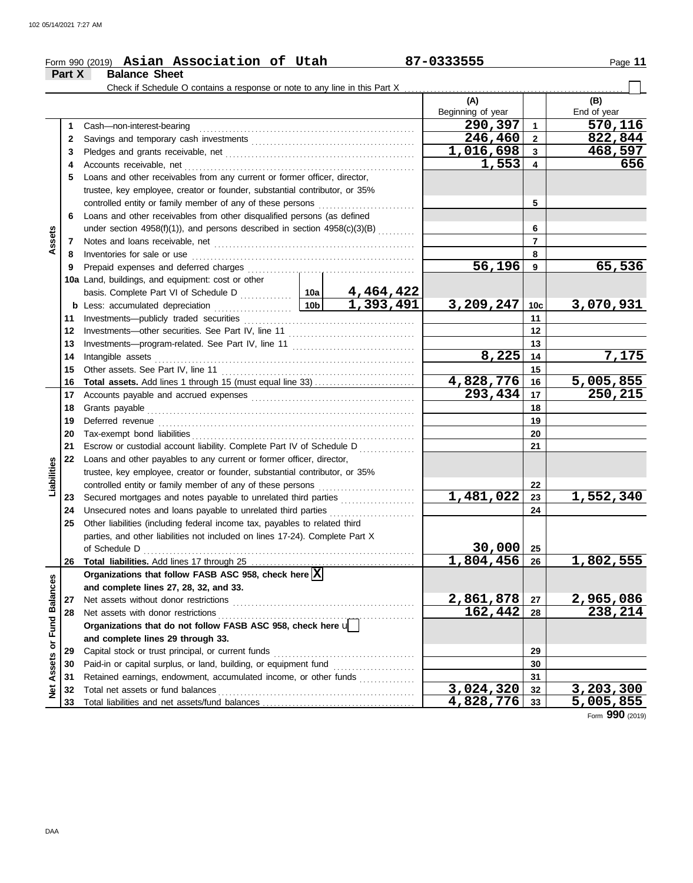|                         |        | Form 990 (2019) Asian Association of Utah                                    |  |                  | 87-0333555               |                | Page 11                   |
|-------------------------|--------|------------------------------------------------------------------------------|--|------------------|--------------------------|----------------|---------------------------|
|                         | Part X | <b>Balance Sheet</b>                                                         |  |                  |                          |                |                           |
|                         |        | Check if Schedule O contains a response or note to any line in this Part X   |  |                  |                          |                |                           |
|                         |        |                                                                              |  |                  | (A)                      |                | (B)                       |
|                         |        |                                                                              |  |                  | Beginning of year        |                | End of year               |
|                         | 1      | Cash-non-interest-bearing                                                    |  |                  | 290,397                  | $\mathbf{1}$   | <u>570,116</u><br>822,844 |
|                         | 2      |                                                                              |  |                  | 246, 460                 | $\overline{2}$ |                           |
|                         | 3      |                                                                              |  |                  | <u>1,016,698 </u>        | $\mathbf{3}$   | 468,597                   |
|                         | 4      | Loans and other receivables from any current or former officer, director,    |  |                  | 1,553                    | 4              | 656                       |
|                         | 5      | trustee, key employee, creator or founder, substantial contributor, or 35%   |  |                  |                          |                |                           |
|                         |        | controlled entity or family member of any of these persons                   |  |                  |                          | 5              |                           |
|                         | 6      | Loans and other receivables from other disqualified persons (as defined      |  |                  |                          |                |                           |
|                         |        | under section 4958(f)(1)), and persons described in section $4958(c)(3)(B)$  |  |                  |                          | 6              |                           |
| ssets                   | 7      |                                                                              |  |                  |                          | $\overline{7}$ |                           |
|                         | 8      | Inventories for sale or use                                                  |  |                  |                          | 8              |                           |
|                         | 9      | Prepaid expenses and deferred charges                                        |  |                  | 56,196                   | 9              | 65,536                    |
|                         |        | 10a Land, buildings, and equipment: cost or other                            |  |                  |                          |                |                           |
|                         |        |                                                                              |  | <u>4,464,422</u> |                          |                |                           |
|                         |        | $\boxed{10b}$<br><b>b</b> Less: accumulated depreciation                     |  | 1,393,491        | $3,209,247$ 10c          |                | 3,070,931                 |
|                         | 11     | Investments-publicly traded securities                                       |  |                  |                          | 11             |                           |
|                         | 12     |                                                                              |  |                  |                          | $12 \,$        |                           |
|                         | 13     |                                                                              |  |                  |                          | 13             |                           |
|                         | 14     | Intangible assets                                                            |  | 8,225            | 14                       | 7,175          |                           |
|                         | 15     |                                                                              |  |                  |                          | 15             |                           |
|                         | 16     |                                                                              |  |                  | 4,828,776                | 16             | 5,005,855                 |
|                         | 17     |                                                                              |  | 293,434          | 17                       | 250,215        |                           |
|                         | 18     | Grants payable                                                               |  |                  | 18                       |                |                           |
|                         | 19     | Deferred revenue                                                             |  |                  |                          | 19             |                           |
|                         | 20     |                                                                              |  |                  |                          | 20             |                           |
|                         | 21     | Escrow or custodial account liability. Complete Part IV of Schedule D        |  |                  |                          | 21             |                           |
|                         | 22     | Loans and other payables to any current or former officer, director,         |  |                  |                          |                |                           |
|                         |        | trustee, key employee, creator or founder, substantial contributor, or 35%   |  |                  |                          |                |                           |
| Liabilities             |        | controlled entity or family member of any of these persons                   |  |                  |                          | 22             |                           |
|                         | 23     | Secured mortgages and notes payable to unrelated third parties               |  |                  | 1,481,022                | 23             | 1,552,340                 |
|                         | 24     | Unsecured notes and loans payable to unrelated third parties                 |  | .                |                          | 24             |                           |
|                         | 25     | Other liabilities (including federal income tax, payables to related third   |  |                  |                          |                |                           |
|                         |        | parties, and other liabilities not included on lines 17-24). Complete Part X |  |                  |                          |                |                           |
|                         |        | of Schedule D                                                                |  |                  | $30,000$ 25<br>1,804,456 |                | 1,802,555                 |
|                         | 26     | Organizations that follow FASB ASC 958, check here $\boxed{\mathbf{X}}$      |  |                  |                          | 26             |                           |
|                         |        | and complete lines 27, 28, 32, and 33.                                       |  |                  |                          |                |                           |
|                         | 27     | Net assets without donor restrictions                                        |  |                  | 2,861,878                | 27             | <u>2,965,086</u>          |
|                         | 28     | Net assets with donor restrictions                                           |  |                  | $\overline{162, 442}$    | 28             | 238,214                   |
|                         |        | Organizations that do not follow FASB ASC 958, check here $\mathbf{u}$       |  |                  |                          |                |                           |
|                         |        | and complete lines 29 through 33.                                            |  |                  |                          |                |                           |
| Assets or Fund Balances | 29     | Capital stock or trust principal, or current funds                           |  |                  |                          | 29             |                           |
|                         | 30     | Paid-in or capital surplus, or land, building, or equipment fund             |  |                  |                          | 30             |                           |
|                         | 31     | Retained earnings, endowment, accumulated income, or other funds             |  |                  |                          | 31             |                           |
| <b>Net</b>              | 32     | Total net assets or fund balances                                            |  |                  | 3,024,320                | 32             | 3,203,300                 |
|                         | 33     |                                                                              |  |                  | 4,828,776                | 33             | <u>5,005,855</u>          |
|                         |        |                                                                              |  |                  |                          |                | Form 990 (2019)           |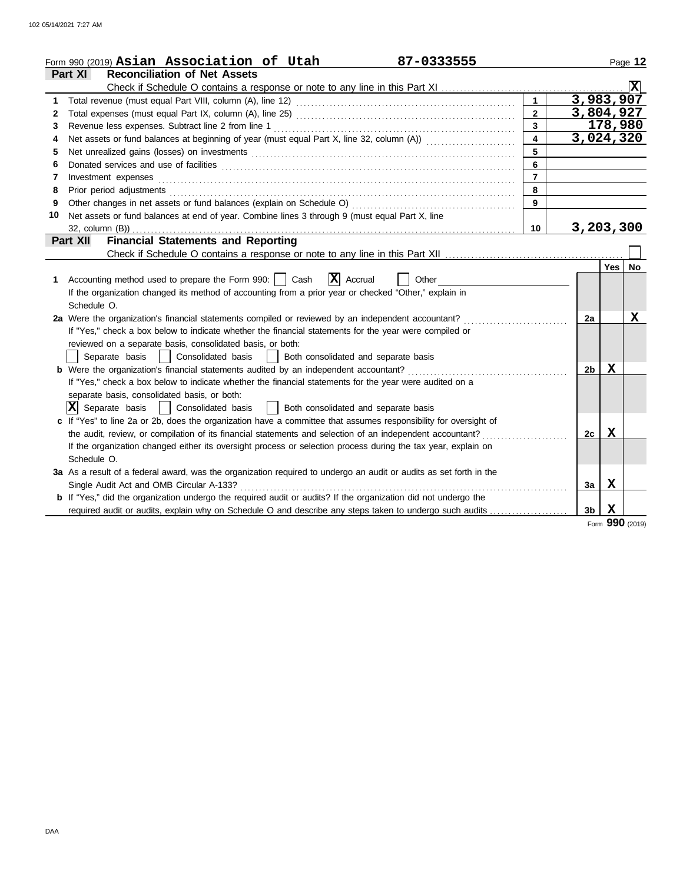|    | 87-0333555<br>Form 990 (2019) Asian Association of Utah                                                                                                                                                                        |                         |           |         | Page 12         |
|----|--------------------------------------------------------------------------------------------------------------------------------------------------------------------------------------------------------------------------------|-------------------------|-----------|---------|-----------------|
|    | <b>Reconciliation of Net Assets</b><br>Part XI                                                                                                                                                                                 |                         |           |         |                 |
|    | Check if Schedule O contains a response or note to any line in this Part XI                                                                                                                                                    |                         |           |         |                 |
| 1. |                                                                                                                                                                                                                                | $\mathbf{1}$            | 3,983,907 |         |                 |
| 2  |                                                                                                                                                                                                                                | $\mathbf{2}$            | 3,804,927 |         |                 |
| 3  | Revenue less expenses. Subtract line 2 from line 1                                                                                                                                                                             | 3                       |           | 178,980 |                 |
| 4  | Net assets or fund balances at beginning of year (must equal Part X, line 32, column (A))                                                                                                                                      | $\overline{\mathbf{4}}$ | 3,024,320 |         |                 |
| 5  |                                                                                                                                                                                                                                | 5                       |           |         |                 |
| 6  |                                                                                                                                                                                                                                | 6                       |           |         |                 |
| 7  | Investment expenses                                                                                                                                                                                                            | $\overline{7}$          |           |         |                 |
| 8  | Prior period adjustments [11, 12] and the contract of the contract of the contract of the contract of the contract of the contract of the contract of the contract of the contract of the contract of the contract of the cont | 8                       |           |         |                 |
| 9  |                                                                                                                                                                                                                                | 9                       |           |         |                 |
| 10 | Net assets or fund balances at end of year. Combine lines 3 through 9 (must equal Part X, line                                                                                                                                 |                         |           |         |                 |
|    | 32, column $(B)$ )                                                                                                                                                                                                             | 10                      | 3,203,300 |         |                 |
|    | <b>Financial Statements and Reporting</b><br><b>Part XII</b>                                                                                                                                                                   |                         |           |         |                 |
|    |                                                                                                                                                                                                                                |                         |           |         |                 |
|    |                                                                                                                                                                                                                                |                         |           | Yes I   | No.             |
| 1. | $\mathbf{X}$ Accrual<br>Accounting method used to prepare the Form 990:     Cash<br>Other                                                                                                                                      |                         |           |         |                 |
|    | If the organization changed its method of accounting from a prior year or checked "Other," explain in                                                                                                                          |                         |           |         |                 |
|    | Schedule O.                                                                                                                                                                                                                    |                         |           |         |                 |
|    | 2a Were the organization's financial statements compiled or reviewed by an independent accountant?                                                                                                                             |                         | 2a        |         | $\mathbf X$     |
|    | If "Yes," check a box below to indicate whether the financial statements for the year were compiled or                                                                                                                         |                         |           |         |                 |
|    | reviewed on a separate basis, consolidated basis, or both:                                                                                                                                                                     |                         |           |         |                 |
|    | Consolidated basis<br>Both consolidated and separate basis<br>Separate basis                                                                                                                                                   |                         |           |         |                 |
|    | <b>b</b> Were the organization's financial statements audited by an independent accountant?                                                                                                                                    |                         | 2b        | X       |                 |
|    | If "Yes," check a box below to indicate whether the financial statements for the year were audited on a                                                                                                                        |                         |           |         |                 |
|    | separate basis, consolidated basis, or both:                                                                                                                                                                                   |                         |           |         |                 |
|    | $ \mathbf{X} $ Separate basis<br>Consolidated basis<br>Both consolidated and separate basis                                                                                                                                    |                         |           |         |                 |
|    | c If "Yes" to line 2a or 2b, does the organization have a committee that assumes responsibility for oversight of                                                                                                               |                         |           |         |                 |
|    | the audit, review, or compilation of its financial statements and selection of an independent accountant?                                                                                                                      |                         | 2c        | Х       |                 |
|    | If the organization changed either its oversight process or selection process during the tax year, explain on                                                                                                                  |                         |           |         |                 |
|    | Schedule O.                                                                                                                                                                                                                    |                         |           |         |                 |
|    | 3a As a result of a federal award, was the organization required to undergo an audit or audits as set forth in the                                                                                                             |                         |           |         |                 |
|    | Single Audit Act and OMB Circular A-133?                                                                                                                                                                                       |                         | 3a        | Х       |                 |
|    | <b>b</b> If "Yes," did the organization undergo the required audit or audits? If the organization did not undergo the                                                                                                          |                         |           |         |                 |
|    | required audit or audits, explain why on Schedule O and describe any steps taken to undergo such audits                                                                                                                        |                         | 3b        | X       |                 |
|    |                                                                                                                                                                                                                                |                         |           |         | Form 990 (2019) |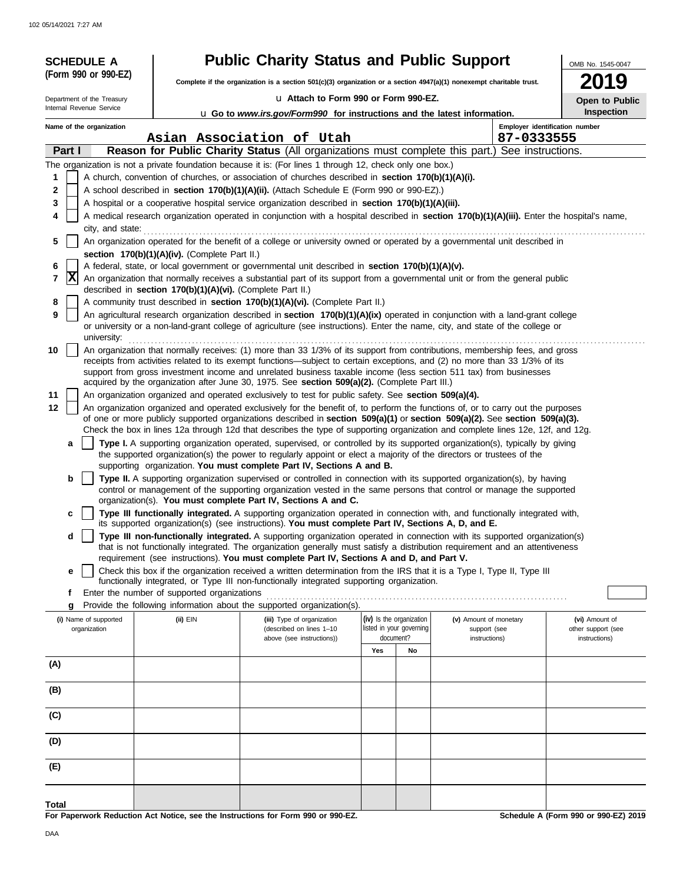|                     | <b>SCHEDULE A</b>          |                                                            | <b>Public Charity Status and Public Support</b>                                                                                                                                                                                                                 |      |                                       |                                | OMB No. 1545-0047                    |  |  |
|---------------------|----------------------------|------------------------------------------------------------|-----------------------------------------------------------------------------------------------------------------------------------------------------------------------------------------------------------------------------------------------------------------|------|---------------------------------------|--------------------------------|--------------------------------------|--|--|
|                     | (Form 990 or 990-EZ)       |                                                            | Complete if the organization is a section 501(c)(3) organization or a section $4947(a)(1)$ nonexempt charitable trust.                                                                                                                                          | 2019 |                                       |                                |                                      |  |  |
|                     | Department of the Treasury |                                                            | La Attach to Form 990 or Form 990-EZ.<br>Open to Public                                                                                                                                                                                                         |      |                                       |                                |                                      |  |  |
|                     | Internal Revenue Service   |                                                            | u Go to www.irs.gov/Form990 for instructions and the latest information.                                                                                                                                                                                        |      |                                       |                                | Inspection                           |  |  |
|                     | Name of the organization   |                                                            |                                                                                                                                                                                                                                                                 |      |                                       | Employer identification number |                                      |  |  |
| Part I              |                            |                                                            | Asian Association of Utah<br>Reason for Public Charity Status (All organizations must complete this part.) See instructions.                                                                                                                                    |      |                                       | 87-0333555                     |                                      |  |  |
|                     |                            |                                                            | The organization is not a private foundation because it is: (For lines 1 through 12, check only one box.)                                                                                                                                                       |      |                                       |                                |                                      |  |  |
| 1                   |                            |                                                            | A church, convention of churches, or association of churches described in section 170(b)(1)(A)(i).                                                                                                                                                              |      |                                       |                                |                                      |  |  |
| 2                   |                            |                                                            | A school described in section 170(b)(1)(A)(ii). (Attach Schedule E (Form 990 or 990-EZ).)                                                                                                                                                                       |      |                                       |                                |                                      |  |  |
| 3                   |                            |                                                            | A hospital or a cooperative hospital service organization described in section 170(b)(1)(A)(iii).                                                                                                                                                               |      |                                       |                                |                                      |  |  |
| 4                   | city, and state:           |                                                            | A medical research organization operated in conjunction with a hospital described in section 170(b)(1)(A)(iii). Enter the hospital's name,                                                                                                                      |      |                                       |                                |                                      |  |  |
| 5                   |                            |                                                            | An organization operated for the benefit of a college or university owned or operated by a governmental unit described in                                                                                                                                       |      |                                       |                                |                                      |  |  |
|                     |                            | section 170(b)(1)(A)(iv). (Complete Part II.)              |                                                                                                                                                                                                                                                                 |      |                                       |                                |                                      |  |  |
| 6                   |                            |                                                            | A federal, state, or local government or governmental unit described in section 170(b)(1)(A)(v).                                                                                                                                                                |      |                                       |                                |                                      |  |  |
| x<br>$\overline{7}$ |                            | described in section 170(b)(1)(A)(vi). (Complete Part II.) | An organization that normally receives a substantial part of its support from a governmental unit or from the general public                                                                                                                                    |      |                                       |                                |                                      |  |  |
| 8                   |                            |                                                            | A community trust described in section 170(b)(1)(A)(vi). (Complete Part II.)                                                                                                                                                                                    |      |                                       |                                |                                      |  |  |
| 9                   | university:                |                                                            | An agricultural research organization described in section 170(b)(1)(A)(ix) operated in conjunction with a land-grant college<br>or university or a non-land-grant college of agriculture (see instructions). Enter the name, city, and state of the college or |      |                                       |                                |                                      |  |  |
| 10                  |                            |                                                            | An organization that normally receives: (1) more than 33 1/3% of its support from contributions, membership fees, and gross                                                                                                                                     |      |                                       |                                |                                      |  |  |
|                     |                            |                                                            | receipts from activities related to its exempt functions—subject to certain exceptions, and (2) no more than 33 1/3% of its                                                                                                                                     |      |                                       |                                |                                      |  |  |
|                     |                            |                                                            | support from gross investment income and unrelated business taxable income (less section 511 tax) from businesses<br>acquired by the organization after June 30, 1975. See section 509(a)(2). (Complete Part III.)                                              |      |                                       |                                |                                      |  |  |
| 11                  |                            |                                                            | An organization organized and operated exclusively to test for public safety. See section 509(a)(4).                                                                                                                                                            |      |                                       |                                |                                      |  |  |
| 12                  |                            |                                                            | An organization organized and operated exclusively for the benefit of, to perform the functions of, or to carry out the purposes<br>of one or more publicly supported organizations described in section 509(a)(1) or section 509(a)(2). See section 509(a)(3). |      |                                       |                                |                                      |  |  |
|                     |                            |                                                            | Check the box in lines 12a through 12d that describes the type of supporting organization and complete lines 12e, 12f, and 12g.                                                                                                                                 |      |                                       |                                |                                      |  |  |
| a                   |                            |                                                            | Type I. A supporting organization operated, supervised, or controlled by its supported organization(s), typically by giving                                                                                                                                     |      |                                       |                                |                                      |  |  |
|                     |                            |                                                            | the supported organization(s) the power to regularly appoint or elect a majority of the directors or trustees of the<br>supporting organization. You must complete Part IV, Sections A and B.                                                                   |      |                                       |                                |                                      |  |  |
| b                   |                            |                                                            | Type II. A supporting organization supervised or controlled in connection with its supported organization(s), by having                                                                                                                                         |      |                                       |                                |                                      |  |  |
|                     |                            |                                                            | control or management of the supporting organization vested in the same persons that control or manage the supported                                                                                                                                            |      |                                       |                                |                                      |  |  |
| c                   |                            |                                                            | organization(s). You must complete Part IV, Sections A and C.<br>Type III functionally integrated. A supporting organization operated in connection with, and functionally integrated with,                                                                     |      |                                       |                                |                                      |  |  |
|                     |                            |                                                            | its supported organization(s) (see instructions). You must complete Part IV, Sections A, D, and E.                                                                                                                                                              |      |                                       |                                |                                      |  |  |
| d                   |                            |                                                            | Type III non-functionally integrated. A supporting organization operated in connection with its supported organization(s)<br>that is not functionally integrated. The organization generally must satisfy a distribution requirement and an attentiveness       |      |                                       |                                |                                      |  |  |
|                     |                            |                                                            | requirement (see instructions). You must complete Part IV, Sections A and D, and Part V.                                                                                                                                                                        |      |                                       |                                |                                      |  |  |
| е                   |                            |                                                            | Check this box if the organization received a written determination from the IRS that it is a Type I, Type II, Type III                                                                                                                                         |      |                                       |                                |                                      |  |  |
| Ť.                  |                            | Enter the number of supported organizations                | functionally integrated, or Type III non-functionally integrated supporting organization.                                                                                                                                                                       |      |                                       |                                |                                      |  |  |
| g                   |                            |                                                            | Provide the following information about the supported organization(s).                                                                                                                                                                                          |      |                                       |                                |                                      |  |  |
|                     | (i) Name of supported      | (ii) EIN                                                   | (iii) Type of organization                                                                                                                                                                                                                                      |      | (iv) Is the organization              | (v) Amount of monetary         | (vi) Amount of                       |  |  |
|                     | organization               |                                                            | (described on lines 1-10<br>above (see instructions))                                                                                                                                                                                                           |      | listed in your governing<br>document? | support (see<br>instructions)  | other support (see<br>instructions)  |  |  |
|                     |                            |                                                            |                                                                                                                                                                                                                                                                 | Yes  | No                                    |                                |                                      |  |  |
| (A)                 |                            |                                                            |                                                                                                                                                                                                                                                                 |      |                                       |                                |                                      |  |  |
| (B)                 |                            |                                                            |                                                                                                                                                                                                                                                                 |      |                                       |                                |                                      |  |  |
| (C)                 |                            |                                                            |                                                                                                                                                                                                                                                                 |      |                                       |                                |                                      |  |  |
|                     |                            |                                                            |                                                                                                                                                                                                                                                                 |      |                                       |                                |                                      |  |  |
| (D)                 |                            |                                                            |                                                                                                                                                                                                                                                                 |      |                                       |                                |                                      |  |  |
| (E)                 |                            |                                                            |                                                                                                                                                                                                                                                                 |      |                                       |                                |                                      |  |  |
|                     |                            |                                                            |                                                                                                                                                                                                                                                                 |      |                                       |                                |                                      |  |  |
| Total               |                            |                                                            | For Paperwork Reduction Act Notice, see the Instructions for Form 990 or 990-F7                                                                                                                                                                                 |      |                                       |                                | Schedule A (Form 990 or 990-F7) 2019 |  |  |

**For Paperwork Reduction Act Notice, see the Instructions for Form 990 or 990-EZ.**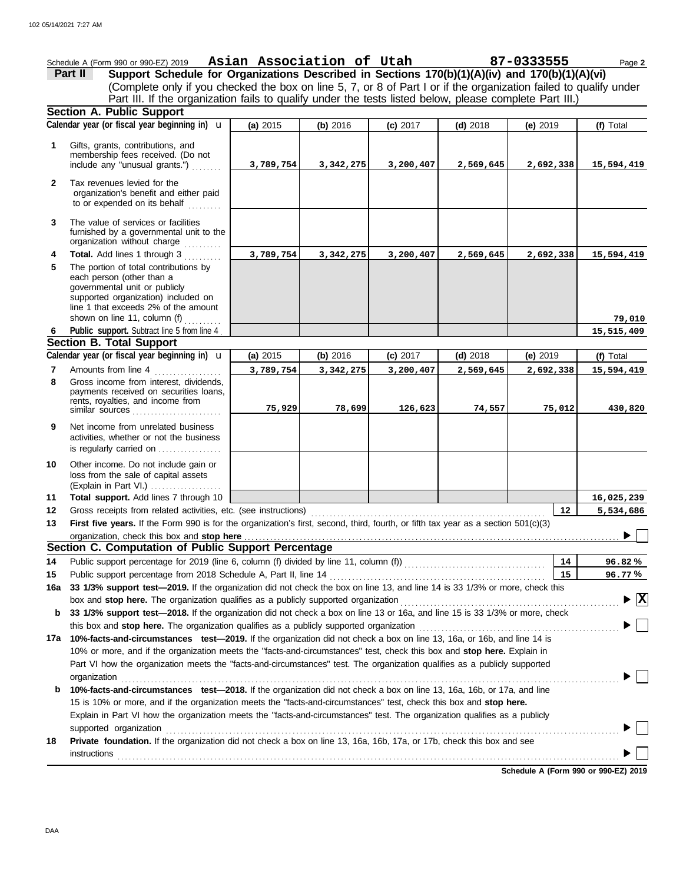(Explain in Part VI.) . . . . . . . . . . . . . . . . . . . governmental unit or publicly **Section A. Public Support Total support.** Add lines 7 through 10 loss from the sale of capital assets Other income. Do not include gain or is regularly carried on . . . . . . . . . . . . . . . activities, whether or not the business Net income from unrelated business rents, royalties, and income from payments received on securities loans, Gross income from interest, dividends, line 1 that exceeds 2% of the amount supported organization) included on each person (other than a The portion of total contributions by **Total.** Add lines 1 through 3 .......... The value of services or facilities to or expended on its behalf ......... organization's benefit and either paid Tax revenues levied for the First five years. If the Form 990 is for the organization's first, second, third, fourth, or fifth tax year as a section 501(c)(3) Gross receipts from related activities, etc. (see instructions) . . . . . . . . . . . . . . . . . . . . . . . . . . . . . . . . . . . . . . . . . . . . . . . . . . . . . . . . . . . . . . . Amounts from line 4 Public support. Subtract line 5 from line 4 include any "unusual grants.") . . . . . . . . membership fees received. (Do not Gifts, grants, contributions, and Schedule A (Form 990 or 990-EZ) 2019 Page **2 Asian Association of Utah 87-0333555 13 12 11 9 8 6 4 3 2 1 (a)** 2015 **(b)** 2016 **(c)** 2017 **(d)** 2018 **(e)** 2019 (Complete only if you checked the box on line 5, 7, or 8 of Part I or if the organization failed to qualify under **Part II Support Schedule for Organizations Described in Sections 170(b)(1)(A)(iv) and 170(b)(1)(A)(vi)** Calendar year (or fiscal year beginning in) **\u** | (a) 2015 | (b) 2016 | (c) 2017 | (d) 2018 | (e) 2019 | (f) Total furnished by a governmental unit to the organization without charge **5 Section B. Total Support 7** similar sources **10** organization, check this box and stop here **Section C. Computation of Public Support Percentage 12 14** Public support percentage for 2019 (line 6, column (f) divided by line 11, column (f)) . . . . . . . . . . . . . . . . . . . . . . . . . . . . . . . . . . . . . . Public support percentage from 2018 Schedule A, Part II, line 14 . . . . . . . . . . . . . . . . . . . . . . . . . . . . . . . . . . . . . . . . . . . . . . . . . . . . . . . . . . **15 16a 33 1/3% support test—2019.** If the organization did not check the box on line 13, and line 14 is 33 1/3% or more, check this box and stop here. The organization qualifies as a publicly supported organization ............... **b 33 1/3% support test—2018.** If the organization did not check a box on line 13 or 16a, and line 15 is 33 1/3% or more, check this box and **stop here.** The organization qualifies as a publicly supported organization . . . . . . . . . . . . . . . . . . . . . . . . . . . . . . . . . . . . . . . . . . . . . . . . . . . . . . **17a 10%-facts-and-circumstances test—2019.** If the organization did not check a box on line 13, 16a, or 16b, and line 14 is 10% or more, and if the organization meets the "facts-and-circumstances" test, check this box and **stop here.** Explain in Part VI how the organization meets the "facts-and-circumstances" test. The organization qualifies as a publicly supported **b 10%-facts-and-circumstances test—2018.** If the organization did not check a box on line 13, 16a, 16b, or 17a, and line Explain in Part VI how the organization meets the "facts-and-circumstances" test. The organization qualifies as a publicly 15 is 10% or more, and if the organization meets the "facts-and-circumstances" test, check this box and **stop here. 18 Private foundation.** If the organization did not check a box on line 13, 16a, 16b, 17a, or 17b, check this box and see **14 15 % 96.82 % 96.77** Calendar year (or fiscal year beginning in)  $\mathbf{u}$  (a) 2015 (b) 2016 (c) 2017 (d) 2018 (e) 2019 (f) Total Part III. If the organization fails to qualify under the tests listed below, please complete Part III.) **(a)** 2015 shown on line 11, column (f)  $\ldots$ organization content to the content of the content of the content of the content of the content of the content of the content of the content of the content of the content of the content of the content of the content of the supported organization . . . . . . . . . . . . . . . . . . . . . . . . . . . . . . . . . . . . . . . . . . . . . . . . . . . . . . . . . . . . . . . . . . . . . . . . . . . . . . . . . . . . . . . . . . . . . . . . . . . . . . . . . . . . . . . . . . . . . . . . . . instructions . . . . . . . . . . . . . . . . . . . . . . . . . . . . . . . . . . . . . . . . . . . . . . . . . . . . . . . . . . . . . . . . . . . . . . . . . . . . . . . . . . . . . . . . . . . . . . . . . . . . . . . . . . . . . . . . . . . . . . . . . . . . . . . . . . . . . . . u **(b)** 2016 **(c)** 2017 **(d)** 2018 **(e)** 2019 **3,789,754 3,342,275 3,200,407 2,569,645 2,692,338 15,594,419 3,789,754 3,342,275 3,200,407 2,569,645 2,692,338 15,594,419 79,010 15,515,409 3,789,754 3,342,275 3,200,407 2,569,645 2,692,338 15,594,419 75,929 78,699 126,623 74,557 75,012 430,820 16,025,239 5,534,686 X**

**Schedule A (Form 990 or 990-EZ) 2019**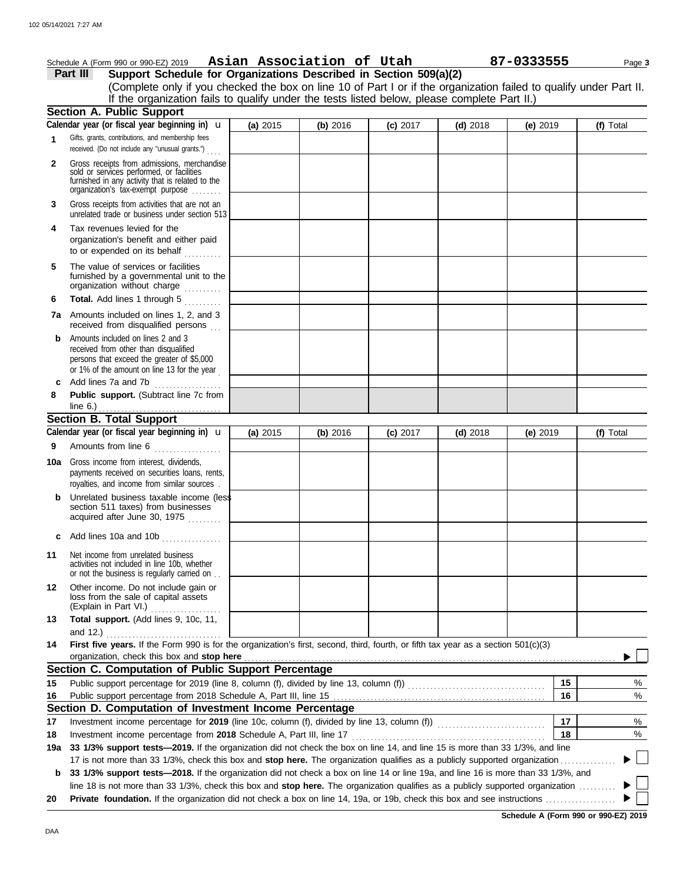|     | Schedule A (Form 990 or 990-EZ) 2019                                                                                                                                                                                                                                 |          | Asian Association of Utah |            |            | 87-0333555 | Page 3    |
|-----|----------------------------------------------------------------------------------------------------------------------------------------------------------------------------------------------------------------------------------------------------------------------|----------|---------------------------|------------|------------|------------|-----------|
|     | Support Schedule for Organizations Described in Section 509(a)(2)<br>Part III                                                                                                                                                                                        |          |                           |            |            |            |           |
|     | (Complete only if you checked the box on line 10 of Part I or if the organization failed to qualify under Part II.                                                                                                                                                   |          |                           |            |            |            |           |
|     | If the organization fails to qualify under the tests listed below, please complete Part II.)                                                                                                                                                                         |          |                           |            |            |            |           |
|     | <b>Section A. Public Support</b>                                                                                                                                                                                                                                     |          |                           |            |            |            |           |
|     | Calendar year (or fiscal year beginning in) <b>u</b>                                                                                                                                                                                                                 | (a) 2015 | (b) 2016                  | $(c)$ 2017 | $(d)$ 2018 | (e) 2019   | (f) Total |
| 1   | Gifts, grants, contributions, and membership fees<br>received. (Do not include any "unusual grants.")                                                                                                                                                                |          |                           |            |            |            |           |
| 2   | Gross receipts from admissions, merchandise<br>sold or services performed, or facilities<br>furnished in any activity that is related to the<br>organization's fax-exempt purpose                                                                                    |          |                           |            |            |            |           |
| 3   | Gross receipts from activities that are not an<br>unrelated trade or business under section 513                                                                                                                                                                      |          |                           |            |            |            |           |
| 4   | Tax revenues levied for the<br>organization's benefit and either paid<br>to or expended on its behalf<br>.                                                                                                                                                           |          |                           |            |            |            |           |
| 5   | The value of services or facilities<br>furnished by a governmental unit to the<br>organization without charge                                                                                                                                                        |          |                           |            |            |            |           |
| 6   | Total. Add lines 1 through 5                                                                                                                                                                                                                                         |          |                           |            |            |            |           |
|     | 7a Amounts included on lines 1, 2, and 3<br>received from disqualified persons                                                                                                                                                                                       |          |                           |            |            |            |           |
| b   | Amounts included on lines 2 and 3<br>received from other than disqualified<br>persons that exceed the greater of \$5,000<br>or 1% of the amount on line 13 for the year                                                                                              |          |                           |            |            |            |           |
| с   | Add lines 7a and 7b<br>.                                                                                                                                                                                                                                             |          |                           |            |            |            |           |
| 8   | Public support. (Subtract line 7c from<br>line $6.$ )                                                                                                                                                                                                                |          |                           |            |            |            |           |
|     | <b>Section B. Total Support</b>                                                                                                                                                                                                                                      |          |                           |            |            |            |           |
|     | Calendar year (or fiscal year beginning in) <b>u</b>                                                                                                                                                                                                                 | (a) 2015 | (b) 2016                  | (c) 2017   | $(d)$ 2018 | (e) $2019$ | (f) Total |
| 9   | Amounts from line 6                                                                                                                                                                                                                                                  |          |                           |            |            |            |           |
| 10a | Gross income from interest, dividends,<br>payments received on securities loans, rents,<br>royalties, and income from similar sources.                                                                                                                               |          |                           |            |            |            |           |
|     | Unrelated business taxable income (less<br>section 511 taxes) from businesses<br>acquired after June 30, 1975                                                                                                                                                        |          |                           |            |            |            |           |
| c   | Add lines 10a and 10b                                                                                                                                                                                                                                                |          |                           |            |            |            |           |
| 11  | Net income from unrelated business<br>activities not included in line 10b, whether<br>or not the business is regularly carried on                                                                                                                                    |          |                           |            |            |            |           |
| 12  | Other income. Do not include gain or<br>loss from the sale of capital assets<br>(Explain in Part VI.)                                                                                                                                                                |          |                           |            |            |            |           |
| 13  | Total support. (Add lines 9, 10c, 11,                                                                                                                                                                                                                                |          |                           |            |            |            |           |
| 14  | and 12.)<br>First five years. If the Form 990 is for the organization's first, second, third, fourth, or fifth tax year as a section $501(c)(3)$                                                                                                                     |          |                           |            |            |            |           |
|     | organization, check this box and stop here                                                                                                                                                                                                                           |          |                           |            |            |            |           |
|     | Section C. Computation of Public Support Percentage                                                                                                                                                                                                                  |          |                           |            |            |            |           |
| 15  |                                                                                                                                                                                                                                                                      |          |                           |            |            | 15         | %         |
| 16  |                                                                                                                                                                                                                                                                      |          |                           |            |            | 16         | %         |
|     | Section D. Computation of Investment Income Percentage                                                                                                                                                                                                               |          |                           |            |            |            |           |
| 17  |                                                                                                                                                                                                                                                                      |          |                           |            |            | 17         | %         |
| 18  |                                                                                                                                                                                                                                                                      |          |                           |            |            | 18         | $\%$      |
| 19a | 33 1/3% support tests-2019. If the organization did not check the box on line 14, and line 15 is more than 33 1/3%, and line                                                                                                                                         |          |                           |            |            |            |           |
|     | 17 is not more than 33 1/3%, check this box and stop here. The organization qualifies as a publicly supported organization                                                                                                                                           |          |                           |            |            |            |           |
| b   | 33 1/3% support tests-2018. If the organization did not check a box on line 14 or line 19a, and line 16 is more than 33 1/3%, and<br>line 18 is not more than 33 1/3%, check this box and stop here. The organization qualifies as a publicly supported organization |          |                           |            |            |            |           |

**20 Private foundation.** If the organization did not check a box on line 14, 19a, or 19b, check this box and see instructions . . . . . . . . . . . . . . . . . . .

 $\blacktriangleright \Box$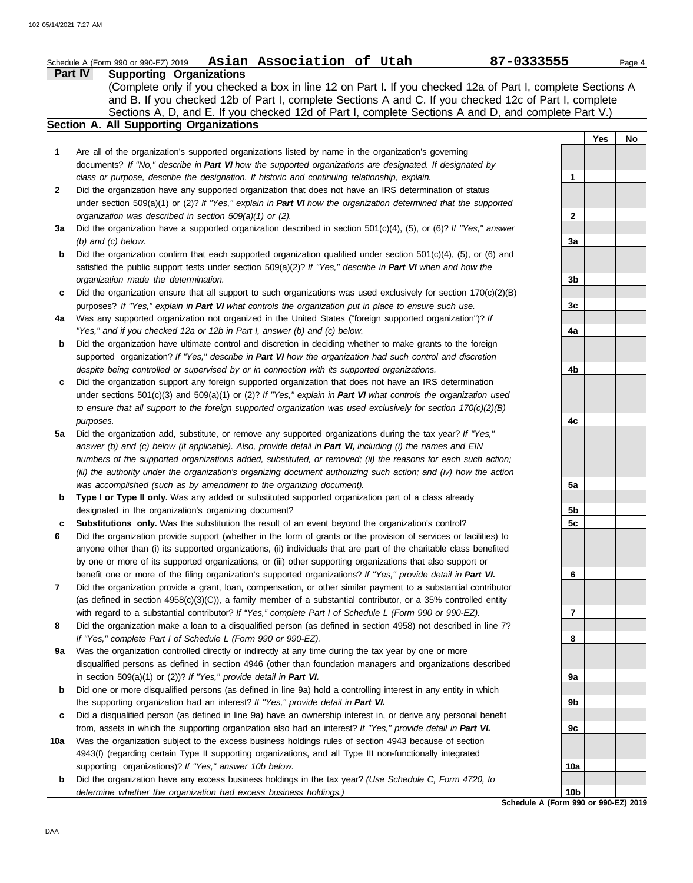|     | Asian Association of Utah<br>Schedule A (Form 990 or 990-EZ) 2019                                                   | 87-0333555              |     | Page 4 |
|-----|---------------------------------------------------------------------------------------------------------------------|-------------------------|-----|--------|
|     | <b>Supporting Organizations</b><br><b>Part IV</b>                                                                   |                         |     |        |
|     | (Complete only if you checked a box in line 12 on Part I. If you checked 12a of Part I, complete Sections A         |                         |     |        |
|     | and B. If you checked 12b of Part I, complete Sections A and C. If you checked 12c of Part I, complete              |                         |     |        |
|     | Sections A, D, and E. If you checked 12d of Part I, complete Sections A and D, and complete Part V.)                |                         |     |        |
|     | Section A. All Supporting Organizations                                                                             |                         |     |        |
|     |                                                                                                                     |                         | Yes | No     |
| 1   | Are all of the organization's supported organizations listed by name in the organization's governing                |                         |     |        |
|     | documents? If "No," describe in Part VI how the supported organizations are designated. If designated by            |                         |     |        |
|     | class or purpose, describe the designation. If historic and continuing relationship, explain.                       | 1                       |     |        |
| 2   | Did the organization have any supported organization that does not have an IRS determination of status              |                         |     |        |
|     | under section 509(a)(1) or (2)? If "Yes," explain in Part VI how the organization determined that the supported     |                         |     |        |
|     | organization was described in section 509(a)(1) or (2).                                                             | $\overline{\mathbf{2}}$ |     |        |
| За  | Did the organization have a supported organization described in section 501(c)(4), (5), or (6)? If "Yes," answer    |                         |     |        |
|     | $(b)$ and $(c)$ below.                                                                                              | 3a                      |     |        |
| b   | Did the organization confirm that each supported organization qualified under section $501(c)(4)$ , (5), or (6) and |                         |     |        |
|     | satisfied the public support tests under section 509(a)(2)? If "Yes," describe in Part VI when and how the          |                         |     |        |
|     | organization made the determination.                                                                                | 3b                      |     |        |
| c   | Did the organization ensure that all support to such organizations was used exclusively for section $170(c)(2)(B)$  |                         |     |        |
|     | purposes? If "Yes," explain in Part VI what controls the organization put in place to ensure such use.              | 3 <sub>c</sub>          |     |        |
| 4a  | Was any supported organization not organized in the United States ("foreign supported organization")? If            |                         |     |        |
|     | "Yes," and if you checked 12a or 12b in Part I, answer (b) and (c) below.                                           | 4a                      |     |        |
| b   | Did the organization have ultimate control and discretion in deciding whether to make grants to the foreign         |                         |     |        |
|     | supported organization? If "Yes," describe in Part VI how the organization had such control and discretion          |                         |     |        |
|     | despite being controlled or supervised by or in connection with its supported organizations.                        | 4b                      |     |        |
| c   | Did the organization support any foreign supported organization that does not have an IRS determination             |                         |     |        |
|     | under sections $501(c)(3)$ and $509(a)(1)$ or (2)? If "Yes," explain in Part VI what controls the organization used |                         |     |        |
|     | to ensure that all support to the foreign supported organization was used exclusively for section $170(c)(2)(B)$    |                         |     |        |
|     | purposes.                                                                                                           | 4c                      |     |        |
| 5a  | Did the organization add, substitute, or remove any supported organizations during the tax year? If "Yes,"          |                         |     |        |
|     | answer (b) and (c) below (if applicable). Also, provide detail in Part VI, including (i) the names and EIN          |                         |     |        |
|     | numbers of the supported organizations added, substituted, or removed; (ii) the reasons for each such action;       |                         |     |        |
|     | (iii) the authority under the organization's organizing document authorizing such action; and (iv) how the action   |                         |     |        |
|     | was accomplished (such as by amendment to the organizing document).                                                 | 5a                      |     |        |
| b   | Type I or Type II only. Was any added or substituted supported organization part of a class already                 |                         |     |        |
|     | designated in the organization's organizing document?                                                               | 5b                      |     |        |
| c   | Substitutions only. Was the substitution the result of an event beyond the organization's control?                  | 5c                      |     |        |
| 6   | Did the organization provide support (whether in the form of grants or the provision of services or facilities) to  |                         |     |        |
|     | anyone other than (i) its supported organizations, (ii) individuals that are part of the charitable class benefited |                         |     |        |
|     | by one or more of its supported organizations, or (iii) other supporting organizations that also support or         |                         |     |        |
|     | benefit one or more of the filing organization's supported organizations? If "Yes," provide detail in Part VI.      | 6                       |     |        |
| 7   | Did the organization provide a grant, loan, compensation, or other similar payment to a substantial contributor     |                         |     |        |
|     | (as defined in section $4958(c)(3)(C)$ ), a family member of a substantial contributor, or a 35% controlled entity  |                         |     |        |
|     | with regard to a substantial contributor? If "Yes," complete Part I of Schedule L (Form 990 or 990-EZ).             | 7                       |     |        |
| 8   | Did the organization make a loan to a disqualified person (as defined in section 4958) not described in line 7?     |                         |     |        |
|     | If "Yes," complete Part I of Schedule L (Form 990 or 990-EZ).                                                       | 8                       |     |        |
| 9а  | Was the organization controlled directly or indirectly at any time during the tax year by one or more               |                         |     |        |
|     | disqualified persons as defined in section 4946 (other than foundation managers and organizations described         |                         |     |        |
|     | in section 509(a)(1) or (2))? If "Yes," provide detail in Part VI.                                                  | 9а                      |     |        |
| b   | Did one or more disqualified persons (as defined in line 9a) hold a controlling interest in any entity in which     |                         |     |        |
|     | the supporting organization had an interest? If "Yes," provide detail in Part VI.                                   | 9b                      |     |        |
| c   | Did a disqualified person (as defined in line 9a) have an ownership interest in, or derive any personal benefit     |                         |     |        |
|     | from, assets in which the supporting organization also had an interest? If "Yes," provide detail in Part VI.        | 9c                      |     |        |
| 10a | Was the organization subject to the excess business holdings rules of section 4943 because of section               |                         |     |        |
|     | 4943(f) (regarding certain Type II supporting organizations, and all Type III non-functionally integrated           |                         |     |        |
|     | supporting organizations)? If "Yes," answer 10b below.                                                              | 10a                     |     |        |
| b   | Did the organization have any excess business holdings in the tax year? (Use Schedule C, Form 4720, to              |                         |     |        |
|     | determine whether the organization had excess business holdings.)                                                   | 10b                     |     |        |

**Schedule A (Form 990 or 990-EZ) 2019 10b**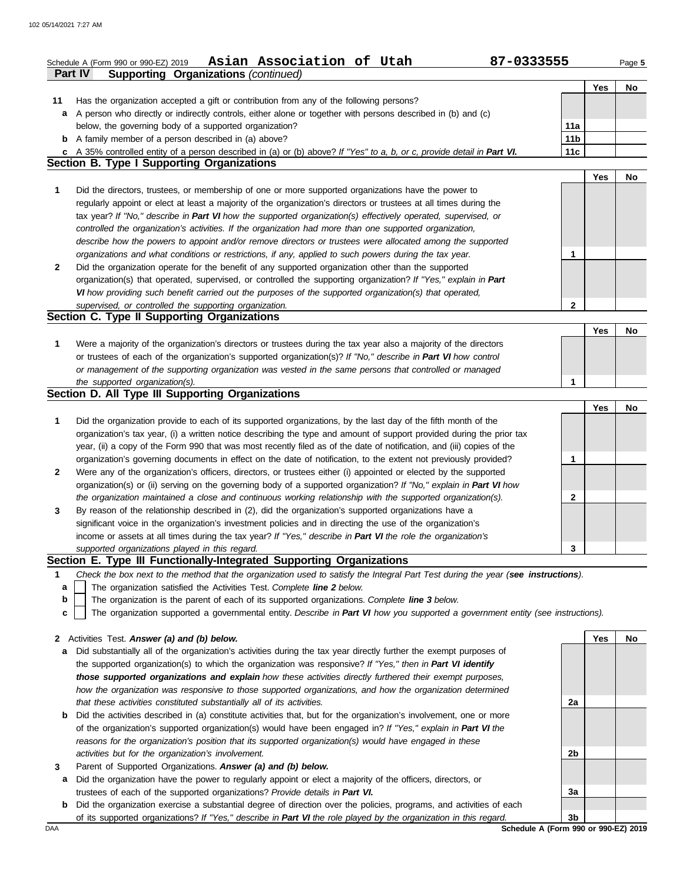|    | Asian Association of Utah<br>Schedule A (Form 990 or 990-EZ) 2019<br><b>Supporting Organizations (continued)</b><br>Part IV              | 87-0333555      |     | Page 5    |
|----|------------------------------------------------------------------------------------------------------------------------------------------|-----------------|-----|-----------|
|    |                                                                                                                                          |                 | Yes | No        |
| 11 | Has the organization accepted a gift or contribution from any of the following persons?                                                  |                 |     |           |
| a  | A person who directly or indirectly controls, either alone or together with persons described in (b) and (c)                             |                 |     |           |
|    | below, the governing body of a supported organization?                                                                                   | 11a             |     |           |
|    | <b>b</b> A family member of a person described in (a) above?                                                                             | 11 <sub>b</sub> |     |           |
|    | c A 35% controlled entity of a person described in (a) or (b) above? If "Yes" to a, b, or c, provide detail in Part VI.                  | 11c             |     |           |
|    | <b>Section B. Type I Supporting Organizations</b>                                                                                        |                 |     |           |
|    |                                                                                                                                          |                 | Yes | <b>No</b> |
| 1  | Did the directors, trustees, or membership of one or more supported organizations have the power to                                      |                 |     |           |
|    | regularly appoint or elect at least a majority of the organization's directors or trustees at all times during the                       |                 |     |           |
|    | tax year? If "No," describe in Part VI how the supported organization(s) effectively operated, supervised, or                            |                 |     |           |
|    | controlled the organization's activities. If the organization had more than one supported organization,                                  |                 |     |           |
|    | describe how the powers to appoint and/or remove directors or trustees were allocated among the supported                                |                 |     |           |
|    | organizations and what conditions or restrictions, if any, applied to such powers during the tax year.                                   | 1               |     |           |
| 2  | Did the organization operate for the benefit of any supported organization other than the supported                                      |                 |     |           |
|    | organization(s) that operated, supervised, or controlled the supporting organization? If "Yes," explain in Part                          |                 |     |           |
|    | VI how providing such benefit carried out the purposes of the supported organization(s) that operated,                                   |                 |     |           |
|    | supervised, or controlled the supporting organization.<br><b>Section C. Type II Supporting Organizations</b>                             | 2               |     |           |
|    |                                                                                                                                          |                 |     |           |
|    | Were a majority of the organization's directors or trustees during the tax year also a majority of the directors                         |                 | Yes | No        |
| 1  | or trustees of each of the organization's supported organization(s)? If "No," describe in Part VI how control                            |                 |     |           |
|    |                                                                                                                                          |                 |     |           |
|    | or management of the supporting organization was vested in the same persons that controlled or managed<br>the supported organization(s). | 1               |     |           |
|    | Section D. All Type III Supporting Organizations                                                                                         |                 |     |           |
|    |                                                                                                                                          |                 | Yes | No        |
| 1  | Did the organization provide to each of its supported organizations, by the last day of the fifth month of the                           |                 |     |           |
|    | organization's tax year, (i) a written notice describing the type and amount of support provided during the prior tax                    |                 |     |           |
|    | year, (ii) a copy of the Form 990 that was most recently filed as of the date of notification, and (iii) copies of the                   |                 |     |           |
|    | organization's governing documents in effect on the date of notification, to the extent not previously provided?                         | 1               |     |           |
| 2  | Were any of the organization's officers, directors, or trustees either (i) appointed or elected by the supported                         |                 |     |           |
|    | organization(s) or (ii) serving on the governing body of a supported organization? If "No," explain in Part VI how                       |                 |     |           |
|    | the organization maintained a close and continuous working relationship with the supported organization(s).                              | 2               |     |           |
| 3  | By reason of the relationship described in (2), did the organization's supported organizations have a                                    |                 |     |           |
|    | significant voice in the organization's investment policies and in directing the use of the organization's                               |                 |     |           |
|    | income or assets at all times during the tax year? If "Yes," describe in Part VI the role the organization's                             |                 |     |           |
|    | supported organizations played in this regard.                                                                                           | 3               |     |           |
|    | Section E. Type III Functionally-Integrated Supporting Organizations                                                                     |                 |     |           |
| 1  | Check the box next to the method that the organization used to satisfy the Integral Part Test during the year (see instructions).        |                 |     |           |
| a  | The organization satisfied the Activities Test. Complete line 2 below.                                                                   |                 |     |           |
| b  | The organization is the parent of each of its supported organizations. Complete line 3 below.                                            |                 |     |           |
| c  | The organization supported a governmental entity. Describe in Part VI how you supported a government entity (see instructions).          |                 |     |           |
|    |                                                                                                                                          |                 |     |           |
|    | 2 Activities Test. Answer (a) and (b) below.                                                                                             |                 | Yes | No        |
| а  | Did substantially all of the organization's activities during the tax year directly further the exempt purposes of                       |                 |     |           |
|    | the supported organization(s) to which the organization was responsive? If "Yes," then in Part VI identify                               |                 |     |           |
|    | those supported organizations and explain how these activities directly furthered their exempt purposes,                                 |                 |     |           |
|    | how the organization was responsive to those supported organizations, and how the organization determined                                |                 |     |           |
|    | that these activities constituted substantially all of its activities.                                                                   | 2a              |     |           |
| b  | Did the activities described in (a) constitute activities that, but for the organization's involvement, one or more                      |                 |     |           |
|    | of the organization's supported organization(s) would have been engaged in? If "Yes," explain in Part VI the                             |                 |     |           |
|    | reasons for the organization's position that its supported organization(s) would have engaged in these                                   |                 |     |           |

*activities but for the organization's involvement.*

- **3** Parent of Supported Organizations. *Answer (a) and (b) below.*
	- **a** Did the organization have the power to regularly appoint or elect a majority of the officers, directors, or trustees of each of the supported organizations? *Provide details in Part VI.*
- **b** Did the organization exercise a substantial degree of direction over the policies, programs, and activities of each of its supported organizations? *If "Yes," describe in Part VI the role played by the organization in this regard.*

**2b 3a 3b**

DAA **SChedule A (Form 990 or 990-EZ) 2019**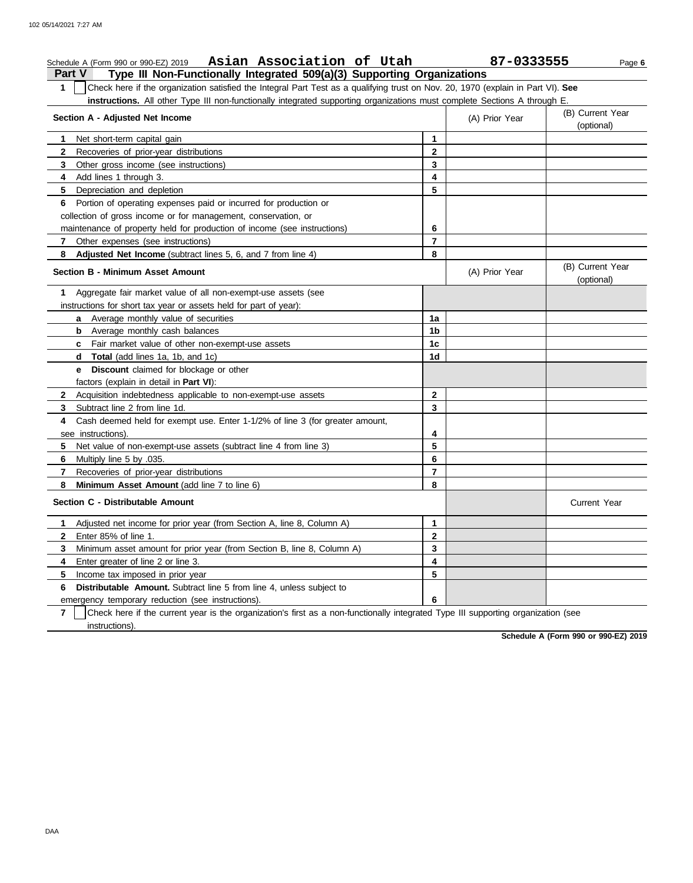#### **Part V Type III Non-Functionally Integrated 509(a)(3) Supporting Organizations** Schedule A (Form 990 or 990-EZ) 2019 Page **6 Asian Association of Utah 87-0333555 1** Check here if the organization satisfied the Integral Part Test as a qualifying trust on Nov. 20, 1970 (explain in Part VI). **See instructions.** All other Type III non-functionally integrated supporting organizations must complete Sections A through E. **1** Net short-term capital gain **2** Recoveries of prior-year distributions **3 4** Add lines 1 through 3. **5** Depreciation and depletion **6** Portion of operating expenses paid or incurred for production or **7** Other expenses (see instructions) **8 Adjusted Net Income** (subtract lines 5, 6, and 7 from line 4) **1** Aggregate fair market value of all non-exempt-use assets (see **Section A - Adjusted Net Income** Other gross income (see instructions) collection of gross income or for management, conservation, or maintenance of property held for production of income (see instructions) **Section B - Minimum Asset Amount** instructions for short tax year or assets held for part of year): **a** Average monthly value of securities **b** Average monthly cash balances **c** Fair market value of other non-exempt-use assets **8 7 6 5 4 3 2 1** (A) Prior Year (B) Current Year (optional) (optional) (B) Current Year (A) Prior Year **1a 1b 1c**

|              | Fair market value of other non-exempt-use assets                                                                                  | 1c             |              |
|--------------|-----------------------------------------------------------------------------------------------------------------------------------|----------------|--------------|
|              | Total (add lines 1a, 1b, and 1c)<br>d                                                                                             | 1 <sub>d</sub> |              |
|              | <b>Discount</b> claimed for blockage or other<br>е                                                                                |                |              |
|              | factors (explain in detail in Part VI):                                                                                           |                |              |
| $\mathbf{2}$ | Acquisition indebtedness applicable to non-exempt-use assets                                                                      | $\mathbf{2}$   |              |
|              | Subtract line 2 from line 1d.                                                                                                     | 3              |              |
| 4            | Cash deemed held for exempt use. Enter 1-1/2% of line 3 (for greater amount,                                                      |                |              |
|              | see instructions).                                                                                                                | 4              |              |
| 5.           | Net value of non-exempt-use assets (subtract line 4 from line 3)                                                                  | 5              |              |
| 6            | Multiply line 5 by .035.                                                                                                          | 6              |              |
|              | Recoveries of prior-year distributions                                                                                            | 7              |              |
| 8            | Minimum Asset Amount (add line 7 to line 6)                                                                                       | 8              |              |
|              | Section C - Distributable Amount                                                                                                  |                | Current Year |
|              | Adjusted net income for prior year (from Section A, line 8, Column A)                                                             | 1              |              |
|              | Enter 85% of line 1.                                                                                                              | 2              |              |
| 3            | Minimum asset amount for prior year (from Section B, line 8, Column A)                                                            | 3              |              |
|              | Enter greater of line 2 or line 3.                                                                                                | 4              |              |
| 5            | Income tax imposed in prior year                                                                                                  | 5              |              |
| 6            | Distributable Amount. Subtract line 5 from line 4, unless subject to                                                              |                |              |
|              | emergency temporary reduction (see instructions).                                                                                 | 6              |              |
| 7            | Check here if the current year is the organization's first as a non-functionally integrated Type III supporting organization (see |                |              |
|              | instructions).                                                                                                                    |                |              |

**Schedule A (Form 990 or 990-EZ) 2019**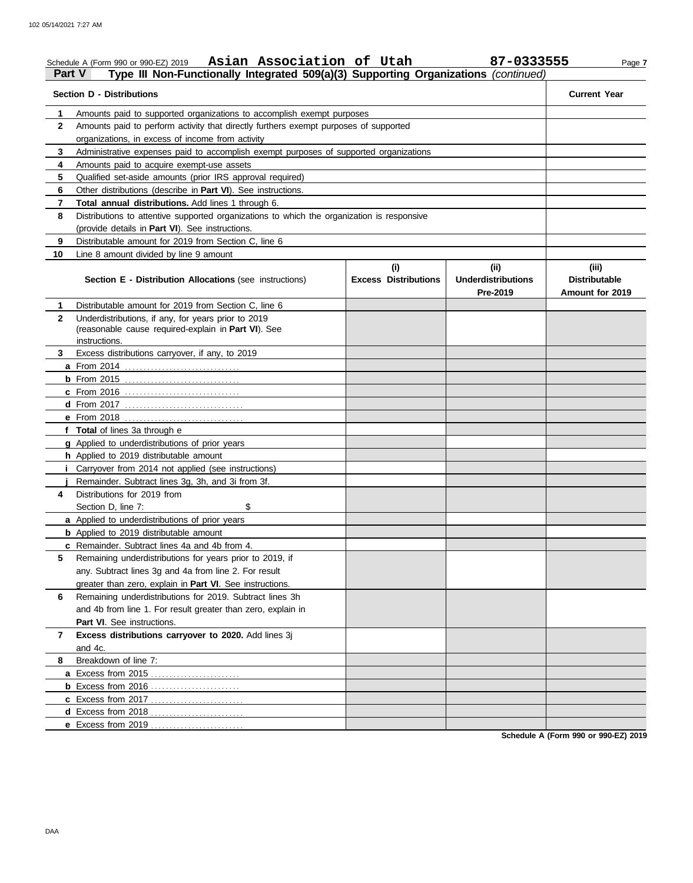# Schedule A (Form 990 or 990-EZ) 2019 Page **7 Asian Association of Utah 87-0333555 Part V Type III Non-Functionally Integrated 509(a)(3) Supporting Organizations** *(continued)*

| <b>Section D - Distributions</b> | <b>Current Year</b>                                                                        |                             |                           |                      |  |  |  |  |
|----------------------------------|--------------------------------------------------------------------------------------------|-----------------------------|---------------------------|----------------------|--|--|--|--|
| 1                                | Amounts paid to supported organizations to accomplish exempt purposes                      |                             |                           |                      |  |  |  |  |
| $\mathbf{2}$                     | Amounts paid to perform activity that directly furthers exempt purposes of supported       |                             |                           |                      |  |  |  |  |
|                                  | organizations, in excess of income from activity                                           |                             |                           |                      |  |  |  |  |
| 3                                | Administrative expenses paid to accomplish exempt purposes of supported organizations      |                             |                           |                      |  |  |  |  |
| 4                                | Amounts paid to acquire exempt-use assets                                                  |                             |                           |                      |  |  |  |  |
| 5                                | Qualified set-aside amounts (prior IRS approval required)                                  |                             |                           |                      |  |  |  |  |
| 6                                | Other distributions (describe in Part VI). See instructions.                               |                             |                           |                      |  |  |  |  |
| $\overline{7}$                   | Total annual distributions. Add lines 1 through 6.                                         |                             |                           |                      |  |  |  |  |
| 8                                | Distributions to attentive supported organizations to which the organization is responsive |                             |                           |                      |  |  |  |  |
|                                  | (provide details in Part VI). See instructions.                                            |                             |                           |                      |  |  |  |  |
| 9                                | Distributable amount for 2019 from Section C, line 6                                       |                             |                           |                      |  |  |  |  |
| 10                               | Line 8 amount divided by line 9 amount                                                     |                             |                           |                      |  |  |  |  |
|                                  |                                                                                            | (i)                         | (ii)                      | (iii)                |  |  |  |  |
|                                  | <b>Section E - Distribution Allocations (see instructions)</b>                             | <b>Excess Distributions</b> | <b>Underdistributions</b> | <b>Distributable</b> |  |  |  |  |
|                                  |                                                                                            |                             | Pre-2019                  | Amount for 2019      |  |  |  |  |
| 1                                | Distributable amount for 2019 from Section C, line 6                                       |                             |                           |                      |  |  |  |  |
| $\mathbf{2}$                     | Underdistributions, if any, for years prior to 2019                                        |                             |                           |                      |  |  |  |  |
|                                  | (reasonable cause required-explain in Part VI). See<br>instructions.                       |                             |                           |                      |  |  |  |  |
| 3                                | Excess distributions carryover, if any, to 2019                                            |                             |                           |                      |  |  |  |  |
|                                  |                                                                                            |                             |                           |                      |  |  |  |  |
|                                  |                                                                                            |                             |                           |                      |  |  |  |  |
|                                  | <b>c</b> From 2016                                                                         |                             |                           |                      |  |  |  |  |
|                                  |                                                                                            |                             |                           |                      |  |  |  |  |
|                                  |                                                                                            |                             |                           |                      |  |  |  |  |
|                                  | f Total of lines 3a through e                                                              |                             |                           |                      |  |  |  |  |
|                                  | g Applied to underdistributions of prior years                                             |                             |                           |                      |  |  |  |  |
|                                  | h Applied to 2019 distributable amount                                                     |                             |                           |                      |  |  |  |  |
|                                  | <i>i</i> Carryover from 2014 not applied (see instructions)                                |                             |                           |                      |  |  |  |  |
|                                  | Remainder. Subtract lines 3g, 3h, and 3i from 3f.                                          |                             |                           |                      |  |  |  |  |
| 4                                | Distributions for 2019 from                                                                |                             |                           |                      |  |  |  |  |
|                                  | Section D, line 7:<br>\$                                                                   |                             |                           |                      |  |  |  |  |
|                                  | a Applied to underdistributions of prior years                                             |                             |                           |                      |  |  |  |  |
|                                  | <b>b</b> Applied to 2019 distributable amount                                              |                             |                           |                      |  |  |  |  |
|                                  | c Remainder. Subtract lines 4a and 4b from 4.                                              |                             |                           |                      |  |  |  |  |
| 5                                | Remaining underdistributions for years prior to 2019, if                                   |                             |                           |                      |  |  |  |  |
|                                  | any. Subtract lines 3g and 4a from line 2. For result                                      |                             |                           |                      |  |  |  |  |
|                                  | greater than zero, explain in <b>Part VI</b> . See instructions.                           |                             |                           |                      |  |  |  |  |
| 6                                | Remaining underdistributions for 2019. Subtract lines 3h                                   |                             |                           |                      |  |  |  |  |
|                                  | and 4b from line 1. For result greater than zero, explain in<br>Part VI. See instructions. |                             |                           |                      |  |  |  |  |
| $\mathbf{7}$                     | Excess distributions carryover to 2020. Add lines 3j                                       |                             |                           |                      |  |  |  |  |
|                                  | and 4c.                                                                                    |                             |                           |                      |  |  |  |  |
| 8                                | Breakdown of line 7:                                                                       |                             |                           |                      |  |  |  |  |
|                                  | <b>a</b> Excess from 2015                                                                  |                             |                           |                      |  |  |  |  |
|                                  | <b>b</b> Excess from 2016                                                                  |                             |                           |                      |  |  |  |  |
|                                  | c Excess from 2017                                                                         |                             |                           |                      |  |  |  |  |
|                                  | d Excess from 2018                                                                         |                             |                           |                      |  |  |  |  |
|                                  | e Excess from 2019                                                                         |                             |                           |                      |  |  |  |  |
|                                  |                                                                                            |                             |                           |                      |  |  |  |  |

**Schedule A (Form 990 or 990-EZ) 2019**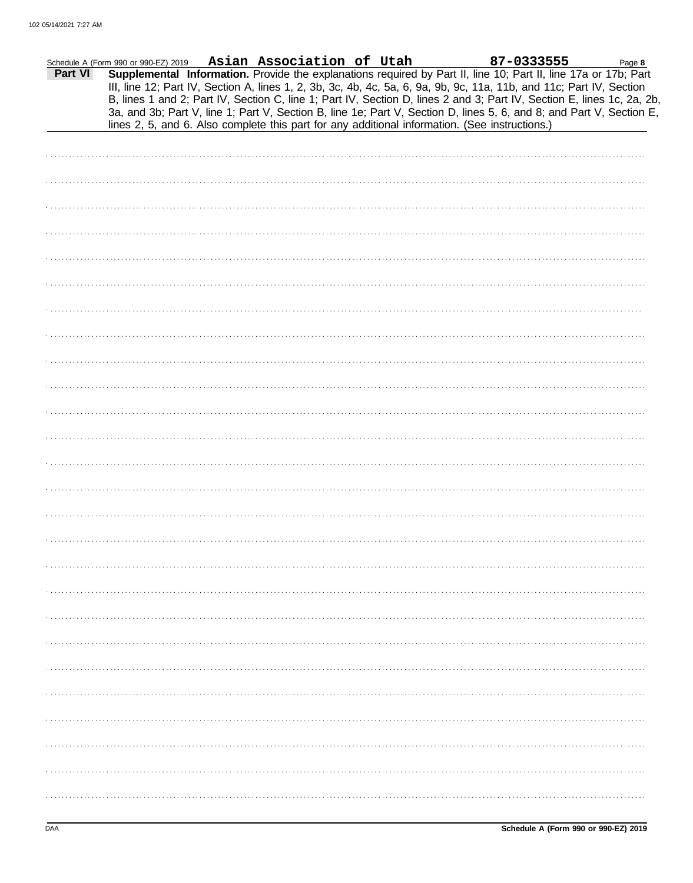|         | Schedule A (Form 990 or 990-EZ) 2019 Asian Association of Utah                                                                                                                                                                                                                                                                                                                                                                                                                                                                                                                              |  |  | 87-0333555 | Page 8 |
|---------|---------------------------------------------------------------------------------------------------------------------------------------------------------------------------------------------------------------------------------------------------------------------------------------------------------------------------------------------------------------------------------------------------------------------------------------------------------------------------------------------------------------------------------------------------------------------------------------------|--|--|------------|--------|
| Part VI | Supplemental Information. Provide the explanations required by Part II, line 10; Part II, line 17a or 17b; Part<br>III, line 12; Part IV, Section A, lines 1, 2, 3b, 3c, 4b, 4c, 5a, 6, 9a, 9b, 9c, 11a, 11b, and 11c; Part IV, Section<br>B, lines 1 and 2; Part IV, Section C, line 1; Part IV, Section D, lines 2 and 3; Part IV, Section E, lines 1c, 2a, 2b,<br>3a, and 3b; Part V, line 1; Part V, Section B, line 1e; Part V, Section D, lines 5, 6, and 8; and Part V, Section E,<br>lines 2, 5, and 6. Also complete this part for any additional information. (See instructions.) |  |  |            |        |
|         |                                                                                                                                                                                                                                                                                                                                                                                                                                                                                                                                                                                             |  |  |            |        |
|         |                                                                                                                                                                                                                                                                                                                                                                                                                                                                                                                                                                                             |  |  |            |        |
|         |                                                                                                                                                                                                                                                                                                                                                                                                                                                                                                                                                                                             |  |  |            |        |
|         |                                                                                                                                                                                                                                                                                                                                                                                                                                                                                                                                                                                             |  |  |            |        |
|         |                                                                                                                                                                                                                                                                                                                                                                                                                                                                                                                                                                                             |  |  |            |        |
|         |                                                                                                                                                                                                                                                                                                                                                                                                                                                                                                                                                                                             |  |  |            |        |
|         |                                                                                                                                                                                                                                                                                                                                                                                                                                                                                                                                                                                             |  |  |            |        |
|         |                                                                                                                                                                                                                                                                                                                                                                                                                                                                                                                                                                                             |  |  |            |        |
|         |                                                                                                                                                                                                                                                                                                                                                                                                                                                                                                                                                                                             |  |  |            |        |
|         |                                                                                                                                                                                                                                                                                                                                                                                                                                                                                                                                                                                             |  |  |            |        |
|         |                                                                                                                                                                                                                                                                                                                                                                                                                                                                                                                                                                                             |  |  |            |        |
|         |                                                                                                                                                                                                                                                                                                                                                                                                                                                                                                                                                                                             |  |  |            |        |
|         |                                                                                                                                                                                                                                                                                                                                                                                                                                                                                                                                                                                             |  |  |            |        |
|         |                                                                                                                                                                                                                                                                                                                                                                                                                                                                                                                                                                                             |  |  |            |        |
|         |                                                                                                                                                                                                                                                                                                                                                                                                                                                                                                                                                                                             |  |  |            |        |
|         |                                                                                                                                                                                                                                                                                                                                                                                                                                                                                                                                                                                             |  |  |            |        |
|         |                                                                                                                                                                                                                                                                                                                                                                                                                                                                                                                                                                                             |  |  |            |        |
|         |                                                                                                                                                                                                                                                                                                                                                                                                                                                                                                                                                                                             |  |  |            |        |
|         |                                                                                                                                                                                                                                                                                                                                                                                                                                                                                                                                                                                             |  |  |            |        |
|         |                                                                                                                                                                                                                                                                                                                                                                                                                                                                                                                                                                                             |  |  |            |        |
|         |                                                                                                                                                                                                                                                                                                                                                                                                                                                                                                                                                                                             |  |  |            |        |
|         |                                                                                                                                                                                                                                                                                                                                                                                                                                                                                                                                                                                             |  |  |            |        |
|         |                                                                                                                                                                                                                                                                                                                                                                                                                                                                                                                                                                                             |  |  |            |        |
|         |                                                                                                                                                                                                                                                                                                                                                                                                                                                                                                                                                                                             |  |  |            |        |
|         |                                                                                                                                                                                                                                                                                                                                                                                                                                                                                                                                                                                             |  |  |            |        |
|         |                                                                                                                                                                                                                                                                                                                                                                                                                                                                                                                                                                                             |  |  |            |        |
|         |                                                                                                                                                                                                                                                                                                                                                                                                                                                                                                                                                                                             |  |  |            |        |
|         |                                                                                                                                                                                                                                                                                                                                                                                                                                                                                                                                                                                             |  |  |            |        |
|         |                                                                                                                                                                                                                                                                                                                                                                                                                                                                                                                                                                                             |  |  |            |        |
|         |                                                                                                                                                                                                                                                                                                                                                                                                                                                                                                                                                                                             |  |  |            |        |
|         |                                                                                                                                                                                                                                                                                                                                                                                                                                                                                                                                                                                             |  |  |            |        |
|         |                                                                                                                                                                                                                                                                                                                                                                                                                                                                                                                                                                                             |  |  |            |        |
|         |                                                                                                                                                                                                                                                                                                                                                                                                                                                                                                                                                                                             |  |  |            |        |
|         |                                                                                                                                                                                                                                                                                                                                                                                                                                                                                                                                                                                             |  |  |            |        |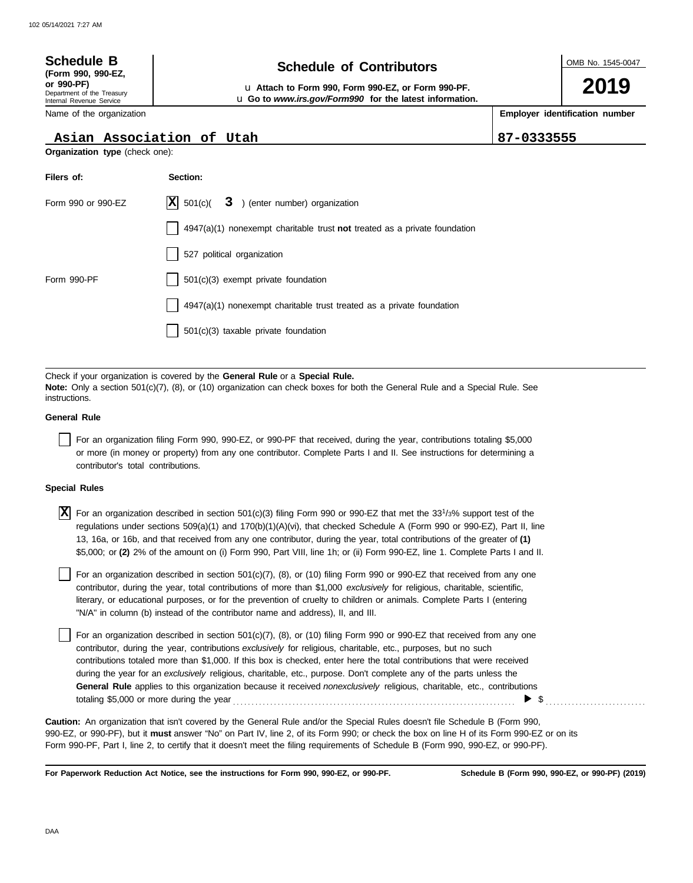| <b>Schedule B</b><br>(Form 990, 990-EZ,                                          | <b>Schedule of Contributors</b>                                                                                       |  | OMB No. 1545-0047 |  |  |  |
|----------------------------------------------------------------------------------|-----------------------------------------------------------------------------------------------------------------------|--|-------------------|--|--|--|
| or 990-PF)<br>Department of the Treasury<br>Internal Revenue Service             | La Attach to Form 990, Form 990-EZ, or Form 990-PF.<br><b>u</b> Go to www.irs.gov/Form990 for the latest information. |  | 2019              |  |  |  |
| Name of the organization                                                         | Employer identification number                                                                                        |  |                   |  |  |  |
| 87-0333555<br>Asian Association of Utah<br><b>Organization type (check one):</b> |                                                                                                                       |  |                   |  |  |  |
| Filers of:                                                                       | Section:                                                                                                              |  |                   |  |  |  |
| Form 990 or 990-EZ                                                               | $ \mathbf{X} $ 501(c)(<br>3<br>(enter number) organization                                                            |  |                   |  |  |  |
|                                                                                  | $4947(a)(1)$ nonexempt charitable trust not treated as a private foundation                                           |  |                   |  |  |  |

Check if your organization is covered by the **General Rule** or a **Special Rule. Note:** Only a section 501(c)(7), (8), or (10) organization can check boxes for both the General Rule and a Special Rule. See instructions.

527 political organization

501(c)(3) taxable private foundation

Form 990-PF  $\vert$   $\vert$  501(c)(3) exempt private foundation

#### **General Rule**

For an organization filing Form 990, 990-EZ, or 990-PF that received, during the year, contributions totaling \$5,000 or more (in money or property) from any one contributor. Complete Parts I and II. See instructions for determining a contributor's total contributions.

4947(a)(1) nonexempt charitable trust treated as a private foundation

#### **Special Rules**

 $\overline{X}$  For an organization described in section 501(c)(3) filing Form 990 or 990-EZ that met the 33<sup>1</sup>/3% support test of the regulations under sections 509(a)(1) and 170(b)(1)(A)(vi), that checked Schedule A (Form 990 or 990-EZ), Part II, line 13, 16a, or 16b, and that received from any one contributor, during the year, total contributions of the greater of **(1)** \$5,000; or **(2)** 2% of the amount on (i) Form 990, Part VIII, line 1h; or (ii) Form 990-EZ, line 1. Complete Parts I and II.

literary, or educational purposes, or for the prevention of cruelty to children or animals. Complete Parts I (entering For an organization described in section 501(c)(7), (8), or (10) filing Form 990 or 990-EZ that received from any one contributor, during the year, total contributions of more than \$1,000 *exclusively* for religious, charitable, scientific, "N/A" in column (b) instead of the contributor name and address), II, and III.

For an organization described in section 501(c)(7), (8), or (10) filing Form 990 or 990-EZ that received from any one contributor, during the year, contributions *exclusively* for religious, charitable, etc., purposes, but no such contributions totaled more than \$1,000. If this box is checked, enter here the total contributions that were received during the year for an *exclusively* religious, charitable, etc., purpose. Don't complete any of the parts unless the **General Rule** applies to this organization because it received *nonexclusively* religious, charitable, etc., contributions totaling \$5,000 or more during the year . . . . . . . . . . . . . . . . . . . . . . . . . . . . . . . . . . . . . . . . . . . . . . . . . . . . . . . . . . . . . . . . . . . . . . . . . . . . \$ . . . . . . . . . . . . . . . . . . . . . . . . . . .

990-EZ, or 990-PF), but it **must** answer "No" on Part IV, line 2, of its Form 990; or check the box on line H of its Form 990-EZ or on its Form 990-PF, Part I, line 2, to certify that it doesn't meet the filing requirements of Schedule B (Form 990, 990-EZ, or 990-PF). **Caution:** An organization that isn't covered by the General Rule and/or the Special Rules doesn't file Schedule B (Form 990,

**For Paperwork Reduction Act Notice, see the instructions for Form 990, 990-EZ, or 990-PF.**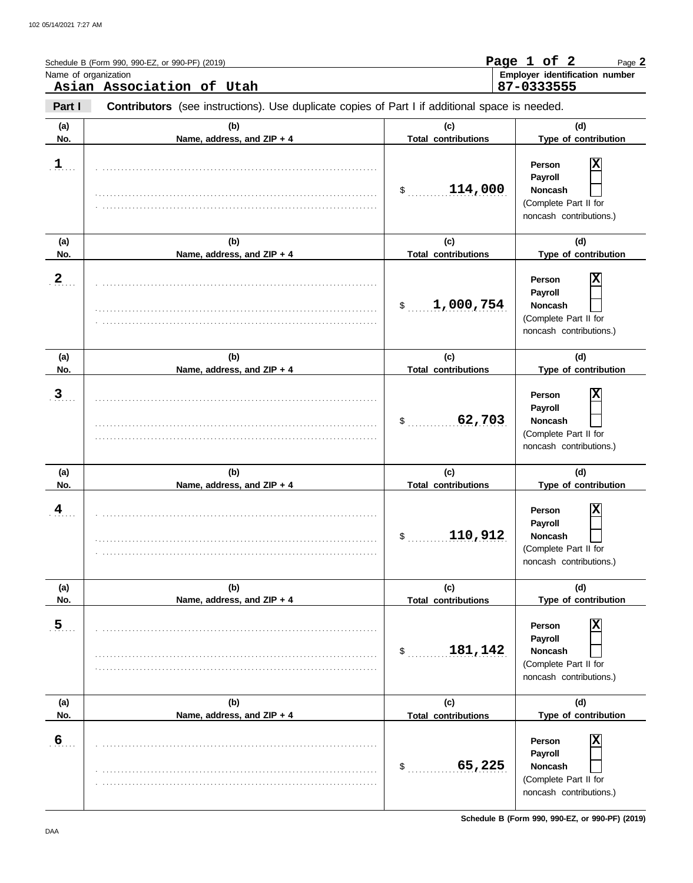|                      | Schedule B (Form 990, 990-EZ, or 990-PF) (2019)                                                       |                                   | Page 1 of 2<br>Page 2                                                                                              |
|----------------------|-------------------------------------------------------------------------------------------------------|-----------------------------------|--------------------------------------------------------------------------------------------------------------------|
| Name of organization | Asian Association of Utah                                                                             |                                   | Employer identification number<br>87-0333555                                                                       |
| Part I               | <b>Contributors</b> (see instructions). Use duplicate copies of Part I if additional space is needed. |                                   |                                                                                                                    |
| (a)<br>No.           | (b)<br>Name, address, and ZIP + 4                                                                     | (c)<br><b>Total contributions</b> | (d)<br>Type of contribution                                                                                        |
| 1                    |                                                                                                       | 114,000<br>\$                     | X<br>Person<br>Payroll<br><b>Noncash</b><br>(Complete Part II for<br>noncash contributions.)                       |
| (a)<br>No.           | (b)<br>Name, address, and ZIP + 4                                                                     | (c)<br><b>Total contributions</b> | (d)<br>Type of contribution                                                                                        |
| $\mathbf 2$          |                                                                                                       | 1,000,754<br>$\mathsf{S}$         | Х<br>Person<br>Payroll<br><b>Noncash</b><br>(Complete Part II for<br>noncash contributions.)                       |
| (a)<br>No.           | (b)<br>Name, address, and ZIP + 4                                                                     | (c)<br><b>Total contributions</b> | (d)<br>Type of contribution                                                                                        |
| 3                    |                                                                                                       | 62,703<br>\$                      | Χ<br>Person<br>Payroll<br><b>Noncash</b><br>(Complete Part II for<br>noncash contributions.)                       |
| (a)<br>No.           | (b)<br>Name, address, and ZIP + 4                                                                     | (c)<br><b>Total contributions</b> | (d)<br>Type of contribution                                                                                        |
| 4                    |                                                                                                       | \$<br>110,912                     | Χ<br>Person<br>Payroll<br>Noncash<br>(Complete Part II for<br>noncash contributions.)                              |
| (a)<br>No.           | (b)<br>Name, address, and ZIP + 4                                                                     | (c)<br><b>Total contributions</b> | (d)<br>Type of contribution                                                                                        |
| $\overline{5}$       |                                                                                                       | 181,142<br>$$^{\circ}$            | $\overline{\mathbf{x}}$<br>Person<br>Payroll<br><b>Noncash</b><br>(Complete Part II for<br>noncash contributions.) |
| (a)<br>No.           | (b)<br>Name, address, and ZIP + 4                                                                     | (c)<br><b>Total contributions</b> | (d)<br>Type of contribution                                                                                        |
| 6 <sub>1</sub>       |                                                                                                       | 65,225                            | X<br>Person<br>Payroll<br>Noncash<br>(Complete Part II for<br>noncash contributions.)                              |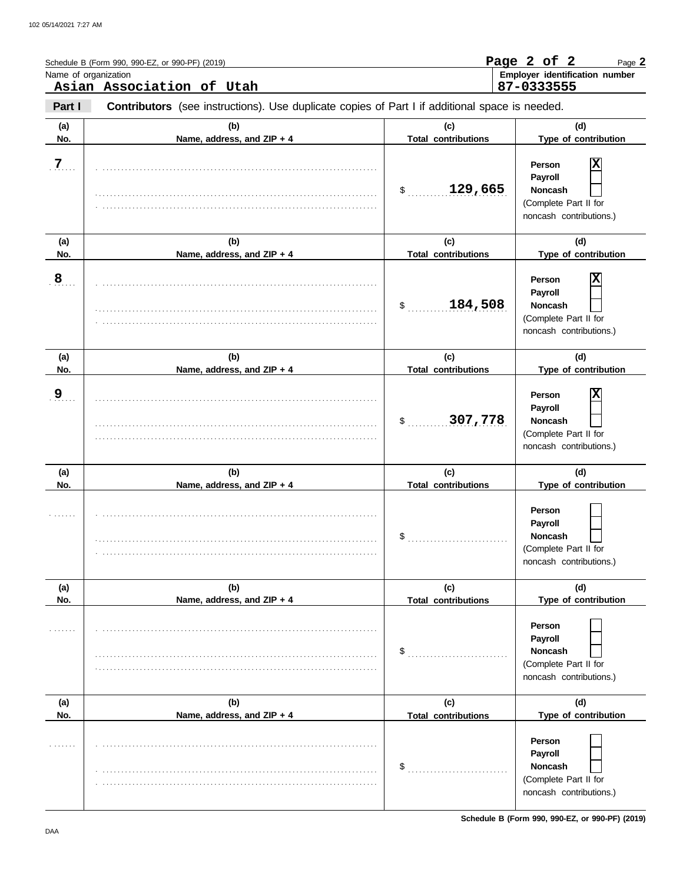|                      | Schedule B (Form 990, 990-EZ, or 990-PF) (2019)                                                       |                                   | Page 2 of 2<br>Page 2                                                                        |
|----------------------|-------------------------------------------------------------------------------------------------------|-----------------------------------|----------------------------------------------------------------------------------------------|
| Name of organization | Asian Association of Utah                                                                             |                                   | Employer identification number<br>87-0333555                                                 |
| Part I               | <b>Contributors</b> (see instructions). Use duplicate copies of Part I if additional space is needed. |                                   |                                                                                              |
| (a)<br>No.           | (b)<br>Name, address, and ZIP + 4                                                                     | (c)<br><b>Total contributions</b> | (d)<br>Type of contribution                                                                  |
| 7                    |                                                                                                       | 129,665<br>$\mathbb{S}$           | X<br>Person<br>Payroll<br><b>Noncash</b><br>(Complete Part II for<br>noncash contributions.) |
| (a)<br>No.           | (b)<br>Name, address, and ZIP + 4                                                                     | (c)<br><b>Total contributions</b> | (d)<br>Type of contribution                                                                  |
| 8                    |                                                                                                       | 184,508<br>\$                     | Х<br>Person<br>Payroll<br><b>Noncash</b><br>(Complete Part II for<br>noncash contributions.) |
| (a)<br>No.           | (b)<br>Name, address, and ZIP + 4                                                                     | (c)<br><b>Total contributions</b> | (d)<br>Type of contribution                                                                  |
| 9                    |                                                                                                       | 307,778<br>\$                     | Х<br>Person<br>Payroll<br><b>Noncash</b><br>(Complete Part II for<br>noncash contributions.) |
| (a)<br>No.           | (b)<br>Name, address, and ZIP + 4                                                                     | (c)<br><b>Total contributions</b> | (d)<br>Type of contribution                                                                  |
|                      |                                                                                                       | \$                                | Person<br>Payroll<br>Noncash<br>(Complete Part II for<br>noncash contributions.)             |
| (a)<br>No.           | (b)<br>Name, address, and ZIP + 4                                                                     | (c)<br><b>Total contributions</b> | (d)<br>Type of contribution                                                                  |
|                      |                                                                                                       | \$                                | Person<br>Payroll<br><b>Noncash</b><br>(Complete Part II for<br>noncash contributions.)      |
| (a)<br>No.           | (b)<br>Name, address, and ZIP + 4                                                                     | (c)<br><b>Total contributions</b> | (d)<br>Type of contribution                                                                  |
| 1.1.1.1.1            |                                                                                                       | \$                                | Person<br>Payroll<br>Noncash<br>(Complete Part II for<br>noncash contributions.)             |

**Schedule B (Form 990, 990-EZ, or 990-PF) (2019)**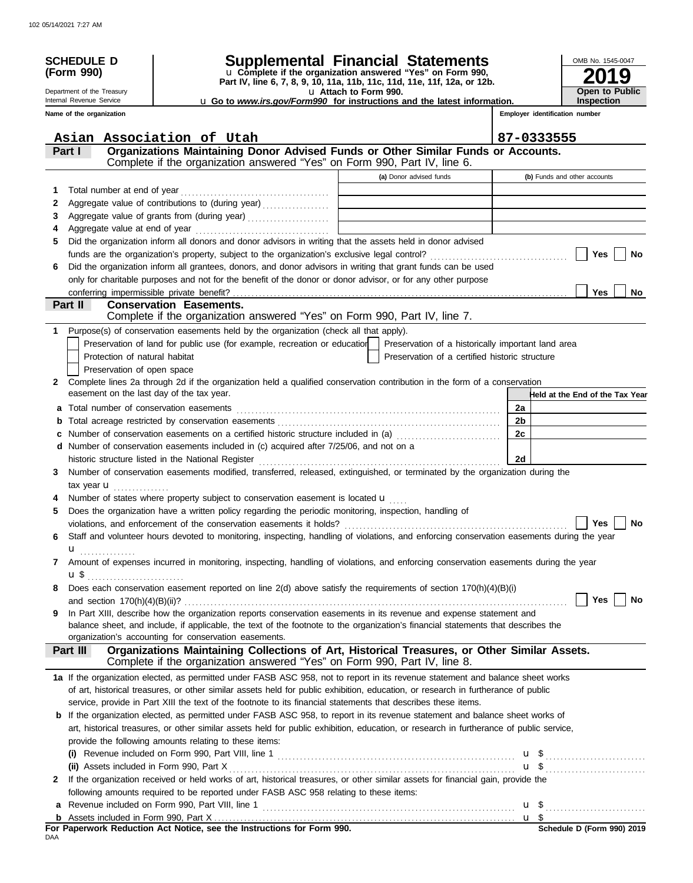|   | <b>SCHEDULE D</b>                                    |                                                                                                                                                                           | Supplemental Financial Statements<br>u Complete if the organization answered "Yes" on Form 990, |                                | OMB No. 1545-0047               |
|---|------------------------------------------------------|---------------------------------------------------------------------------------------------------------------------------------------------------------------------------|-------------------------------------------------------------------------------------------------|--------------------------------|---------------------------------|
|   | (Form 990)                                           |                                                                                                                                                                           | Part IV, line 6, 7, 8, 9, 10, 11a, 11b, 11c, 11d, 11e, 11f, 12a, or 12b.                        |                                |                                 |
|   | Department of the Treasury                           |                                                                                                                                                                           | u Attach to Form 990.                                                                           |                                | <b>Open to Public</b>           |
|   | Internal Revenue Service<br>Name of the organization |                                                                                                                                                                           | u Go to www.irs.gov/Form990 for instructions and the latest information.                        | Employer identification number | Inspection                      |
|   |                                                      |                                                                                                                                                                           |                                                                                                 |                                |                                 |
|   |                                                      | Asian Association of Utah                                                                                                                                                 |                                                                                                 | 87-0333555                     |                                 |
|   | Part I                                               | Organizations Maintaining Donor Advised Funds or Other Similar Funds or Accounts.<br>Complete if the organization answered "Yes" on Form 990, Part IV, line 6.            |                                                                                                 |                                |                                 |
|   |                                                      |                                                                                                                                                                           | (a) Donor advised funds                                                                         |                                | (b) Funds and other accounts    |
| 1 |                                                      |                                                                                                                                                                           |                                                                                                 |                                |                                 |
| 2 |                                                      | Aggregate value of contributions to (during year)                                                                                                                         |                                                                                                 |                                |                                 |
| 3 |                                                      | Aggregate value of grants from (during year)                                                                                                                              | the control of the control of the control of the control of the control of                      |                                |                                 |
| 4 |                                                      |                                                                                                                                                                           |                                                                                                 |                                |                                 |
| 5 |                                                      | Did the organization inform all donors and donor advisors in writing that the assets held in donor advised                                                                |                                                                                                 |                                |                                 |
|   |                                                      |                                                                                                                                                                           |                                                                                                 |                                | Yes<br>No                       |
| 6 |                                                      | Did the organization inform all grantees, donors, and donor advisors in writing that grant funds can be used                                                              |                                                                                                 |                                |                                 |
|   |                                                      | only for charitable purposes and not for the benefit of the donor or donor advisor, or for any other purpose                                                              |                                                                                                 |                                |                                 |
|   |                                                      |                                                                                                                                                                           |                                                                                                 |                                | <b>Yes</b><br>No.               |
|   | Part II                                              | <b>Conservation Easements.</b>                                                                                                                                            |                                                                                                 |                                |                                 |
|   |                                                      | Complete if the organization answered "Yes" on Form 990, Part IV, line 7.                                                                                                 |                                                                                                 |                                |                                 |
| 1 |                                                      | Purpose(s) of conservation easements held by the organization (check all that apply).                                                                                     |                                                                                                 |                                |                                 |
|   |                                                      | Preservation of land for public use (for example, recreation or education                                                                                                 | Preservation of a historically important land area                                              |                                |                                 |
|   | Protection of natural habitat                        |                                                                                                                                                                           | Preservation of a certified historic structure                                                  |                                |                                 |
|   | Preservation of open space                           |                                                                                                                                                                           |                                                                                                 |                                |                                 |
| 2 | easement on the last day of the tax year.            | Complete lines 2a through 2d if the organization held a qualified conservation contribution in the form of a conservation                                                 |                                                                                                 |                                | Held at the End of the Tax Year |
|   |                                                      |                                                                                                                                                                           |                                                                                                 | 2a                             |                                 |
| b |                                                      |                                                                                                                                                                           |                                                                                                 | 2 <sub>b</sub>                 |                                 |
|   |                                                      |                                                                                                                                                                           |                                                                                                 | 2c                             |                                 |
|   |                                                      | d Number of conservation easements included in (c) acquired after 7/25/06, and not on a                                                                                   |                                                                                                 |                                |                                 |
|   |                                                      |                                                                                                                                                                           |                                                                                                 | 2d                             |                                 |
| 3 |                                                      | Number of conservation easements modified, transferred, released, extinguished, or terminated by the organization during the                                              |                                                                                                 |                                |                                 |
|   | tax year $\mathbf u$                                 |                                                                                                                                                                           |                                                                                                 |                                |                                 |
|   |                                                      | Number of states where property subject to conservation easement is located u                                                                                             |                                                                                                 |                                |                                 |
| 5 |                                                      | Does the organization have a written policy regarding the periodic monitoring, inspection, handling of                                                                    |                                                                                                 |                                |                                 |
|   |                                                      | violations, and enforcement of the conservation easements it holds?                                                                                                       |                                                                                                 |                                | Yes<br>No                       |
| 6 |                                                      | Staff and volunteer hours devoted to monitoring, inspecting, handling of violations, and enforcing conservation easements during the year                                 |                                                                                                 |                                |                                 |
|   | u                                                    | Amount of expenses incurred in monitoring, inspecting, handling of violations, and enforcing conservation easements during the year                                       |                                                                                                 |                                |                                 |
| 7 |                                                      |                                                                                                                                                                           |                                                                                                 |                                |                                 |
| 8 | <b>u</b> \$ <u></u>                                  | Does each conservation easement reported on line 2(d) above satisfy the requirements of section 170(h)(4)(B)(i)                                                           |                                                                                                 |                                |                                 |
|   |                                                      |                                                                                                                                                                           |                                                                                                 |                                | <b>Yes</b><br>No                |
| 9 |                                                      | In Part XIII, describe how the organization reports conservation easements in its revenue and expense statement and                                                       |                                                                                                 |                                |                                 |
|   |                                                      | balance sheet, and include, if applicable, the text of the footnote to the organization's financial statements that describes the                                         |                                                                                                 |                                |                                 |
|   |                                                      | organization's accounting for conservation easements.                                                                                                                     |                                                                                                 |                                |                                 |
|   | Part III                                             | Organizations Maintaining Collections of Art, Historical Treasures, or Other Similar Assets.<br>Complete if the organization answered "Yes" on Form 990, Part IV, line 8. |                                                                                                 |                                |                                 |
|   |                                                      | 1a If the organization elected, as permitted under FASB ASC 958, not to report in its revenue statement and balance sheet works                                           |                                                                                                 |                                |                                 |
|   |                                                      | of art, historical treasures, or other similar assets held for public exhibition, education, or research in furtherance of public                                         |                                                                                                 |                                |                                 |
|   |                                                      | service, provide in Part XIII the text of the footnote to its financial statements that describes these items.                                                            |                                                                                                 |                                |                                 |
|   |                                                      | <b>b</b> If the organization elected, as permitted under FASB ASC 958, to report in its revenue statement and balance sheet works of                                      |                                                                                                 |                                |                                 |
|   |                                                      | art, historical treasures, or other similar assets held for public exhibition, education, or research in furtherance of public service,                                   |                                                                                                 |                                |                                 |
|   |                                                      | provide the following amounts relating to these items:                                                                                                                    |                                                                                                 |                                |                                 |
|   |                                                      |                                                                                                                                                                           |                                                                                                 |                                |                                 |
|   |                                                      |                                                                                                                                                                           |                                                                                                 |                                |                                 |
| 2 |                                                      | If the organization received or held works of art, historical treasures, or other similar assets for financial gain, provide the                                          |                                                                                                 |                                |                                 |
|   |                                                      | following amounts required to be reported under FASB ASC 958 relating to these items:                                                                                     |                                                                                                 |                                |                                 |
|   |                                                      |                                                                                                                                                                           |                                                                                                 |                                |                                 |
|   |                                                      |                                                                                                                                                                           |                                                                                                 |                                |                                 |

**For Paperwork Reduction Act Notice, see the Instructions for Form 990.**<br><sub>DAA</sub>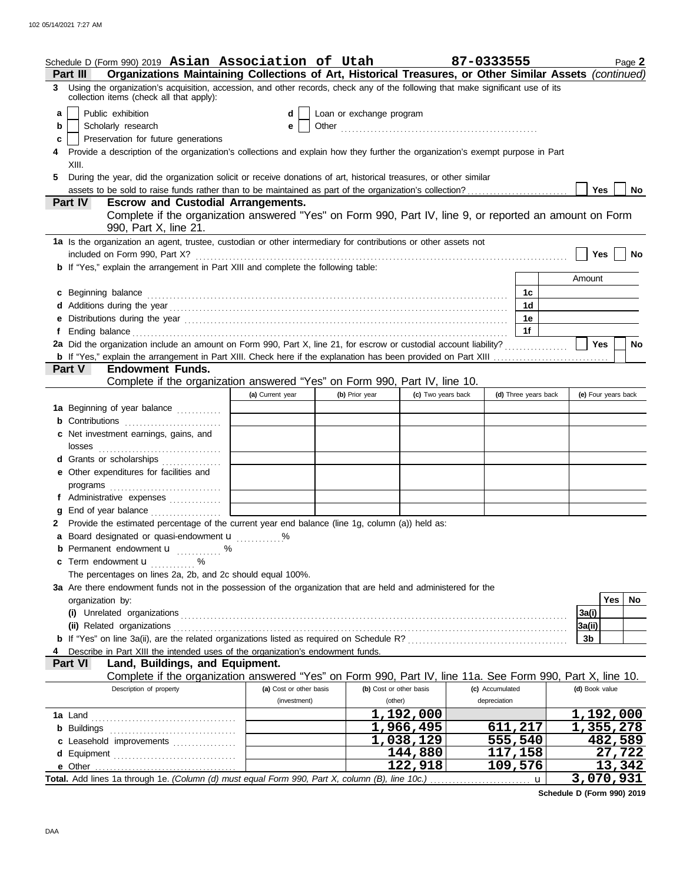|   | Schedule D (Form 990) 2019 Asian Association of Utah                                                                                                                                                                           |                         |                          |                         | 87-0333555           | Page 2              |
|---|--------------------------------------------------------------------------------------------------------------------------------------------------------------------------------------------------------------------------------|-------------------------|--------------------------|-------------------------|----------------------|---------------------|
|   | Organizations Maintaining Collections of Art, Historical Treasures, or Other Similar Assets (continued)<br>Part III                                                                                                            |                         |                          |                         |                      |                     |
|   | 3 Using the organization's acquisition, accession, and other records, check any of the following that make significant use of its<br>collection items (check all that apply):                                                  |                         |                          |                         |                      |                     |
| a | Public exhibition                                                                                                                                                                                                              | d                       | Loan or exchange program |                         |                      |                     |
| b | Scholarly research                                                                                                                                                                                                             | е                       |                          |                         |                      |                     |
| c | Preservation for future generations                                                                                                                                                                                            |                         |                          |                         |                      |                     |
|   | Provide a description of the organization's collections and explain how they further the organization's exempt purpose in Part                                                                                                 |                         |                          |                         |                      |                     |
|   | XIII.                                                                                                                                                                                                                          |                         |                          |                         |                      |                     |
| 5 | During the year, did the organization solicit or receive donations of art, historical treasures, or other similar                                                                                                              |                         |                          |                         |                      |                     |
|   |                                                                                                                                                                                                                                |                         |                          |                         |                      | Yes<br>No           |
|   | <b>Part IV</b><br><b>Escrow and Custodial Arrangements.</b>                                                                                                                                                                    |                         |                          |                         |                      |                     |
|   | Complete if the organization answered "Yes" on Form 990, Part IV, line 9, or reported an amount on Form                                                                                                                        |                         |                          |                         |                      |                     |
|   | 990, Part X, line 21.                                                                                                                                                                                                          |                         |                          |                         |                      |                     |
|   | 1a Is the organization an agent, trustee, custodian or other intermediary for contributions or other assets not                                                                                                                |                         |                          |                         |                      |                     |
|   | included on Form 990, Part X?                                                                                                                                                                                                  |                         |                          |                         |                      | Yes  <br>No         |
|   | b If "Yes," explain the arrangement in Part XIII and complete the following table:                                                                                                                                             |                         |                          |                         |                      |                     |
|   |                                                                                                                                                                                                                                |                         |                          |                         |                      | Amount              |
|   | c Beginning balance expressions and contact the contract of the contract of the contract of the contract of the contract of the contract of the contract of the contract of the contract of the contract of the contract of th |                         |                          |                         | 1с                   |                     |
|   |                                                                                                                                                                                                                                |                         |                          |                         | 1 <sub>d</sub>       |                     |
|   |                                                                                                                                                                                                                                |                         |                          |                         | 1e                   |                     |
|   |                                                                                                                                                                                                                                |                         |                          |                         | 1f                   |                     |
|   | 2a Did the organization include an amount on Form 990, Part X, line 21, for escrow or custodial account liability?                                                                                                             |                         |                          |                         |                      | Yes<br><b>No</b>    |
|   |                                                                                                                                                                                                                                |                         |                          |                         |                      |                     |
|   | <b>Endowment Funds.</b><br><b>Part V</b>                                                                                                                                                                                       |                         |                          |                         |                      |                     |
|   | Complete if the organization answered "Yes" on Form 990, Part IV, line 10.                                                                                                                                                     |                         |                          |                         |                      |                     |
|   |                                                                                                                                                                                                                                | (a) Current year        | (b) Prior year           | (c) Two years back      | (d) Three years back | (e) Four years back |
|   | 1a Beginning of year balance                                                                                                                                                                                                   |                         |                          |                         |                      |                     |
|   | <b>b</b> Contributions                                                                                                                                                                                                         |                         |                          |                         |                      |                     |
|   | c Net investment earnings, gains, and                                                                                                                                                                                          |                         |                          |                         |                      |                     |
|   | losses                                                                                                                                                                                                                         |                         |                          |                         |                      |                     |
|   | d Grants or scholarships                                                                                                                                                                                                       |                         |                          |                         |                      |                     |
|   | e Other expenditures for facilities and                                                                                                                                                                                        |                         |                          |                         |                      |                     |
|   |                                                                                                                                                                                                                                |                         |                          |                         |                      |                     |
|   | f Administrative expenses                                                                                                                                                                                                      |                         |                          |                         |                      |                     |
|   | End of year balance<br>2 Provide the estimated percentage of the current year end balance (line 1g, column (a)) held as:                                                                                                       |                         |                          |                         |                      |                     |
|   | <b>a</b> Board designated or quasi-endowment <b>u</b>                                                                                                                                                                          |                         |                          |                         |                      |                     |
|   | <b>b</b> Permanent endowment <b>u</b> %                                                                                                                                                                                        |                         |                          |                         |                      |                     |
|   | c Term endowment <b>u</b> %                                                                                                                                                                                                    |                         |                          |                         |                      |                     |
|   | The percentages on lines 2a, 2b, and 2c should equal 100%.                                                                                                                                                                     |                         |                          |                         |                      |                     |
|   | 3a Are there endowment funds not in the possession of the organization that are held and administered for the                                                                                                                  |                         |                          |                         |                      |                     |
|   | organization by:                                                                                                                                                                                                               |                         |                          |                         |                      | Yes  <br>No         |
|   |                                                                                                                                                                                                                                |                         |                          |                         |                      | 3a(i)               |
|   |                                                                                                                                                                                                                                |                         |                          |                         |                      | 3a(ii)              |
|   |                                                                                                                                                                                                                                |                         |                          |                         |                      | 3b                  |
|   | Describe in Part XIII the intended uses of the organization's endowment funds.                                                                                                                                                 |                         |                          |                         |                      |                     |
|   | Land, Buildings, and Equipment.<br><b>Part VI</b>                                                                                                                                                                              |                         |                          |                         |                      |                     |
|   | Complete if the organization answered "Yes" on Form 990, Part IV, line 11a. See Form 990, Part X, line 10.                                                                                                                     |                         |                          |                         |                      |                     |
|   | Description of property                                                                                                                                                                                                        | (a) Cost or other basis | (b) Cost or other basis  |                         | (c) Accumulated      | (d) Book value      |
|   |                                                                                                                                                                                                                                | (investment)            | (other)                  |                         | depreciation         |                     |
|   |                                                                                                                                                                                                                                |                         |                          | 1,192,000               |                      | 1,192,000           |
|   |                                                                                                                                                                                                                                |                         |                          | 1,966,495               | 611,217              | 1,355,278           |
|   | c Leasehold improvements                                                                                                                                                                                                       |                         |                          | $\overline{1}$ ,038,129 | 555,540              | 482,589             |
|   |                                                                                                                                                                                                                                |                         |                          | 144,880                 | 117,158              | <u>27,722</u>       |
|   | e Other                                                                                                                                                                                                                        |                         |                          | 122,918                 | 109,576              | 13,342              |
|   | Total. Add lines 1a through 1e. (Column (d) must equal Form 990, Part X, column (B), line 10c.)                                                                                                                                |                         |                          |                         | u                    | 3,070,931           |

**Schedule D (Form 990) 2019**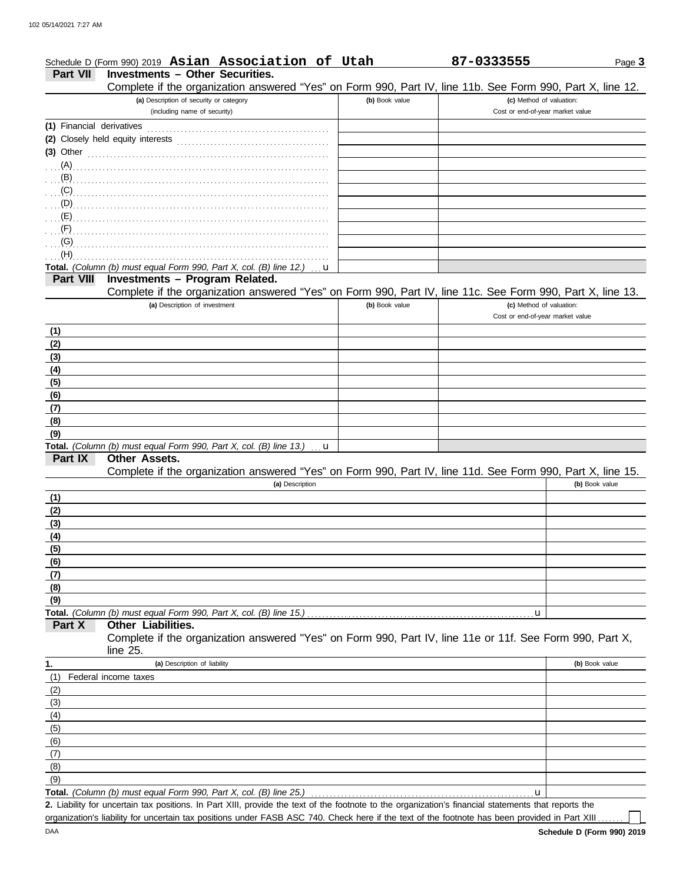| $-0333555$<br>Schedule D (Form 990) 2019 Asian Association of<br>Utah<br>$\mathsf{a}$ aqe 3 |  |
|---------------------------------------------------------------------------------------------|--|
|---------------------------------------------------------------------------------------------|--|

## **Part VII Investments – Other Securities.**<br>Complete if the experimetion enough

 $C^{\text{C}}$  if  $C^{\text{C}}$  or  $\text{Form } 990$ , Part IV, line 11b. See Form 990, Part X, line 12.

|                  | Complete if the organization answered Yes on Form 990, Part IV, line TTD. See Form 990, Part X, line TZ.                                                                                                                             |                |                                                              |                |
|------------------|--------------------------------------------------------------------------------------------------------------------------------------------------------------------------------------------------------------------------------------|----------------|--------------------------------------------------------------|----------------|
|                  | (a) Description of security or category<br>(including name of security)                                                                                                                                                              | (b) Book value | (c) Method of valuation:<br>Cost or end-of-year market value |                |
|                  |                                                                                                                                                                                                                                      |                |                                                              |                |
|                  |                                                                                                                                                                                                                                      |                |                                                              |                |
|                  | (3) Other <b>contract to the Contract of Contract and Contract and Contract and Contract and Contract and Contract and Contract and Contract and Contract and Contract and Contract and Contract and Contract and Contract and C</b> |                |                                                              |                |
|                  |                                                                                                                                                                                                                                      |                |                                                              |                |
|                  |                                                                                                                                                                                                                                      |                |                                                              |                |
|                  |                                                                                                                                                                                                                                      |                |                                                              |                |
|                  |                                                                                                                                                                                                                                      |                |                                                              |                |
|                  |                                                                                                                                                                                                                                      |                |                                                              |                |
| (F)              |                                                                                                                                                                                                                                      |                |                                                              |                |
| (G)              |                                                                                                                                                                                                                                      |                |                                                              |                |
| (H)              |                                                                                                                                                                                                                                      |                |                                                              |                |
|                  | Total. (Column (b) must equal Form 990, Part X, col. (B) line 12.)<br>$\mathbf{u}$                                                                                                                                                   |                |                                                              |                |
| <b>Part VIII</b> | <b>Investments - Program Related.</b>                                                                                                                                                                                                |                |                                                              |                |
|                  | Complete if the organization answered "Yes" on Form 990, Part IV, line 11c. See Form 990, Part X, line 13.                                                                                                                           |                |                                                              |                |
|                  | (a) Description of investment                                                                                                                                                                                                        | (b) Book value | (c) Method of valuation:                                     |                |
|                  |                                                                                                                                                                                                                                      |                | Cost or end-of-year market value                             |                |
| (1)              |                                                                                                                                                                                                                                      |                |                                                              |                |
| (2)              |                                                                                                                                                                                                                                      |                |                                                              |                |
| (3)              |                                                                                                                                                                                                                                      |                |                                                              |                |
| (4)              |                                                                                                                                                                                                                                      |                |                                                              |                |
| (5)              |                                                                                                                                                                                                                                      |                |                                                              |                |
| (6)              |                                                                                                                                                                                                                                      |                |                                                              |                |
| (7)              |                                                                                                                                                                                                                                      |                |                                                              |                |
| (8)              |                                                                                                                                                                                                                                      |                |                                                              |                |
| (9)              |                                                                                                                                                                                                                                      |                |                                                              |                |
|                  | Total. (Column (b) must equal Form 990, Part X, col. (B) line 13.)<br>. <b>u</b>                                                                                                                                                     |                |                                                              |                |
| Part IX          | <b>Other Assets.</b>                                                                                                                                                                                                                 |                |                                                              |                |
|                  | Complete if the organization answered "Yes" on Form 990, Part IV, line 11d. See Form 990, Part X, line 15.                                                                                                                           |                |                                                              |                |
|                  | (a) Description                                                                                                                                                                                                                      |                |                                                              | (b) Book value |
| (1)              |                                                                                                                                                                                                                                      |                |                                                              |                |
| (2)              |                                                                                                                                                                                                                                      |                |                                                              |                |
| (3)              |                                                                                                                                                                                                                                      |                |                                                              |                |
| (4)              |                                                                                                                                                                                                                                      |                |                                                              |                |
| (5)              |                                                                                                                                                                                                                                      |                |                                                              |                |
| (6)              |                                                                                                                                                                                                                                      |                |                                                              |                |
| (7)              |                                                                                                                                                                                                                                      |                |                                                              |                |
| (8)              |                                                                                                                                                                                                                                      |                |                                                              |                |
| (9)              |                                                                                                                                                                                                                                      |                |                                                              |                |
|                  | Total. (Column (b) must equal Form 990, Part X, col. (B) line 15.)                                                                                                                                                                   |                | u                                                            |                |
| Part X           | <b>Other Liabilities.</b>                                                                                                                                                                                                            |                |                                                              |                |
|                  | Complete if the organization answered "Yes" on Form 990, Part IV, line 11e or 11f. See Form 990, Part X,                                                                                                                             |                |                                                              |                |
|                  | line 25.                                                                                                                                                                                                                             |                |                                                              |                |
| 1.               | (a) Description of liability                                                                                                                                                                                                         |                |                                                              | (b) Book value |
| (1)              | Federal income taxes                                                                                                                                                                                                                 |                |                                                              |                |
| (2)              |                                                                                                                                                                                                                                      |                |                                                              |                |
| (3)              |                                                                                                                                                                                                                                      |                |                                                              |                |
| (4)              |                                                                                                                                                                                                                                      |                |                                                              |                |
| (5)              |                                                                                                                                                                                                                                      |                |                                                              |                |
| (6)              |                                                                                                                                                                                                                                      |                |                                                              |                |
| (7)              |                                                                                                                                                                                                                                      |                |                                                              |                |
| (8)              |                                                                                                                                                                                                                                      |                |                                                              |                |
| (9)              |                                                                                                                                                                                                                                      |                |                                                              |                |
|                  | Total. (Column (b) must equal Form 990, Part X, col. (B) line 25.)                                                                                                                                                                   |                | u                                                            |                |
|                  | 2. Liability for uncertain tax positions. In Part XIII, provide the text of the footnote to the organization's financial statements that reports the                                                                                 |                |                                                              |                |
|                  | organization's liability for uncertain tax positions under FASB ASC 740. Check here if the text of the footnote has been provided in Part XIII                                                                                       |                |                                                              |                |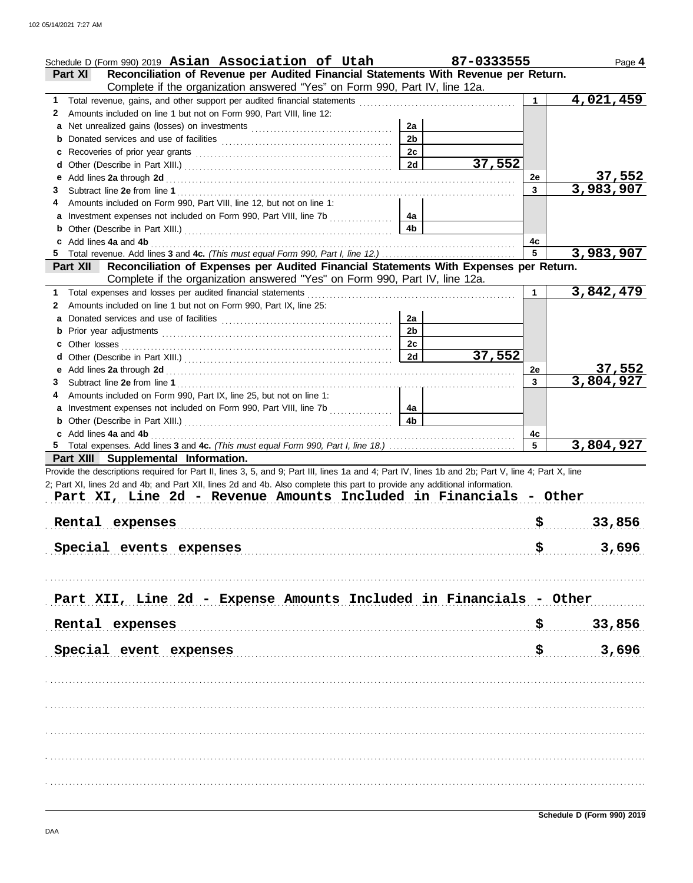|    | Schedule D (Form 990) 2019 Asian Association of Utah                                                                                               |                | 87-0333555 |     | Page 4                 |
|----|----------------------------------------------------------------------------------------------------------------------------------------------------|----------------|------------|-----|------------------------|
|    | Reconciliation of Revenue per Audited Financial Statements With Revenue per Return.<br><b>Part XI</b>                                              |                |            |     |                        |
|    | Complete if the organization answered "Yes" on Form 990, Part IV, line 12a.                                                                        |                |            |     |                        |
| 1. | Total revenue, gains, and other support per audited financial statements                                                                           |                |            |     | $\overline{4,021,459}$ |
| 2  | Amounts included on line 1 but not on Form 990, Part VIII, line 12:                                                                                |                |            |     |                        |
| a  |                                                                                                                                                    | 2a             |            |     |                        |
| b  |                                                                                                                                                    | 2 <sub>b</sub> |            |     |                        |
| c  |                                                                                                                                                    | 2c             |            |     |                        |
| d  |                                                                                                                                                    | 2d             | 37,552     |     |                        |
| е  |                                                                                                                                                    |                |            | 2е  | <u>37,552</u>          |
| 3  |                                                                                                                                                    |                |            | 3   | 3,983,907              |
| 4  | Amounts included on Form 990, Part VIII, line 12, but not on line 1:                                                                               |                |            |     |                        |
| a  | Investment expenses not included on Form 990, Part VIII, line 7b [[[[[[[[[[[[[[[[[[[[[[[]]]]]]]]                                                   | 4a             |            |     |                        |
| b  |                                                                                                                                                    | 4b             |            |     |                        |
|    | Add lines 4a and 4b                                                                                                                                |                |            | 4c  |                        |
| 5  |                                                                                                                                                    |                |            | 5   | 3,983,907              |
|    | Reconciliation of Expenses per Audited Financial Statements With Expenses per Return.<br><b>Part XII</b>                                           |                |            |     |                        |
|    | Complete if the organization answered "Yes" on Form 990, Part IV, line 12a.                                                                        |                |            |     |                        |
| 1  | Total expenses and losses per audited financial statements                                                                                         |                |            | 1   | 3,842,479              |
| 2  | Amounts included on line 1 but not on Form 990, Part IX, line 25:                                                                                  |                |            |     |                        |
| a  |                                                                                                                                                    | 2a             |            |     |                        |
|    |                                                                                                                                                    | 2 <sub>b</sub> |            |     |                        |
| b  |                                                                                                                                                    |                |            |     |                        |
|    | Other losses                                                                                                                                       | 2c             | 37,552     |     |                        |
| d  |                                                                                                                                                    | 2d             |            |     |                        |
| е  |                                                                                                                                                    |                |            | 2e  | <u>37,552</u>          |
| 3  |                                                                                                                                                    |                |            | 3   | 3,804,927              |
| 4  | Amounts included on Form 990, Part IX, line 25, but not on line 1:                                                                                 |                |            |     |                        |
|    |                                                                                                                                                    | 4а             |            |     |                        |
|    |                                                                                                                                                    | 4b             |            |     |                        |
|    | Add lines 4a and 4b                                                                                                                                |                |            | 4c  |                        |
|    |                                                                                                                                                    |                |            | 5   | 3,804,927              |
|    | Part XIII Supplemental Information.                                                                                                                |                |            |     |                        |
|    | Provide the descriptions required for Part II, lines 3, 5, and 9; Part III, lines 1a and 4; Part IV, lines 1b and 2b; Part V, line 4; Part X, line |                |            |     |                        |
|    | 2; Part XI, lines 2d and 4b; and Part XII, lines 2d and 4b. Also complete this part to provide any additional information.                         |                |            |     |                        |
|    | Part XI, Line 2d - Revenue Amounts Included in Financials - Other                                                                                  |                |            |     |                        |
|    |                                                                                                                                                    |                |            |     |                        |
|    | Rental expenses                                                                                                                                    |                |            |     | 33,856<br>$S_{\ldots}$ |
|    |                                                                                                                                                    |                |            |     |                        |
|    | Special events expenses                                                                                                                            |                |            | \$  | 3,696                  |
|    |                                                                                                                                                    |                |            |     |                        |
|    |                                                                                                                                                    |                |            |     |                        |
|    |                                                                                                                                                    |                |            |     |                        |
|    | Part XII, Line 2d - Expense Amounts Included in Financials - Other                                                                                 |                |            |     |                        |
|    |                                                                                                                                                    |                |            |     |                        |
|    | Rental expenses                                                                                                                                    |                |            | \$. | 33,856                 |
|    |                                                                                                                                                    |                |            |     |                        |
|    | Special event expenses                                                                                                                             |                |            | \$  | 3,696                  |
|    |                                                                                                                                                    |                |            |     |                        |
|    |                                                                                                                                                    |                |            |     |                        |
|    |                                                                                                                                                    |                |            |     |                        |
|    |                                                                                                                                                    |                |            |     |                        |
|    |                                                                                                                                                    |                |            |     |                        |
|    |                                                                                                                                                    |                |            |     |                        |
|    |                                                                                                                                                    |                |            |     |                        |
|    |                                                                                                                                                    |                |            |     |                        |
|    |                                                                                                                                                    |                |            |     |                        |
|    |                                                                                                                                                    |                |            |     |                        |
|    |                                                                                                                                                    |                |            |     |                        |
|    |                                                                                                                                                    |                |            |     |                        |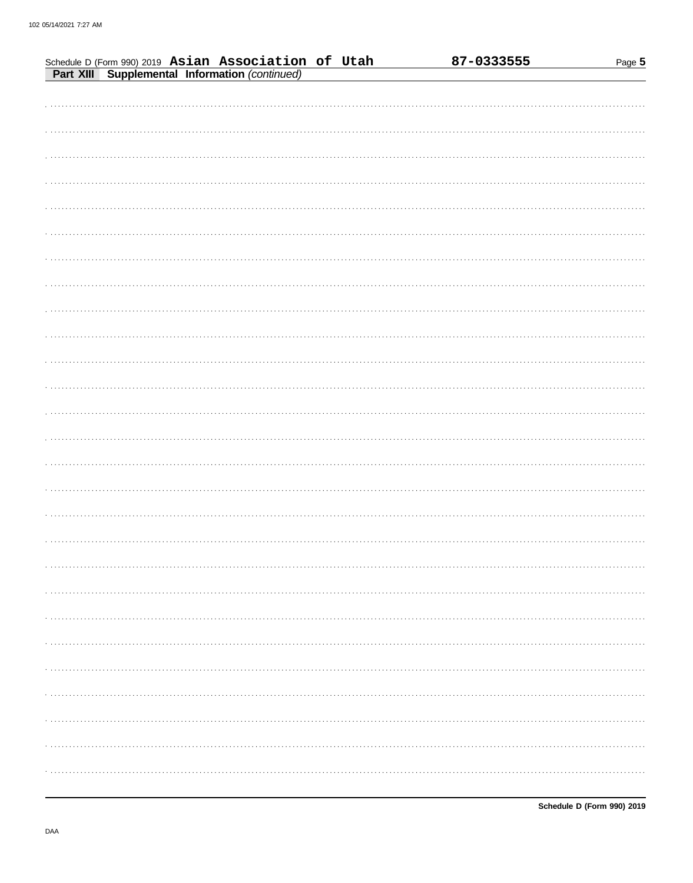| Schedule D (Form 990) 2019 Asian Association of Utah |  |  | 87-0333555 | Page 5 |
|------------------------------------------------------|--|--|------------|--------|
| Part XIII Supplemental Information (continued)       |  |  |            |        |
|                                                      |  |  |            |        |
|                                                      |  |  |            |        |
|                                                      |  |  |            |        |
|                                                      |  |  |            |        |
|                                                      |  |  |            |        |
|                                                      |  |  |            |        |
|                                                      |  |  |            |        |
|                                                      |  |  |            |        |
|                                                      |  |  |            |        |
|                                                      |  |  |            |        |
|                                                      |  |  |            |        |
|                                                      |  |  |            |        |
|                                                      |  |  |            |        |
|                                                      |  |  |            |        |
|                                                      |  |  |            |        |
|                                                      |  |  |            |        |
|                                                      |  |  |            |        |
|                                                      |  |  |            |        |
|                                                      |  |  |            |        |
|                                                      |  |  |            |        |
|                                                      |  |  |            |        |
|                                                      |  |  |            |        |
|                                                      |  |  |            |        |
|                                                      |  |  |            |        |
|                                                      |  |  |            |        |
|                                                      |  |  |            |        |
|                                                      |  |  |            |        |
|                                                      |  |  |            |        |
|                                                      |  |  |            |        |
|                                                      |  |  |            |        |
|                                                      |  |  |            |        |
|                                                      |  |  |            |        |
|                                                      |  |  |            |        |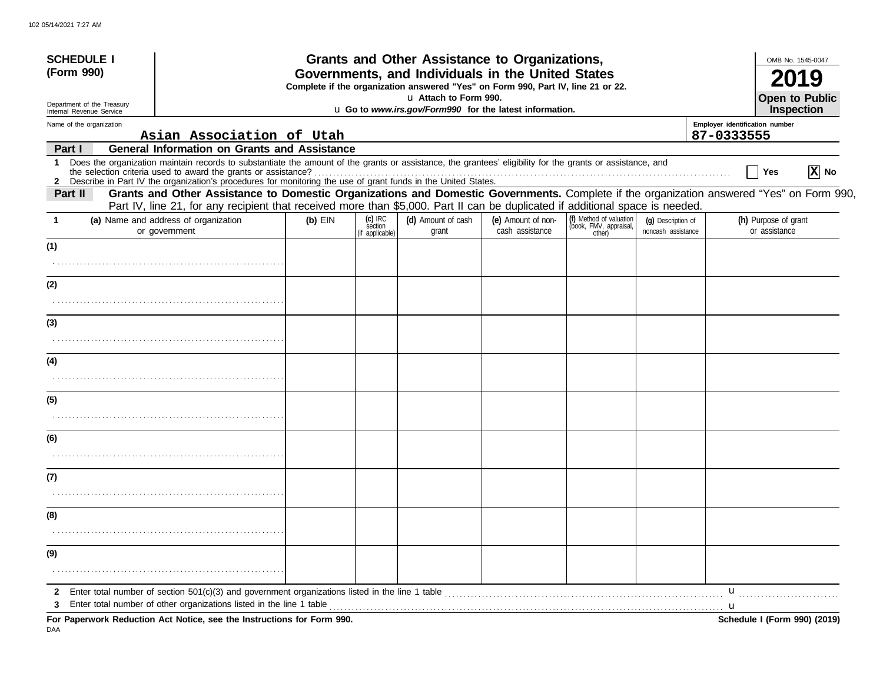| OMB No. 1545-0047                                                                                                                        |
|------------------------------------------------------------------------------------------------------------------------------------------|
| <b>Open to Public</b>                                                                                                                    |
| Inspection                                                                                                                               |
| Employer identification number                                                                                                           |
| 87-0333555                                                                                                                               |
|                                                                                                                                          |
| $ X $ No<br>Yes                                                                                                                          |
|                                                                                                                                          |
| Grants and Other Assistance to Domestic Organizations and Domestic Governments. Complete if the organization answered "Yes" on Form 990, |
| (h) Purpose of grant                                                                                                                     |
| or assistance                                                                                                                            |
|                                                                                                                                          |
|                                                                                                                                          |
|                                                                                                                                          |
|                                                                                                                                          |
|                                                                                                                                          |
|                                                                                                                                          |
|                                                                                                                                          |
|                                                                                                                                          |
|                                                                                                                                          |
|                                                                                                                                          |
|                                                                                                                                          |
|                                                                                                                                          |
|                                                                                                                                          |
|                                                                                                                                          |
|                                                                                                                                          |
|                                                                                                                                          |
|                                                                                                                                          |
|                                                                                                                                          |
|                                                                                                                                          |
|                                                                                                                                          |
|                                                                                                                                          |
|                                                                                                                                          |
|                                                                                                                                          |
|                                                                                                                                          |
|                                                                                                                                          |
| Schedule I (Form 990) (2019)                                                                                                             |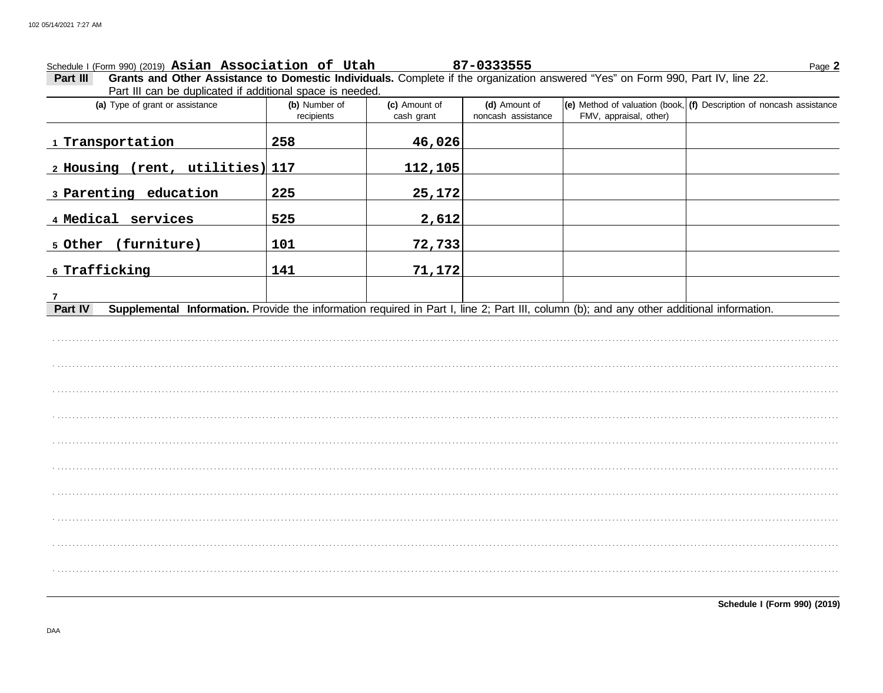### Schedule I (Form 990) (2019) Asian Association of Utah

### 87-0333555

Page 2

Part III Grants and Other Assistance to Domestic Individuals. Complete if the organization answered "Yes" on Form 990, Part IV, line 22. Part III can be duplicated if additional space is needed.

| (a) Type of grant or assistance                                                                                                                      | (b) Number of<br>recipients | (c) Amount of<br>cash grant | (d) Amount of<br>noncash assistance | FMV, appraisal, other) | (e) Method of valuation (book, $(f)$ Description of noncash assistance |
|------------------------------------------------------------------------------------------------------------------------------------------------------|-----------------------------|-----------------------------|-------------------------------------|------------------------|------------------------------------------------------------------------|
| 1 Transportation                                                                                                                                     | 258                         | 46,026                      |                                     |                        |                                                                        |
| 2 Housing (rent, utilities) 117                                                                                                                      |                             | 112,105                     |                                     |                        |                                                                        |
| 3 Parenting education                                                                                                                                | 225                         | 25,172                      |                                     |                        |                                                                        |
| 4 Medical services                                                                                                                                   | 525                         | 2,612                       |                                     |                        |                                                                        |
| 5 Other (furniture)                                                                                                                                  | 101                         | 72,733                      |                                     |                        |                                                                        |
| 6 Trafficking                                                                                                                                        | 141                         | 71,172                      |                                     |                        |                                                                        |
| $\mathbf{7}$                                                                                                                                         |                             |                             |                                     |                        |                                                                        |
| Part IV<br>Supplemental Information. Provide the information required in Part I, line 2; Part III, column (b); and any other additional information. |                             |                             |                                     |                        |                                                                        |
|                                                                                                                                                      |                             |                             |                                     |                        |                                                                        |
|                                                                                                                                                      |                             |                             |                                     |                        |                                                                        |
|                                                                                                                                                      |                             |                             |                                     |                        |                                                                        |
|                                                                                                                                                      |                             |                             |                                     |                        |                                                                        |
|                                                                                                                                                      |                             |                             |                                     |                        |                                                                        |
|                                                                                                                                                      |                             |                             |                                     |                        |                                                                        |
|                                                                                                                                                      |                             |                             |                                     |                        |                                                                        |
|                                                                                                                                                      |                             |                             |                                     |                        |                                                                        |
|                                                                                                                                                      |                             |                             |                                     |                        |                                                                        |
|                                                                                                                                                      |                             |                             |                                     |                        |                                                                        |
|                                                                                                                                                      |                             |                             |                                     |                        |                                                                        |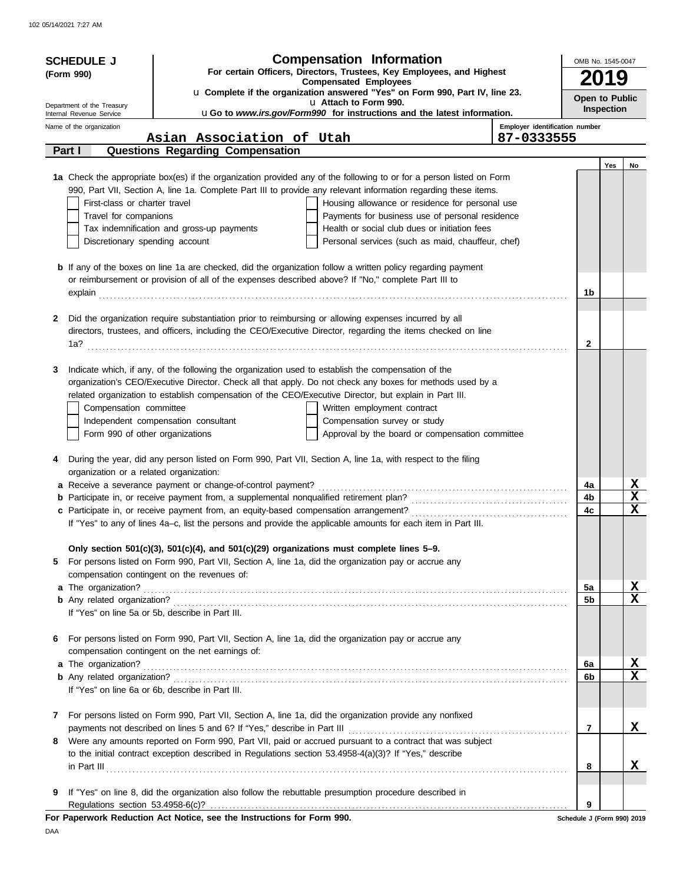|              | <b>SCHEDULE J</b>                                                                                                   | <b>Compensation Information</b>                                                                                      |                                | OMB No. 1545-0047 |            |                            |
|--------------|---------------------------------------------------------------------------------------------------------------------|----------------------------------------------------------------------------------------------------------------------|--------------------------------|-------------------|------------|----------------------------|
|              | For certain Officers, Directors, Trustees, Key Employees, and Highest<br>(Form 990)<br><b>Compensated Employees</b> |                                                                                                                      |                                |                   | 19         |                            |
|              | u Complete if the organization answered "Yes" on Form 990, Part IV, line 23.                                        |                                                                                                                      |                                |                   |            | Open to Public             |
|              | Department of the Treasury<br>Internal Revenue Service                                                              | u Attach to Form 990.<br>uGo to www.irs.gov/Form990 for instructions and the latest information.                     |                                |                   | Inspection |                            |
|              | Name of the organization                                                                                            |                                                                                                                      | Employer identification number |                   |            |                            |
|              |                                                                                                                     | Asian Association of Utah                                                                                            | 87-0333555                     |                   |            |                            |
|              | Part I                                                                                                              | <b>Questions Regarding Compensation</b>                                                                              |                                |                   |            |                            |
|              |                                                                                                                     | 1a Check the appropriate box(es) if the organization provided any of the following to or for a person listed on Form |                                |                   | Yes        | No                         |
|              |                                                                                                                     | 990, Part VII, Section A, line 1a. Complete Part III to provide any relevant information regarding these items.      |                                |                   |            |                            |
|              | First-class or charter travel                                                                                       | Housing allowance or residence for personal use                                                                      |                                |                   |            |                            |
|              | Travel for companions                                                                                               | Payments for business use of personal residence                                                                      |                                |                   |            |                            |
|              |                                                                                                                     | Health or social club dues or initiation fees<br>Tax indemnification and gross-up payments                           |                                |                   |            |                            |
|              | Discretionary spending account                                                                                      | Personal services (such as maid, chauffeur, chef)                                                                    |                                |                   |            |                            |
|              |                                                                                                                     | <b>b</b> If any of the boxes on line 1a are checked, did the organization follow a written policy regarding payment  |                                |                   |            |                            |
|              |                                                                                                                     | or reimbursement or provision of all of the expenses described above? If "No," complete Part III to                  |                                |                   |            |                            |
|              | explain                                                                                                             |                                                                                                                      |                                | 1b                |            |                            |
|              |                                                                                                                     |                                                                                                                      |                                |                   |            |                            |
| $\mathbf{2}$ |                                                                                                                     | Did the organization require substantiation prior to reimbursing or allowing expenses incurred by all                |                                |                   |            |                            |
|              | 1a?                                                                                                                 | directors, trustees, and officers, including the CEO/Executive Director, regarding the items checked on line         |                                | $\mathbf{2}$      |            |                            |
|              |                                                                                                                     |                                                                                                                      |                                |                   |            |                            |
| 3            |                                                                                                                     | Indicate which, if any, of the following the organization used to establish the compensation of the                  |                                |                   |            |                            |
|              |                                                                                                                     | organization's CEO/Executive Director. Check all that apply. Do not check any boxes for methods used by a            |                                |                   |            |                            |
|              |                                                                                                                     | related organization to establish compensation of the CEO/Executive Director, but explain in Part III.               |                                |                   |            |                            |
|              | Compensation committee                                                                                              | Written employment contract                                                                                          |                                |                   |            |                            |
|              |                                                                                                                     | Compensation survey or study<br>Independent compensation consultant                                                  |                                |                   |            |                            |
|              | Form 990 of other organizations                                                                                     | Approval by the board or compensation committee                                                                      |                                |                   |            |                            |
| 4            |                                                                                                                     | During the year, did any person listed on Form 990, Part VII, Section A, line 1a, with respect to the filing         |                                |                   |            |                            |
|              | organization or a related organization:                                                                             |                                                                                                                      |                                |                   |            |                            |
|              |                                                                                                                     |                                                                                                                      |                                | 4a                |            | $\mathbf x$                |
|              |                                                                                                                     |                                                                                                                      |                                | 4b                |            | $\mathbf x$                |
|              |                                                                                                                     |                                                                                                                      |                                | 4c                |            | X                          |
|              |                                                                                                                     | If "Yes" to any of lines 4a-c, list the persons and provide the applicable amounts for each item in Part III.        |                                |                   |            |                            |
|              |                                                                                                                     | Only section 501(c)(3), 501(c)(4), and 501(c)(29) organizations must complete lines 5-9.                             |                                |                   |            |                            |
| 5.           |                                                                                                                     | For persons listed on Form 990, Part VII, Section A, line 1a, did the organization pay or accrue any                 |                                |                   |            |                            |
|              |                                                                                                                     | compensation contingent on the revenues of:                                                                          |                                |                   |            |                            |
|              | a The organization?                                                                                                 |                                                                                                                      |                                | 5a                |            | X                          |
|              |                                                                                                                     |                                                                                                                      |                                | 5b                |            | $\mathbf x$                |
|              |                                                                                                                     | If "Yes" on line 5a or 5b, describe in Part III.                                                                     |                                |                   |            |                            |
| 6            |                                                                                                                     | For persons listed on Form 990, Part VII, Section A, line 1a, did the organization pay or accrue any                 |                                |                   |            |                            |
|              |                                                                                                                     | compensation contingent on the net earnings of:                                                                      |                                |                   |            |                            |
|              |                                                                                                                     |                                                                                                                      |                                | 6a                |            | X                          |
|              |                                                                                                                     |                                                                                                                      |                                | 6b                |            | $\mathbf x$                |
|              |                                                                                                                     | If "Yes" on line 6a or 6b, describe in Part III.                                                                     |                                |                   |            |                            |
|              |                                                                                                                     | 7 For persons listed on Form 990, Part VII, Section A, line 1a, did the organization provide any nonfixed            |                                |                   |            |                            |
|              |                                                                                                                     |                                                                                                                      |                                | 7                 |            | X                          |
|              |                                                                                                                     | 8 Were any amounts reported on Form 990, Part VII, paid or accrued pursuant to a contract that was subject           |                                |                   |            |                            |
|              |                                                                                                                     | to the initial contract exception described in Regulations section 53.4958-4(a)(3)? If "Yes," describe               |                                |                   |            |                            |
|              |                                                                                                                     |                                                                                                                      |                                | 8                 |            | x                          |
|              |                                                                                                                     | 9 If "Yes" on line 8, did the organization also follow the rebuttable presumption procedure described in             |                                |                   |            |                            |
|              |                                                                                                                     |                                                                                                                      |                                | 9                 |            |                            |
|              | For Paperwork Reduction Act Notice, see the Instructions for Form 990.                                              |                                                                                                                      |                                |                   |            | Schedule J (Form 990) 2019 |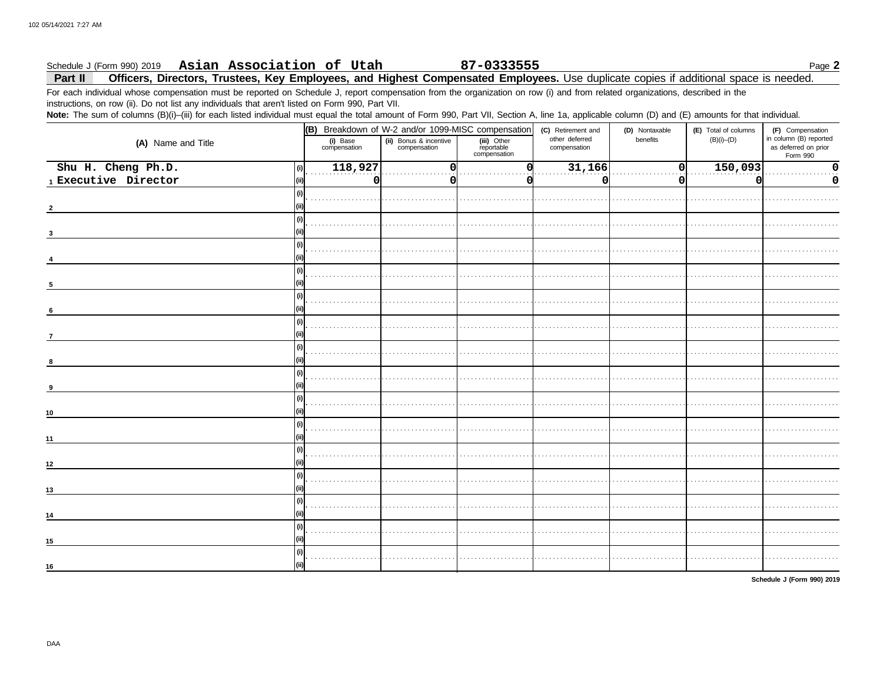#### Asian Association of Utah 87-0333555 Schedule J (Form 990) 2019 Page 2 Officers, Directors, Trustees, Key Employees, and Highest Compensated Employees. Use duplicate copies if additional space is needed. Part II

For each individual whose compensation must be reported on Schedule J, report compensation from the organization on row (i) and from related organizations, described in the instructions, on row (ii). Do not list any individuals that aren't listed on Form 990, Part VII.

Note: The sum of columns (B)(i)-(iii) for each listed individual must equal the total amount of Form 990, Part VII, Section A, line 1a, applicable column (D) and (E) amounts for that individual.

|                                | (B) Breakdown of W-2 and/or 1099-MISC compensation |                                        |                                           | (C) Retirement and             | (D) Nontaxable | (E) Total of columns | (F) Compensation                                           |
|--------------------------------|----------------------------------------------------|----------------------------------------|-------------------------------------------|--------------------------------|----------------|----------------------|------------------------------------------------------------|
| (A) Name and Title             | (i) Base<br>compensation                           | (ii) Bonus & incentive<br>compensation | (iii) Other<br>reportable<br>compensation | other deferred<br>compensation | benefits       | $(B)(i)$ - $(D)$     | in column (B) reported<br>as deferred on prior<br>Form 990 |
| Shu H. Cheng Ph.D.<br>(i)      | 118,927                                            | <sub>0</sub>                           | U                                         | 31,166                         | 0              | 150,093              | n                                                          |
| 1 Executive Director<br>l (ii) | 0                                                  | 0l                                     |                                           | $\Omega$                       | 0              | $\Omega$             | 0                                                          |
| (i)                            |                                                    |                                        |                                           |                                |                |                      |                                                            |
|                                |                                                    |                                        |                                           |                                |                |                      |                                                            |
| (i)<br>(iii)                   |                                                    |                                        |                                           |                                |                |                      |                                                            |
| l (i)                          |                                                    |                                        |                                           |                                |                |                      |                                                            |
| (i)                            |                                                    |                                        |                                           |                                |                |                      |                                                            |
|                                |                                                    |                                        |                                           |                                |                |                      |                                                            |
| (i)<br>6                       |                                                    |                                        |                                           |                                |                |                      |                                                            |
| (i)                            |                                                    |                                        |                                           |                                |                |                      |                                                            |
| $\overline{7}$                 |                                                    |                                        |                                           |                                |                |                      |                                                            |
| (i)<br>8                       |                                                    |                                        |                                           |                                |                |                      |                                                            |
| (i)<br>9                       |                                                    |                                        |                                           |                                |                |                      |                                                            |
| l (i)<br>l (ii)<br>10          |                                                    |                                        |                                           |                                |                |                      |                                                            |
| (i)<br>l (ii)<br>11            |                                                    |                                        |                                           |                                |                |                      |                                                            |
| (i)<br>(iii)<br>12             |                                                    |                                        |                                           |                                |                |                      |                                                            |
| (i)<br>l (ii)<br>13            |                                                    |                                        |                                           |                                |                |                      |                                                            |
| (i)  <br>14                    |                                                    |                                        |                                           |                                |                |                      |                                                            |
| l (i)<br>15                    |                                                    |                                        |                                           |                                |                |                      |                                                            |
| (i)<br>(ii)<br>16              |                                                    |                                        |                                           |                                |                |                      |                                                            |
|                                |                                                    |                                        |                                           |                                |                | $\sim$ $\cdot$       |                                                            |

Schedule J (Form 990) 2019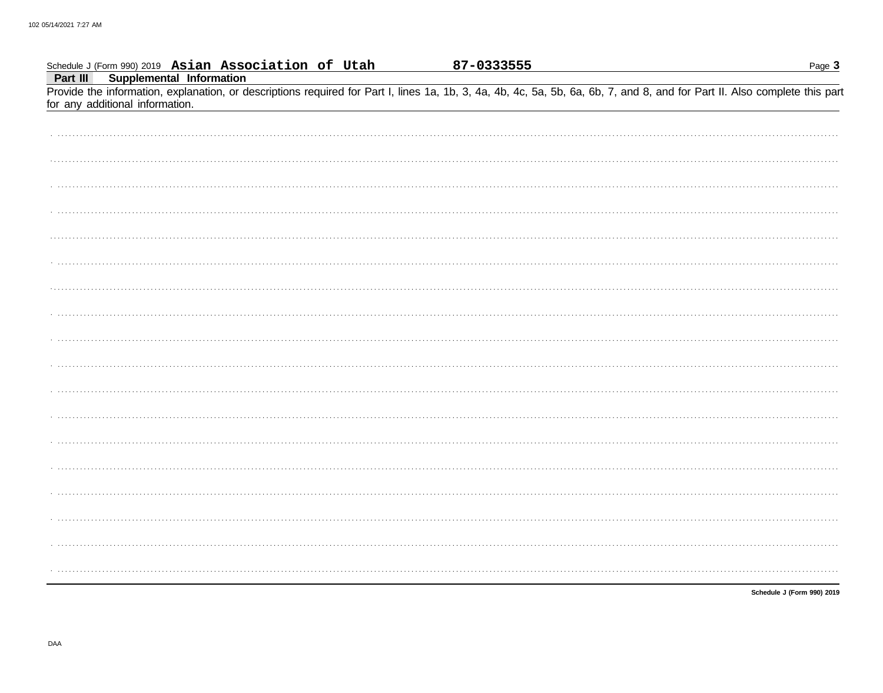| Schedule J (Form 990) 2019 Asian Association of Utah                                                                                                                                                          | 87-0333555 | Page 3                     |
|---------------------------------------------------------------------------------------------------------------------------------------------------------------------------------------------------------------|------------|----------------------------|
| <b>Part III</b> Supplemental Information                                                                                                                                                                      |            |                            |
| Provide the information, explanation, or descriptions required for Part I, lines 1a, 1b, 3, 4a, 4b, 4c, 5a, 5b, 6a, 6b, 7, and 8, and for Part II. Also complete this part<br>for any additional information. |            |                            |
|                                                                                                                                                                                                               |            |                            |
|                                                                                                                                                                                                               |            |                            |
|                                                                                                                                                                                                               |            |                            |
|                                                                                                                                                                                                               |            |                            |
|                                                                                                                                                                                                               |            |                            |
|                                                                                                                                                                                                               |            |                            |
|                                                                                                                                                                                                               |            |                            |
|                                                                                                                                                                                                               |            |                            |
|                                                                                                                                                                                                               |            |                            |
|                                                                                                                                                                                                               |            |                            |
|                                                                                                                                                                                                               |            |                            |
|                                                                                                                                                                                                               |            |                            |
|                                                                                                                                                                                                               |            |                            |
|                                                                                                                                                                                                               |            |                            |
|                                                                                                                                                                                                               |            |                            |
|                                                                                                                                                                                                               |            |                            |
|                                                                                                                                                                                                               |            |                            |
|                                                                                                                                                                                                               |            |                            |
|                                                                                                                                                                                                               |            |                            |
|                                                                                                                                                                                                               |            |                            |
|                                                                                                                                                                                                               |            | Schedule J (Form 990) 2019 |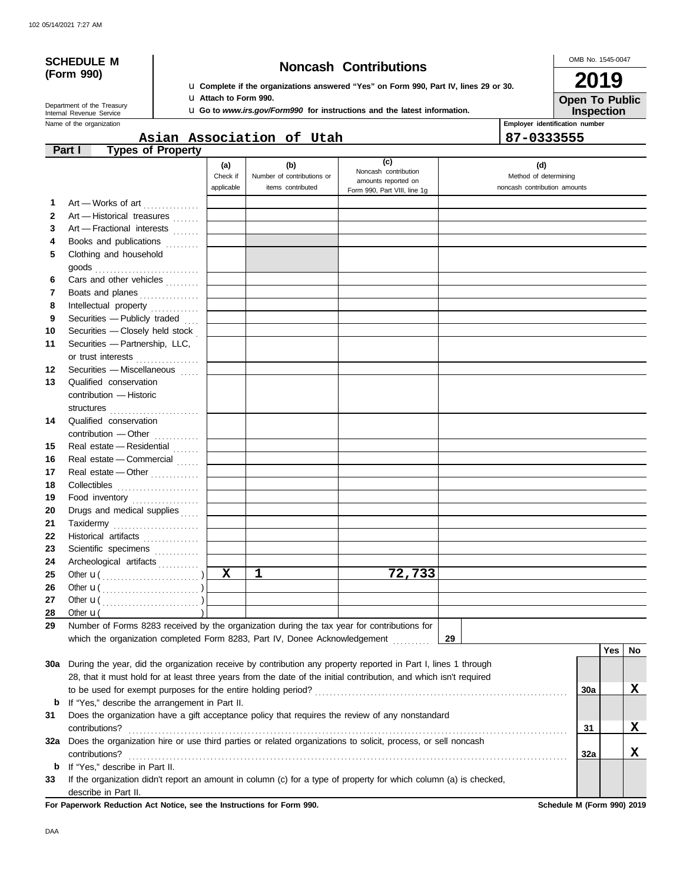# **(Form 990)**

# **SCHEDULE M Noncash Contributions**

u **Complete if the organizations answered "Yes" on Form 990, Part IV, lines 29 or 30.** u **Attach to Form 990.**

u **Go to** *www.irs.gov/Form990* **for instructions and the latest information.**

**Open To Public 2019**

**Inspection**

OMB No. 1545-0047

Internal Revenue Service Department of the Treasury

### Name of the organization **Employer identification number Employer identification number Asian Association of Utah 87-0333555**

|              | Part I               | <b>Types of Property</b>                                                                                           |             |                            |                                             |                              |     |            |    |
|--------------|----------------------|--------------------------------------------------------------------------------------------------------------------|-------------|----------------------------|---------------------------------------------|------------------------------|-----|------------|----|
|              |                      |                                                                                                                    | (a)         | (b)                        | (c)                                         | (d)                          |     |            |    |
|              |                      |                                                                                                                    | Check if    | Number of contributions or | Noncash contribution<br>amounts reported on | Method of determining        |     |            |    |
|              |                      |                                                                                                                    | applicable  | items contributed          | Form 990, Part VIII, line 1g                | noncash contribution amounts |     |            |    |
| 1            |                      | Art - Works of art                                                                                                 |             |                            |                                             |                              |     |            |    |
| $\mathbf{2}$ |                      | Art - Historical treasures                                                                                         |             |                            |                                             |                              |     |            |    |
| 3            |                      | Art - Fractional interests                                                                                         |             |                            |                                             |                              |     |            |    |
| 4            |                      | Books and publications                                                                                             |             |                            |                                             |                              |     |            |    |
| 5            |                      | Clothing and household                                                                                             |             |                            |                                             |                              |     |            |    |
|              | goods                |                                                                                                                    |             |                            |                                             |                              |     |            |    |
| 6            |                      | Cars and other vehicles                                                                                            |             |                            |                                             |                              |     |            |    |
| 7            |                      | Boats and planes                                                                                                   |             |                            |                                             |                              |     |            |    |
| 8            |                      | Intellectual property                                                                                              |             |                            |                                             |                              |     |            |    |
| 9            |                      | Securities - Publicly traded                                                                                       |             |                            |                                             |                              |     |            |    |
| 10           |                      | Securities - Closely held stock                                                                                    |             |                            |                                             |                              |     |            |    |
| 11           |                      | Securities - Partnership, LLC,                                                                                     |             |                            |                                             |                              |     |            |    |
|              |                      | or trust interests                                                                                                 |             |                            |                                             |                              |     |            |    |
| 12           |                      | Securities - Miscellaneous                                                                                         |             |                            |                                             |                              |     |            |    |
| 13           |                      | Qualified conservation                                                                                             |             |                            |                                             |                              |     |            |    |
|              |                      | contribution - Historic                                                                                            |             |                            |                                             |                              |     |            |    |
|              |                      |                                                                                                                    |             |                            |                                             |                              |     |            |    |
| 14           |                      | Qualified conservation                                                                                             |             |                            |                                             |                              |     |            |    |
|              |                      | contribution - Other                                                                                               |             |                            |                                             |                              |     |            |    |
| 15           |                      | Real estate - Residential                                                                                          |             |                            |                                             |                              |     |            |    |
| 16           |                      | Real estate - Commercial                                                                                           |             |                            |                                             |                              |     |            |    |
| 17           |                      | Real estate - Other                                                                                                |             |                            |                                             |                              |     |            |    |
| 18           |                      | Collectibles                                                                                                       |             |                            |                                             |                              |     |            |    |
| 19           |                      | Food inventory                                                                                                     |             |                            |                                             |                              |     |            |    |
| 20           |                      | Drugs and medical supplies                                                                                         |             |                            |                                             |                              |     |            |    |
| 21           |                      | Taxidermy                                                                                                          |             |                            |                                             |                              |     |            |    |
| 22           |                      | Historical artifacts                                                                                               |             |                            |                                             |                              |     |            |    |
| 23           |                      | Scientific specimens                                                                                               |             |                            |                                             |                              |     |            |    |
| 24           |                      | Archeological artifacts                                                                                            |             |                            |                                             |                              |     |            |    |
| 25           |                      |                                                                                                                    | $\mathbf x$ | $\mathbf{1}$               | 72,733                                      |                              |     |            |    |
| 26           |                      |                                                                                                                    |             |                            |                                             |                              |     |            |    |
| 27           |                      |                                                                                                                    |             |                            |                                             |                              |     |            |    |
| 28           | Other $\mathbf{u}$ ( |                                                                                                                    |             |                            |                                             |                              |     |            |    |
| 29           |                      | Number of Forms 8283 received by the organization during the tax year for contributions for                        |             |                            |                                             |                              |     |            |    |
|              |                      | which the organization completed Form 8283, Part IV, Donee Acknowledgement                                         |             |                            |                                             | 29                           |     |            |    |
|              |                      |                                                                                                                    |             |                            |                                             |                              |     | <b>Yes</b> | No |
| 30a          |                      | During the year, did the organization receive by contribution any property reported in Part I, lines 1 through     |             |                            |                                             |                              |     |            |    |
|              |                      | 28, that it must hold for at least three years from the date of the initial contribution, and which isn't required |             |                            |                                             |                              |     |            |    |
|              |                      |                                                                                                                    |             |                            |                                             |                              | 30a |            | X  |
|              |                      | <b>b</b> If "Yes," describe the arrangement in Part II.                                                            |             |                            |                                             |                              |     |            |    |
| 31           |                      | Does the organization have a gift acceptance policy that requires the review of any nonstandard                    |             |                            |                                             |                              |     |            |    |
|              | contributions?       |                                                                                                                    |             |                            |                                             |                              | 31  |            | X  |
| 32a          |                      | Does the organization hire or use third parties or related organizations to solicit, process, or sell noncash      |             |                            |                                             |                              |     |            |    |
|              | contributions?       |                                                                                                                    |             |                            |                                             |                              | 32a |            | X  |
|              |                      | <b>b</b> If "Yes," describe in Part II.                                                                            |             |                            |                                             |                              |     |            |    |
| 33           |                      | If the organization didn't report an amount in column (c) for a type of property for which column (a) is checked,  |             |                            |                                             |                              |     |            |    |
|              |                      | describe in Part II                                                                                                |             |                            |                                             |                              |     |            |    |

describe in Part II.

**For Paperwork Reduction Act Notice, see the Instructions for Form 990. Schedule M (Form 990) 2019**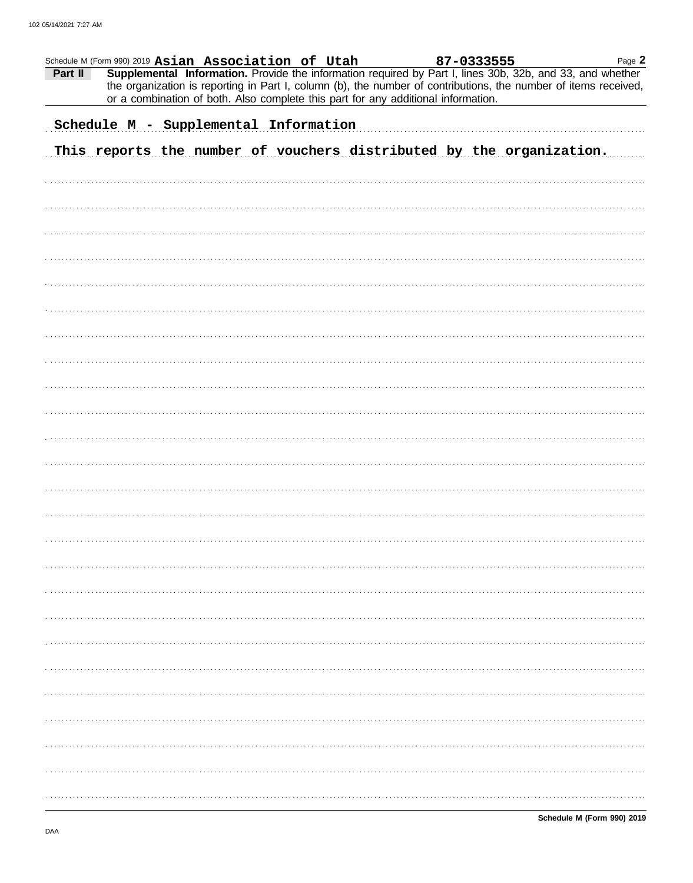| Schedule M (Form 990) 2019 Asian Association of Utah<br>Part II |  | or a combination of both. Also complete this part for any additional information. | 87-0333555<br>Supplemental Information. Provide the information required by Part I, lines 30b, 32b, and 33, and whether<br>the organization is reporting in Part I, column (b), the number of contributions, the number of items received, | Page 2 |
|-----------------------------------------------------------------|--|-----------------------------------------------------------------------------------|--------------------------------------------------------------------------------------------------------------------------------------------------------------------------------------------------------------------------------------------|--------|
| Schedule M - Supplemental Information                           |  |                                                                                   |                                                                                                                                                                                                                                            |        |
|                                                                 |  |                                                                                   | This reports the number of vouchers distributed by the organization.                                                                                                                                                                       |        |
|                                                                 |  |                                                                                   |                                                                                                                                                                                                                                            |        |
|                                                                 |  |                                                                                   |                                                                                                                                                                                                                                            |        |
|                                                                 |  |                                                                                   |                                                                                                                                                                                                                                            |        |
|                                                                 |  |                                                                                   |                                                                                                                                                                                                                                            |        |
|                                                                 |  |                                                                                   |                                                                                                                                                                                                                                            |        |
|                                                                 |  |                                                                                   |                                                                                                                                                                                                                                            |        |
|                                                                 |  |                                                                                   |                                                                                                                                                                                                                                            |        |
|                                                                 |  |                                                                                   |                                                                                                                                                                                                                                            |        |
|                                                                 |  |                                                                                   |                                                                                                                                                                                                                                            |        |
|                                                                 |  |                                                                                   |                                                                                                                                                                                                                                            |        |
|                                                                 |  |                                                                                   |                                                                                                                                                                                                                                            |        |
|                                                                 |  |                                                                                   |                                                                                                                                                                                                                                            |        |
|                                                                 |  |                                                                                   |                                                                                                                                                                                                                                            |        |
|                                                                 |  |                                                                                   |                                                                                                                                                                                                                                            |        |
|                                                                 |  |                                                                                   |                                                                                                                                                                                                                                            |        |
|                                                                 |  |                                                                                   |                                                                                                                                                                                                                                            |        |
|                                                                 |  |                                                                                   |                                                                                                                                                                                                                                            |        |
|                                                                 |  |                                                                                   |                                                                                                                                                                                                                                            |        |
|                                                                 |  |                                                                                   |                                                                                                                                                                                                                                            |        |
|                                                                 |  |                                                                                   |                                                                                                                                                                                                                                            |        |
|                                                                 |  |                                                                                   |                                                                                                                                                                                                                                            |        |
|                                                                 |  |                                                                                   |                                                                                                                                                                                                                                            |        |
|                                                                 |  |                                                                                   |                                                                                                                                                                                                                                            |        |
|                                                                 |  |                                                                                   |                                                                                                                                                                                                                                            |        |
|                                                                 |  |                                                                                   |                                                                                                                                                                                                                                            |        |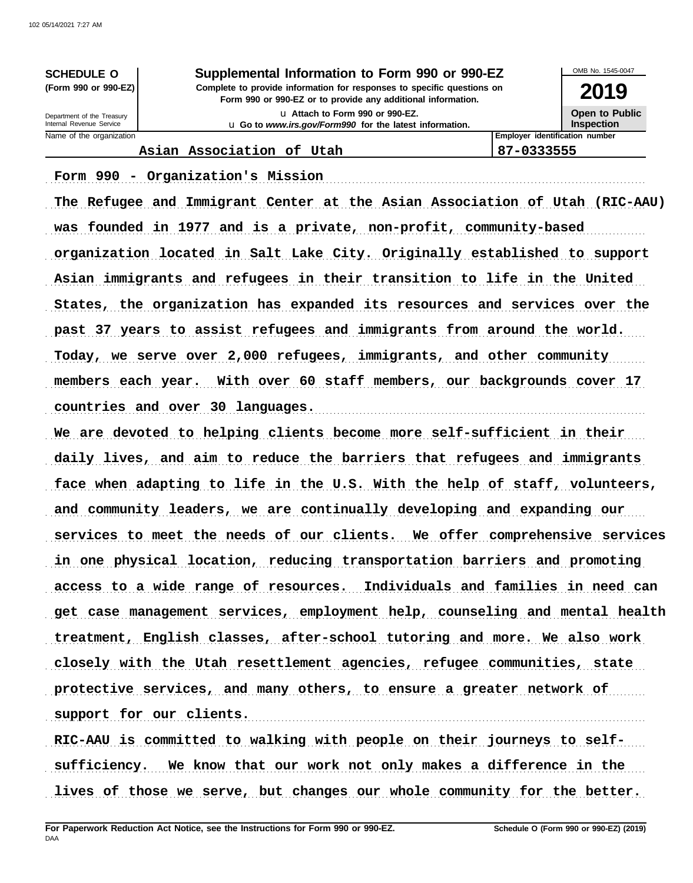Department of the Treasury

Name of the organization **Employer identification number** Internal Revenue Service

### **Form 990 or 990-EZ or to provide any additional information. (Form 990 or 990-EZ) Complete to provide information for responses to specific questions on SCHEDULE O Supplemental Information to Form 990 or 990-EZ**

u **Attach to Form 990 or 990-EZ.** u **Go to** *www.irs.gov/Form990* **for the latest information.**

**2019 Open to Public**

OMB No. 1545-0047

**Inspection**

**Asian Association of Utah 87-0333555**

Form 990 - Organization's Mission (1998) (1999) - Contractor State of Mission (1998) - Contractor State Organization (1998) - Contractor State Organization (1998) - Contractor State Organization (1999) - Contractor State O

The Refugee and Immigrant Center at the Asian Association of Utah (RIC-AAU) was founded in 1977 and is a private, non-profit, community-based organization located in Salt Lake City. Originally established to support Asian immigrants and refugees in their transition to life in the United States, the organization has expanded its resources and services over the past 37 years to assist refugees and immigrants from around the world. Today, we serve over 2,000 refugees, immigrants, and other community members each year. With over 60 staff members, our backgrounds cover 17 countries and over 30 languages.

We are devoted to helping clients become more self-sufficient in their daily lives, and aim to reduce the barriers that refugees and immigrants face when adapting to life in the U.S. With the help of staff, volunteers, and community leaders, we are continually developing and expanding our services to meet the needs of our clients. We offer comprehensive services in one physical location, reducing transportation barriers and promoting access to a wide range of resources. Individuals and families in need can get case management services, employment help, counseling and mental health treatment, English classes, after-school tutoring and more. We also work closely with the Utah resettlement agencies, refugee communities, state protective services, and many others, to ensure a greater network of support for our clients.

RIC-AAU is committed to walking with people on their journeys to selfsufficiency. We know that our work not only makes a difference in the lives of those we serve, but changes our whole community for the better.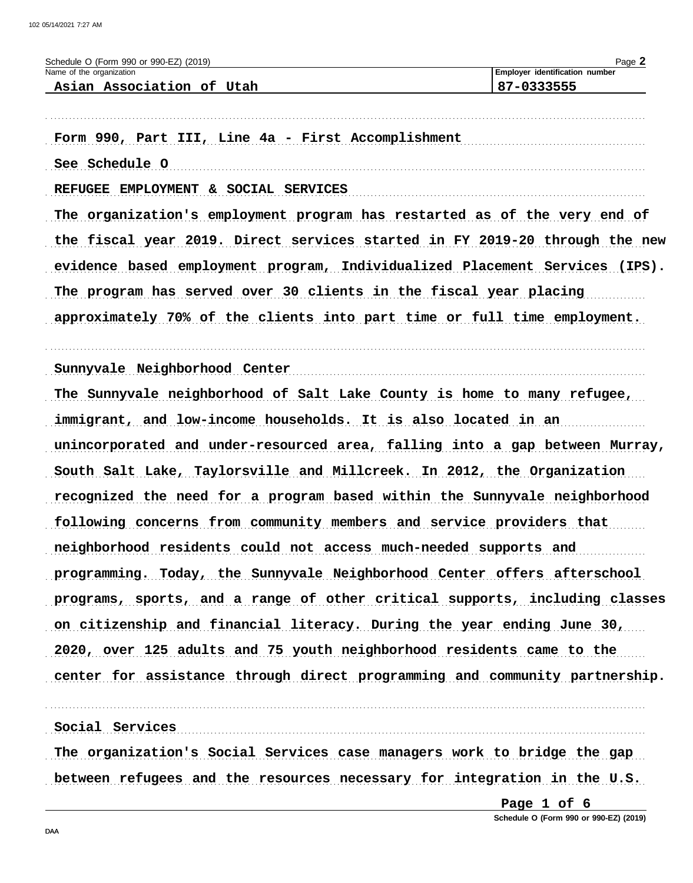| Name of the organization<br>Asian Association of Utah<br>Form 990, Part III, Line 4a - First Accomplishment | <b>Employer identification number</b><br>87-0333555 |
|-------------------------------------------------------------------------------------------------------------|-----------------------------------------------------|
|                                                                                                             |                                                     |
|                                                                                                             |                                                     |
|                                                                                                             |                                                     |
|                                                                                                             |                                                     |
| See Schedule O                                                                                              |                                                     |
| REFUGEE EMPLOYMENT & SOCIAL SERVICES                                                                        |                                                     |
| The organization's employment program has restarted as of the very end of                                   |                                                     |
| the fiscal year 2019. Direct services started in FY 2019-20 through the new                                 |                                                     |
| evidence based employment program, Individualized Placement Services (IPS).                                 |                                                     |
| The program has served over 30 clients in the fiscal year placing                                           |                                                     |
| approximately 70% of the clients into part time or full time employment.                                    |                                                     |
|                                                                                                             |                                                     |
|                                                                                                             |                                                     |
| Sunnyvale Neighborhood Center                                                                               |                                                     |
| The Sunnyvale neighborhood of Salt Lake County is home to many refugee,                                     |                                                     |
| immigrant, and low-income households. It is also located in an                                              |                                                     |
| unincorporated and under-resourced area, falling into a gap between Murray,                                 |                                                     |
| South Salt Lake, Taylorsville and Millcreek. In 2012, the Organization                                      |                                                     |
| recognized the need for a program based within the Sunnyvale neighborhood                                   |                                                     |
| following concerns from community members and service providers that                                        |                                                     |
| neighborhood residents could not access much-needed supports and                                            |                                                     |
| programming. Today, the Sunnyvale Neighborhood Center offers afterschool                                    |                                                     |
| programs, sports, and a range of other critical supports, including classes                                 |                                                     |
| on citizenship and financial literacy. During the year ending June 30,                                      |                                                     |
| 2020, over 125 adults and 75 youth neighborhood residents came to the                                       |                                                     |
| center for assistance through direct programming and community partnership.                                 |                                                     |
|                                                                                                             |                                                     |

Social Services The organization's Social Services case managers work to bridge the gap between refugees and the resources necessary for integration in the U.S.

> Page 1 of 6 Schedule O (Form 990 or 990-EZ) (2019)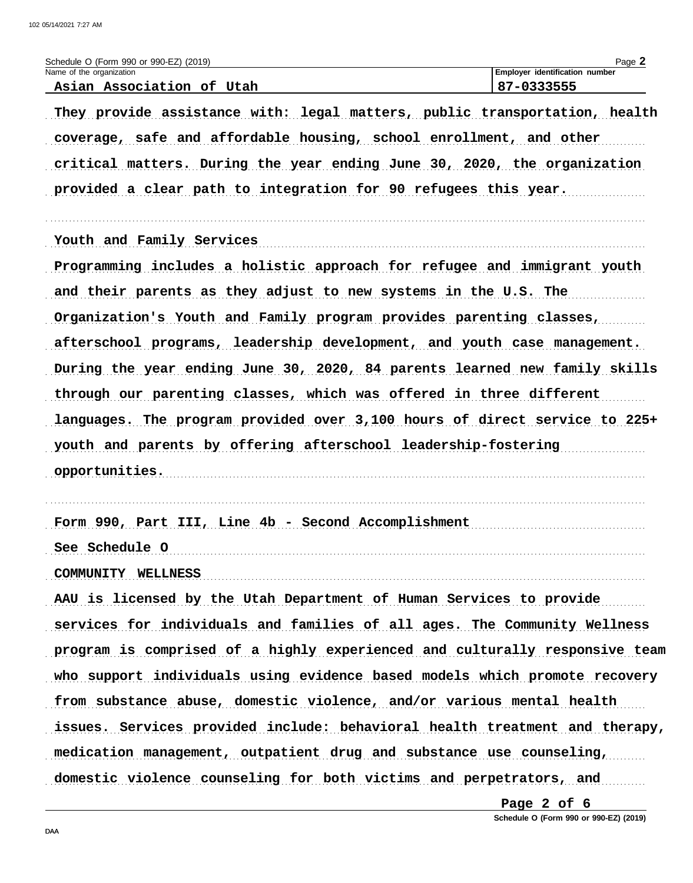| Schedule O (Form 990 or 990-EZ) (2019)<br>Name of the organization          | Page 2<br>Employer identification number |
|-----------------------------------------------------------------------------|------------------------------------------|
| Asian Association of Utah                                                   | 87-0333555                               |
| They provide assistance with: legal matters, public transportation, health  |                                          |
| coverage, safe and affordable housing, school enrollment, and other         |                                          |
| critical matters. During the year ending June 30, 2020, the organization    |                                          |
| provided a clear path to integration for 90 refugees this year.             |                                          |
| Youth and Family Services                                                   |                                          |
| Programming includes a holistic approach for refugee and immigrant youth    |                                          |
| and their parents as they adjust to new systems in the U.S. The             |                                          |
| Organization's Youth and Family program provides parenting classes,         |                                          |
| afterschool programs, leadership development, and youth case management.    |                                          |
| During the year ending June 30, 2020, 84 parents learned new family skills  |                                          |
| through our parenting classes, which was offered in three different         |                                          |
| languages. The program provided over 3,100 hours of direct service to 225+  |                                          |
| youth and parents by offering afterschool leadership-fostering              |                                          |
| opportunities.                                                              |                                          |
|                                                                             |                                          |
| Form 990, Part III, Line 4b - Second Accomplishment                         |                                          |
| See Schedule O                                                              |                                          |
| COMMUNITY WELLNESS                                                          |                                          |
| AAU is licensed by the Utah Department of Human Services to provide         |                                          |
| services for individuals and families of all ages. The Community Wellness   |                                          |
| program is comprised of a highly experienced and culturally responsive team |                                          |
| who support individuals using evidence based models which promote recovery  |                                          |
| from substance abuse, domestic violence, and/or various mental health       |                                          |
| issues. Services provided include: behavioral health treatment and therapy, |                                          |
| medication management, outpatient drug and substance use counseling,        |                                          |
| domestic violence counseling for both victims and perpetrators, and         |                                          |

Page 2 of 6 Schedule O (Form 990 or 990-EZ) (2019)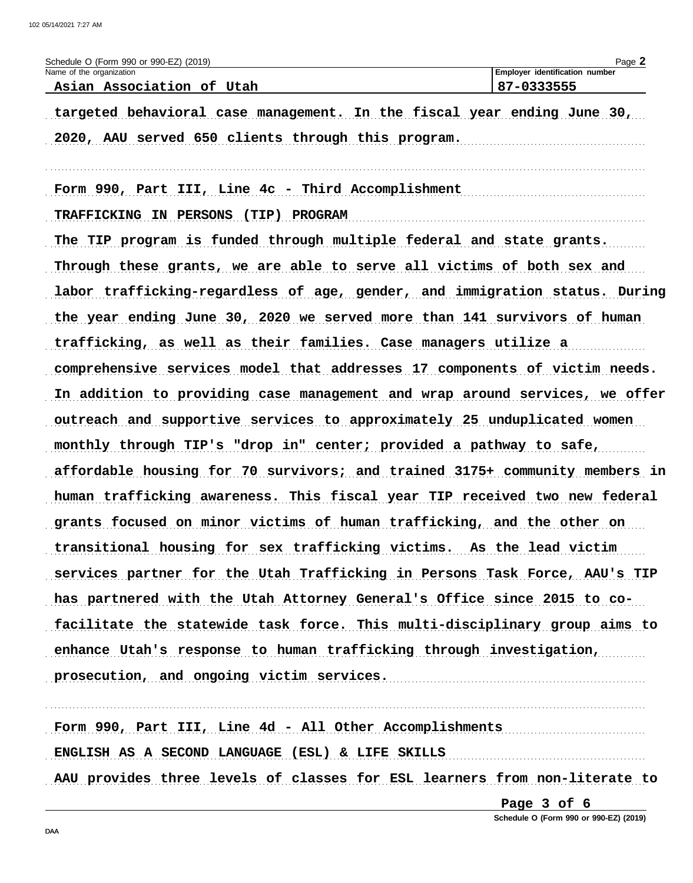| Schedule O (Form 990 or 990-EZ) (2019)<br>Name of the organization                                                            | Page 2<br>Employer identification number |
|-------------------------------------------------------------------------------------------------------------------------------|------------------------------------------|
| Asian Association of Utah                                                                                                     | 87-0333555                               |
| targeted behavioral case management. In the fiscal year ending June 30,<br>2020, AAU served 650 clients through this program. |                                          |
| Form 990, Part III, Line 4c - Third Accomplishment                                                                            |                                          |
| TRAFFICKING IN PERSONS (TIP) PROGRAM                                                                                          |                                          |
| The TIP program is funded through multiple federal and state grants.                                                          |                                          |
| Through these grants, we are able to serve all victims of both sex and                                                        |                                          |
| labor trafficking-regardless of age, gender, and immigration status. During                                                   |                                          |
| the year ending June 30, 2020 we served more than 141 survivors of human                                                      |                                          |
| trafficking, as well as their families. Case managers utilize a                                                               |                                          |
| comprehensive services model that addresses 17 components of victim needs.                                                    |                                          |
| In addition to providing case management and wrap around services, we offer                                                   |                                          |
| outreach and supportive services to approximately 25 unduplicated women                                                       |                                          |
| monthly through TIP's "drop in" center; provided a pathway to safe,                                                           |                                          |
| affordable housing for 70 survivors; and trained 3175+ community members in                                                   |                                          |
| human trafficking awareness. This fiscal year TIP received two new federal                                                    |                                          |
| grants focused on minor victims of human trafficking, and the other on                                                        |                                          |
| transitional housing for sex trafficking victims. As the lead victim                                                          |                                          |
| services partner for the Utah Trafficking in Persons Task Force, AAU's TIP                                                    |                                          |
| has partnered with the Utah Attorney General's Office since 2015 to co-                                                       |                                          |
| facilitate the statewide task force. This multi-disciplinary group aims to                                                    |                                          |
| enhance Utah's response to human trafficking through investigation,                                                           |                                          |
| prosecution, and ongoing victim services.                                                                                     |                                          |

Form 990, Part III, Line 4d - All Other Accomplishments ENGLISH AS A SECOND LANGUAGE (ESL) & LIFE SKILLS AAU provides three levels of classes for ESL learners from non-literate to

> Page 3 of 6 Schedule O (Form 990 or 990-EZ) (2019)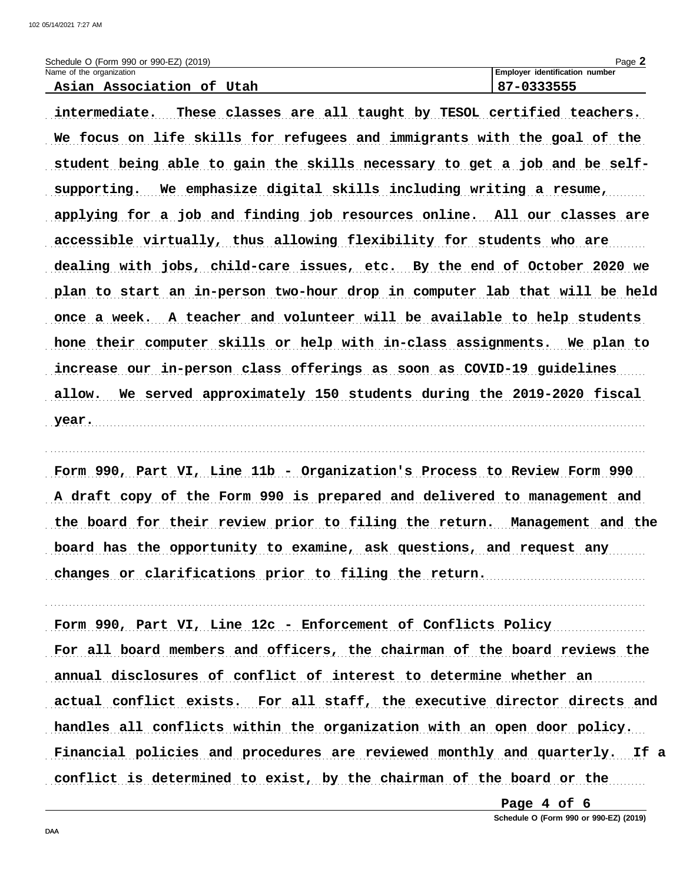| Schedule O (Form 990 or 990-EZ) (2019)      | Page                                  |
|---------------------------------------------|---------------------------------------|
| Name of the organization                    | <b>Employer identification number</b> |
| <b>Acian</b><br>$I$ IItah<br>Accociation of | 87-0333555                            |

intermediate. These classes are all taught by TESOL certified teachers. We focus on life skills for refugees and immigrants with the goal of the student being able to gain the skills necessary to get a job and be selfsupporting. We emphasize digital skills including writing a resume, applying for a job and finding job resources online. All our classes are accessible virtually, thus allowing flexibility for students who are dealing with jobs, child-care issues, etc. By the end of October 2020 we plan to start an in-person two-hour drop in computer lab that will be held once a week. A teacher and volunteer will be available to help students hone their computer skills or help with in-class assignments. We plan to increase our in-person class offerings as soon as COVID-19 guidelines allow. We served approximately 150 students during the 2019-2020 fiscal year.

Form 990, Part VI, Line 11b - Organization's Process to Review Form 990 A draft copy of the Form 990 is prepared and delivered to management and the board for their review prior to filing the return. Management and the board has the opportunity to examine, ask questions, and request any changes or clarifications prior to filing the return.

Form 990, Part VI, Line 12c - Enforcement of Conflicts Policy For all board members and officers, the chairman of the board reviews the annual disclosures of conflict of interest to determine whether an actual conflict exists. For all staff, the executive director directs and handles all conflicts within the organization with an open door policy. Financial policies and procedures are reviewed monthly and quarterly. If a conflict is determined to exist, by the chairman of the board or the

> Page 4 of 6 Schedule O (Form 990 or 990-EZ) (2019)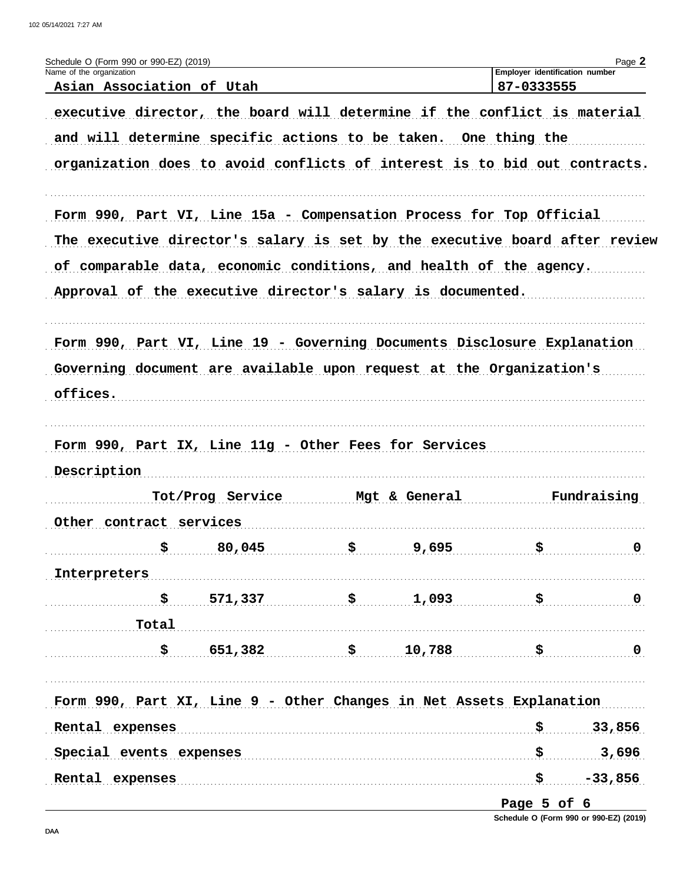| Employer identification number<br>Name of the organization<br>87-0333555<br>Asian Association of Utah<br>executive director, the board will determine if the conflict is material<br>and will determine specific actions to be taken. One thing the<br>organization does to avoid conflicts of interest is to bid out contracts.<br>Form 990, Part VI, Line 15a - Compensation Process for Top Official<br>The executive director's salary is set by the executive board after review<br>of comparable data, economic conditions, and health of the agency.<br>Approval of the executive director's salary is documented.<br>Form 990, Part VI, Line 19 - Governing Documents Disclosure Explanation<br>Governing document are available upon request at the Organization's<br>offices. |             |
|-----------------------------------------------------------------------------------------------------------------------------------------------------------------------------------------------------------------------------------------------------------------------------------------------------------------------------------------------------------------------------------------------------------------------------------------------------------------------------------------------------------------------------------------------------------------------------------------------------------------------------------------------------------------------------------------------------------------------------------------------------------------------------------------|-------------|
|                                                                                                                                                                                                                                                                                                                                                                                                                                                                                                                                                                                                                                                                                                                                                                                         |             |
|                                                                                                                                                                                                                                                                                                                                                                                                                                                                                                                                                                                                                                                                                                                                                                                         |             |
|                                                                                                                                                                                                                                                                                                                                                                                                                                                                                                                                                                                                                                                                                                                                                                                         |             |
|                                                                                                                                                                                                                                                                                                                                                                                                                                                                                                                                                                                                                                                                                                                                                                                         |             |
|                                                                                                                                                                                                                                                                                                                                                                                                                                                                                                                                                                                                                                                                                                                                                                                         |             |
|                                                                                                                                                                                                                                                                                                                                                                                                                                                                                                                                                                                                                                                                                                                                                                                         |             |
|                                                                                                                                                                                                                                                                                                                                                                                                                                                                                                                                                                                                                                                                                                                                                                                         |             |
|                                                                                                                                                                                                                                                                                                                                                                                                                                                                                                                                                                                                                                                                                                                                                                                         |             |
|                                                                                                                                                                                                                                                                                                                                                                                                                                                                                                                                                                                                                                                                                                                                                                                         |             |
|                                                                                                                                                                                                                                                                                                                                                                                                                                                                                                                                                                                                                                                                                                                                                                                         |             |
|                                                                                                                                                                                                                                                                                                                                                                                                                                                                                                                                                                                                                                                                                                                                                                                         |             |
|                                                                                                                                                                                                                                                                                                                                                                                                                                                                                                                                                                                                                                                                                                                                                                                         |             |
|                                                                                                                                                                                                                                                                                                                                                                                                                                                                                                                                                                                                                                                                                                                                                                                         |             |
|                                                                                                                                                                                                                                                                                                                                                                                                                                                                                                                                                                                                                                                                                                                                                                                         |             |
|                                                                                                                                                                                                                                                                                                                                                                                                                                                                                                                                                                                                                                                                                                                                                                                         |             |
|                                                                                                                                                                                                                                                                                                                                                                                                                                                                                                                                                                                                                                                                                                                                                                                         |             |
| Form 990, Part IX, Line 11g - Other Fees for Services                                                                                                                                                                                                                                                                                                                                                                                                                                                                                                                                                                                                                                                                                                                                   |             |
| Description                                                                                                                                                                                                                                                                                                                                                                                                                                                                                                                                                                                                                                                                                                                                                                             |             |
| Tot/Prog Service<br>Mgt & General                                                                                                                                                                                                                                                                                                                                                                                                                                                                                                                                                                                                                                                                                                                                                       | Fundraising |
| Other contract services                                                                                                                                                                                                                                                                                                                                                                                                                                                                                                                                                                                                                                                                                                                                                                 |             |
| \$<br>80,045<br>9,695<br><u>이 없는 것이 없는 것이 없는 것이 없다.</u><br>\$                                                                                                                                                                                                                                                                                                                                                                                                                                                                                                                                                                                                                                                                                                                           | 0           |
| Interpreters                                                                                                                                                                                                                                                                                                                                                                                                                                                                                                                                                                                                                                                                                                                                                                            |             |
|                                                                                                                                                                                                                                                                                                                                                                                                                                                                                                                                                                                                                                                                                                                                                                                         |             |
| \$<br>1,093<br>571,337<br>\$                                                                                                                                                                                                                                                                                                                                                                                                                                                                                                                                                                                                                                                                                                                                                            | $\mathbf 0$ |
| Total                                                                                                                                                                                                                                                                                                                                                                                                                                                                                                                                                                                                                                                                                                                                                                                   |             |
| \$<br>$\mathbf{S}$ and $\mathbf{S}$<br>10,788<br>ा । । । ।\$<br>651,382                                                                                                                                                                                                                                                                                                                                                                                                                                                                                                                                                                                                                                                                                                                 | $\mathbf 0$ |
|                                                                                                                                                                                                                                                                                                                                                                                                                                                                                                                                                                                                                                                                                                                                                                                         |             |
| Form 990, Part XI, Line 9 - Other Changes in Net Assets Explanation                                                                                                                                                                                                                                                                                                                                                                                                                                                                                                                                                                                                                                                                                                                     |             |
| $\ddot{\mathbf{s}}$ , and the set of $\ddot{\mathbf{s}}$<br>Rental expenses                                                                                                                                                                                                                                                                                                                                                                                                                                                                                                                                                                                                                                                                                                             | 33,856      |
| $\boldsymbol{\mathsf{S}}$ , the set of $\boldsymbol{\mathsf{S}}$<br>Special events expenses                                                                                                                                                                                                                                                                                                                                                                                                                                                                                                                                                                                                                                                                                             | 3,696       |
| \$<br>Rental expenses                                                                                                                                                                                                                                                                                                                                                                                                                                                                                                                                                                                                                                                                                                                                                                   | $-33,856$   |
| Page 5 of 6                                                                                                                                                                                                                                                                                                                                                                                                                                                                                                                                                                                                                                                                                                                                                                             |             |

Schedule O (Form 990 or 990-EZ) (2019)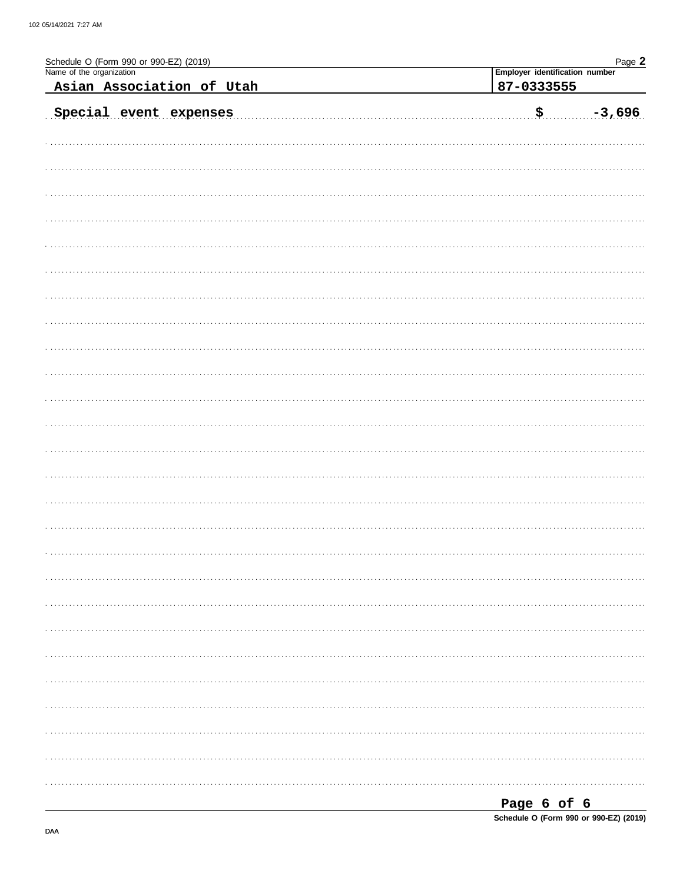| Schedule O (Form 990 or 990-EZ) (2019)<br>Name of the organization | Page 2                         |
|--------------------------------------------------------------------|--------------------------------|
|                                                                    | Employer identification number |
| Asian Association of Utah                                          | 87-0333555                     |
| Special event expenses                                             | \$<br>$-3,696$                 |
|                                                                    |                                |
|                                                                    |                                |
|                                                                    |                                |
|                                                                    |                                |
|                                                                    |                                |
|                                                                    |                                |
|                                                                    |                                |
|                                                                    |                                |
|                                                                    |                                |
|                                                                    |                                |
|                                                                    |                                |
|                                                                    |                                |
|                                                                    |                                |
|                                                                    |                                |
|                                                                    |                                |
|                                                                    |                                |
|                                                                    |                                |
|                                                                    |                                |
|                                                                    |                                |
|                                                                    |                                |
|                                                                    |                                |
|                                                                    |                                |
|                                                                    |                                |
|                                                                    |                                |
|                                                                    |                                |
|                                                                    |                                |

Page 6 of 6 Schedule O (Form 990 or 990-EZ) (2019)